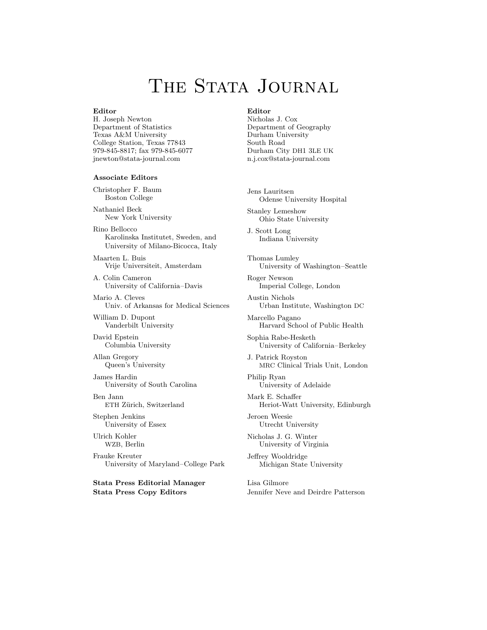# THE STATA JOURNAL

#### **Editor**

H. Joseph Newton Department of Statistics Texas A&M University College Station, Texas 77843 979-845-8817; fax 979-845-6077 jnewton@stata-journal.com

#### **Associate Editors**

Christopher F. Baum Boston College

Nathaniel Beck New York University

Rino Bellocco Karolinska Institutet, Sweden, and University of Milano-Bicocca, Italy

Maarten L. Buis Vrije Universiteit, Amsterdam

A. Colin Cameron University of California–Davis

Mario A. Cleves Univ. of Arkansas for Medical Sciences

William D. Dupont Vanderbilt University

David Epstein Columbia University

Allan Gregory Queen's University

James Hardin University of South Carolina

Ben Jann ETH Zürich, Switzerland

Stephen Jenkins University of Essex

Ulrich Kohler WZB, Berlin

Frauke Kreuter University of Maryland–College Park

**Stata Press Editorial Manager Stata Press Copy Editors**

#### **Editor**

Nicholas J. Cox Department of Geography Durham University South Road Durham City DH1 3LE UK n.j.cox@stata-journal.com

Jens Lauritsen Odense University Hospital

Stanley Lemeshow Ohio State University

J. Scott Long Indiana University

Thomas Lumley University of Washington–Seattle

Roger Newson Imperial College, London

Austin Nichols Urban Institute, Washington DC

Marcello Pagano Harvard School of Public Health

Sophia Rabe-Hesketh University of California–Berkeley

J. Patrick Royston MRC Clinical Trials Unit, London

Philip Ryan University of Adelaide

Mark E. Schaffer Heriot-Watt University, Edinburgh

Jeroen Weesie Utrecht University

Nicholas J. G. Winter University of Virginia

Jeffrey Wooldridge Michigan State University

Lisa Gilmore Jennifer Neve and Deirdre Patterson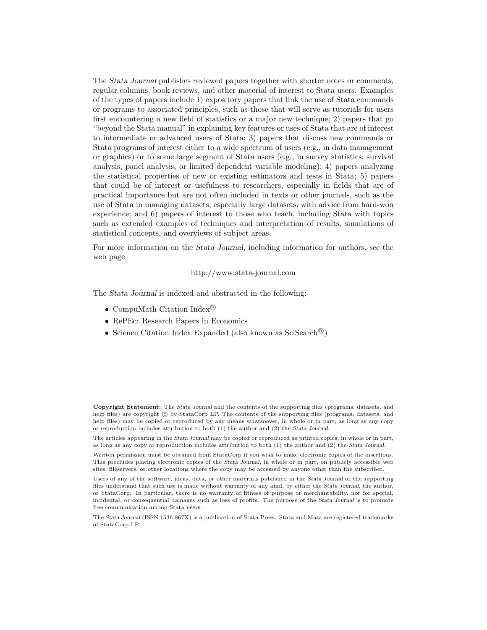The *Stata Journal* publishes reviewed papers together with shorter notes or comments, regular columns, book reviews, and other material of interest to Stata users. Examples of the types of papers include 1) expository papers that link the use of Stata commands or programs to associated principles, such as those that will serve as tutorials for users first encountering a new field of statistics or a major new technique; 2) papers that go "beyond the Stata manual" in explaining key features or uses of Stata that are of interest to intermediate or advanced users of Stata; 3) papers that discuss new commands or Stata programs of interest either to a wide spectrum of users (e.g., in data management or graphics) or to some large segment of Stata users (e.g., in survey statistics, survival analysis, panel analysis, or limited dependent variable modeling); 4) papers analyzing the statistical properties of new or existing estimators and tests in Stata; 5) papers that could be of interest or usefulness to researchers, especially in fields that are of practical importance but are not often included in texts or other journals, such as the use of Stata in managing datasets, especially large datasets, with advice from hard-won experience; and 6) papers of interest to those who teach, including Stata with topics such as extended examples of techniques and interpretation of results, simulations of statistical concepts, and overviews of subject areas.

For more information on the *Stata Journal*, including information for authors, see the web page

<http://www.stata-journal.com>

The *Stata Journal* is indexed and abstracted in the following:

- CompuMath Citation Index<sup>®</sup>
- RePEc: Research Papers in Economics
- Science Citation Index Expanded (also known as  $\text{SciSearch}^{(8)}$ )

**Copyright Statement:** The *Stata Journal* and the contents of the supporting files (programs, datasets, and help files) are copyright  $\odot$  by StataCorp LP. The contents of the supporting files (programs, datasets, and help files) may be copied or reproduced by any means whatsoever, in whole or in part, as long as any copy or reproduction includes attribution to both (1) the author and (2) the *Stata Journal*.

The articles appearing in the *Stata Journal* may be copied or reproduced as printed copies, in whole or in part, as long as any copy or reproduction includes attribution to both (1) the author and (2) the *Stata Journal*.

Written permission must be obtained from StataCorp if you wish to make electronic copies of the insertions. This precludes placing electronic copies of the *Stata Journal*, in whole or in part, on publicly accessible web sites, fileservers, or other locations where the copy may be accessed by anyone other than the subscriber.

Users of any of the software, ideas, data, or other materials published in the *Stata Journal* or the supporting files understand that such use is made without warranty of any kind, by either the *Stata Journal*, the author, or StataCorp. In particular, there is no warranty of fitness of purpose or merchantability, nor for special, incidental, or consequential damages such as loss of profits. The purpose of the *Stata Journal* is to promote free communication among Stata users.

The *Stata Journal* (ISSN 1536-867X) is a publication of Stata Press. Stata and Mata are registered trademarks of StataCorp LP.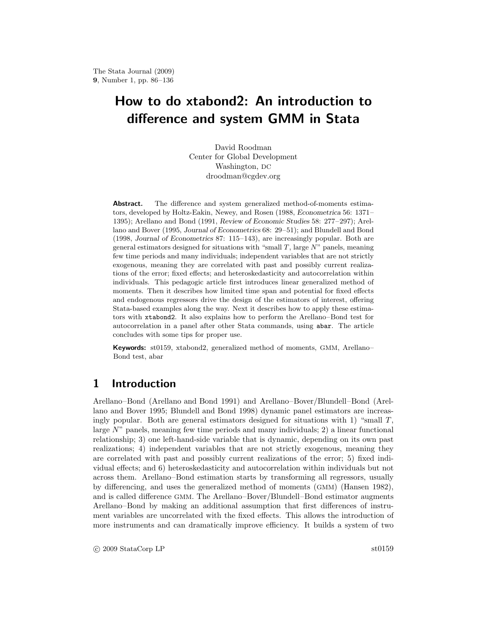# **How to do xtabond2: An introduction to difference and system GMM in Stata**

David Roodman Center for Global Development Washington, DC droodman@cgdev.org

**Abstract.** The difference and system generalized method-of-moments estimators, developed by Holtz-Eakin, Newey, and Rosen (1988, *Econometrica* 56: 1371– 1395); Arellano and Bond (1991, *Review of Economic Studies* 58: 277–297); Arellano and Bover (1995, *Journal of Econometrics* 68: 29–51); and Blundell and Bond (1998, *Journal of Econometrics* 87: 115–143), are increasingly popular. Both are general estimators designed for situations with "small *T*, large *N*" panels, meaning few time periods and many individuals; independent variables that are not strictly exogenous, meaning they are correlated with past and possibly current realizations of the error; fixed effects; and heteroskedasticity and autocorrelation within individuals. This pedagogic article first introduces linear generalized method of moments. Then it describes how limited time span and potential for fixed effects and endogenous regressors drive the design of the estimators of interest, offering Stata-based examples along the way. Next it describes how to apply these estimators with xtabond2. It also explains how to perform the Arellano–Bond test for autocorrelation in a panel after other Stata commands, using abar. The article concludes with some tips for proper use.

**Keywords:** st0159, xtabond2, generalized method of moments, GMM, Arellano– Bond test, abar

# **1 Introduction**

Arellano–Bond (Arellano and Bond 1991) and Arellano–Bover/Blundell–Bond (Arellano and Bover 1995; Blundell and Bond 1998) dynamic panel estimators are increasingly popular. Both are general estimators designed for situations with 1) "small  $T$ , large N" panels, meaning few time periods and many individuals; 2) a linear functional relationship; 3) one left-hand-side variable that is dynamic, depending on its own past realizations; 4) independent variables that are not strictly exogenous, meaning they are correlated with past and possibly current realizations of the error; 5) fixed individual effects; and 6) heteroskedasticity and autocorrelation within individuals but not across them. Arellano–Bond estimation starts by transforming all regressors, usually by differencing, and uses the generalized method of moments (GMM) (Hansen 1982), and is called difference GMM. The Arellano–Bover/Blundell–Bond estimator augments Arellano–Bond by making an additional assumption that first differences of instrument variables are uncorrelated with the fixed effects. This allows the introduction of more instruments and can dramatically improve efficiency. It builds a system of two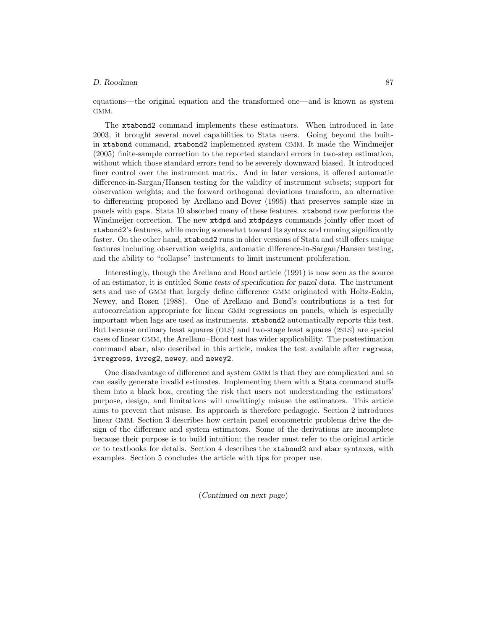equations—the original equation and the transformed one—and is known as system GMM.

The xtabond2 command implements these estimators. When introduced in late 2003, it brought several novel capabilities to Stata users. Going beyond the builtin xtabond command, xtabond2 implemented system GMM. It made the Windmeijer (2005) finite-sample correction to the reported standard errors in two-step estimation, without which those standard errors tend to be severely downward biased. It introduced finer control over the instrument matrix. And in later versions, it offered automatic difference-in-Sargan/Hansen testing for the validity of instrument subsets; support for observation weights; and the forward orthogonal deviations transform, an alternative to differencing proposed by Arellano and Bover (1995) that preserves sample size in panels with gaps. Stata 10 absorbed many of these features. xtabond now performs the Windmeijer correction. The new xtdpd and xtdpdsys commands jointly offer most of xtabond2's features, while moving somewhat toward its syntax and running significantly faster. On the other hand, xtabond2 runs in older versions of Stata and still offers unique features including observation weights, automatic difference-in-Sargan/Hansen testing, and the ability to "collapse" instruments to limit instrument proliferation.

Interestingly, though the Arellano and Bond article (1991) is now seen as the source of an estimator, it is entitled *Some tests of specification for panel data*. The instrument sets and use of GMM that largely define difference GMM originated with Holtz-Eakin, Newey, and Rosen (1988). One of Arellano and Bond's contributions is a test for autocorrelation appropriate for linear GMM regressions on panels, which is especially important when lags are used as instruments. xtabond2 automatically reports this test. But because ordinary least squares (OLS) and two-stage least squares (2SLS) are special cases of linear GMM, the Arellano–Bond test has wider applicability. The postestimation command abar, also described in this article, makes the test available after regress, ivregress, ivreg2, newey, and newey2.

One disadvantage of difference and system GMM is that they are complicated and so can easily generate invalid estimates. Implementing them with a Stata command stuffs them into a black box, creating the risk that users not understanding the estimators' purpose, design, and limitations will unwittingly misuse the estimators. This article aims to prevent that misuse. Its approach is therefore pedagogic. Section 2 introduces linear GMM. Section 3 describes how certain panel econometric problems drive the design of the difference and system estimators. Some of the derivations are incomplete because their purpose is to build intuition; the reader must refer to the original article or to textbooks for details. Section 4 describes the xtabond2 and abar syntaxes, with examples. Section 5 concludes the article with tips for proper use.

(*Continued on next page*)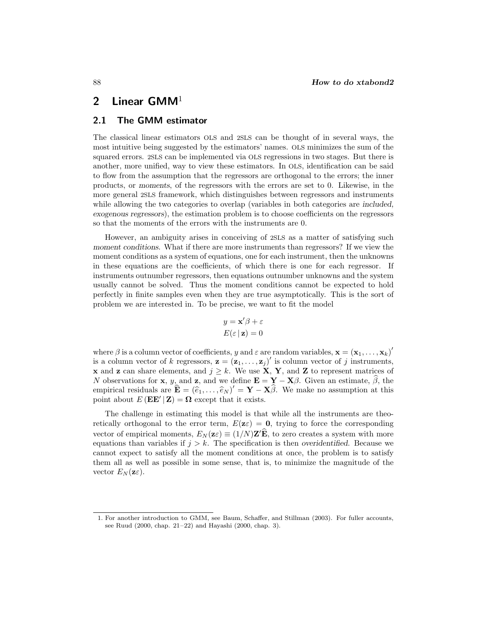# **2 Linear GMM**<sup>1</sup>

### **2.1 The GMM estimator**

The classical linear estimators OLS and 2SLS can be thought of in several ways, the most intuitive being suggested by the estimators' names. OLS minimizes the sum of the squared errors. 2SLS can be implemented via OLS regressions in two stages. But there is another, more unified, way to view these estimators. In OLS, identification can be said to flow from the assumption that the regressors are orthogonal to the errors; the inner products, or *moments*, of the regressors with the errors are set to 0. Likewise, in the more general 2SLS framework, which distinguishes between regressors and instruments while allowing the two categories to overlap (variables in both categories are *included, exogenous regressors*), the estimation problem is to choose coefficients on the regressors so that the moments of the errors with the instruments are 0.

However, an ambiguity arises in conceiving of 2SLS as a matter of satisfying such *moment conditions*. What if there are more instruments than regressors? If we view the moment conditions as a system of equations, one for each instrument, then the unknowns in these equations are the coefficients, of which there is one for each regressor. If instruments outnumber regressors, then equations outnumber unknowns and the system usually cannot be solved. Thus the moment conditions cannot be expected to hold perfectly in finite samples even when they are true asymptotically. This is the sort of problem we are interested in. To be precise, we want to fit the model

$$
y = \mathbf{x}'\beta + \varepsilon
$$

$$
E(\varepsilon \mid \mathbf{z}) = 0
$$

where  $\beta$  is a column vector of coefficients, y and  $\varepsilon$  are random variables,  $\mathbf{x} = (\mathbf{x}_1, \dots, \mathbf{x}_k)'$ is a column vector of k regressors,  $\mathbf{z} = (\mathbf{z}_1, \ldots, \mathbf{z}_j)'$  is column vector of j instruments, **x** and **z** can share elements, and  $j \geq k$ . We use **X**, **Y**, and **Z** to represent matrices of N observations for **x**, y, and **z**, and we define  $\mathbf{E} = \mathbf{Y} - \mathbf{X}\beta$ . Given an estimate,  $\beta$ , the empirical residuals are  $\mathbf{E} = (\hat{e}_1, \dots, \hat{e}_N)' = \mathbf{Y} - \mathbf{X}\beta$ . We make no assumption at this point shout  $E(\mathbf{E} \mathbf{E}' | \mathbf{Z}) - \mathbf{Q}$  except that it exists point about  $E(E\mathbf{E}' | \mathbf{Z}) = \mathbf{\Omega}$  except that it exists.

The challenge in estimating this model is that while all the instruments are theoretically orthogonal to the error term,  $E(\mathbf{z}\varepsilon) = \mathbf{0}$ , trying to force the corresponding vector of empirical moments,  $E_N(\mathbf{z}_\varepsilon) \equiv (1/N)\mathbf{Z}'\mathbf{E}$ , to zero creates a system with more equations than variables if  $j > k$ . The specification is then *overidentified*. Because we cannot expect to satisfy all the moment conditions at once, the problem is to satisfy them all as well as possible in some sense, that is, to minimize the magnitude of the vector  $E_N(\mathbf{z}\varepsilon)$ .

<sup>1.</sup> For another introduction to GMM, see Baum, Schaffer, and Stillman (2003). For fuller accounts, see Ruud (2000, chap. 21–22) and Hayashi (2000, chap. 3).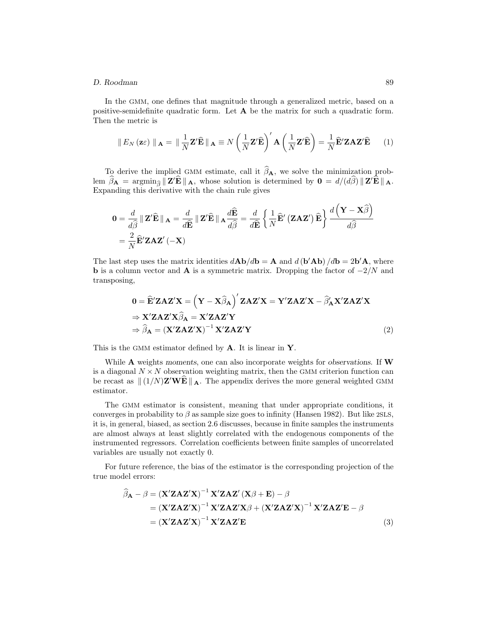#### *D. Roodman* 89

In the GMM, one defines that magnitude through a generalized metric, based on a positive-semidefinite quadratic form. Let **A** be the matrix for such a quadratic form. Then the metric is

$$
\|E_N(\mathbf{z}\varepsilon)\|_{\mathbf{A}} = \|\frac{1}{N}\mathbf{Z}'\widehat{\mathbf{E}}\|_{\mathbf{A}} \equiv N\left(\frac{1}{N}\mathbf{Z}'\widehat{\mathbf{E}}\right)'\mathbf{A}\left(\frac{1}{N}\mathbf{Z}'\widehat{\mathbf{E}}\right) = \frac{1}{N}\widehat{\mathbf{E}}'\mathbf{Z}\mathbf{A}\mathbf{Z}'\widehat{\mathbf{E}} \qquad (1)
$$

To derive the implied GMM estimate, call it  $\beta_A$ , we solve the minimization prob-<br> $\hat{\beta}$  = examin  $\mathbb{Z}/\hat{\mathbf{F}}$  = whose solution is determined by  $\mathbf{0} = d/(d\hat{\beta})$   $\mathbb{Z}/\hat{\mathbf{F}}$  = lem  $\beta_{\mathbf{A}} = \operatorname{argmin}_{\widehat{\beta}} \| \mathbf{Z}' \mathbf{E} \|_{\mathbf{A}}$ , whose solution is determined by  $\mathbf{0} = d/(d\beta) \| \mathbf{Z}' \mathbf{E} \|_{\mathbf{A}}$ . Expanding this derivative with the chain rule gives

$$
0 = \frac{d}{d\hat{\beta}} || \mathbf{Z}' \hat{\mathbf{E}} ||_{\mathbf{A}} = \frac{d}{d\hat{\mathbf{E}}} || \mathbf{Z}' \hat{\mathbf{E}} ||_{\mathbf{A}} \frac{d\hat{\mathbf{E}}}{d\hat{\beta}} = \frac{d}{d\hat{\mathbf{E}}} \left\{ \frac{1}{N} \hat{\mathbf{E}}' (\mathbf{Z} \mathbf{A} \mathbf{Z}') \hat{\mathbf{E}} \right\} \frac{d(\mathbf{Y} - \mathbf{X}\hat{\beta})}{d\hat{\beta}}
$$
  
=  $\frac{2}{N} \hat{\mathbf{E}}' \mathbf{Z} \mathbf{A} \mathbf{Z}' (-\mathbf{X})$ 

The last step uses the matrix identities  $d\mathbf{A}\mathbf{b}/d\mathbf{b} = \mathbf{A}$  and  $d(\mathbf{b}'\mathbf{A}\mathbf{b})/d\mathbf{b} = 2\mathbf{b}'\mathbf{A}$ , where **b** is a column vector and **A** is a symmetric matrix. Dropping the factor of  $-2/N$  and transposing,

$$
0 = \widehat{\mathbf{E}}' \mathbf{Z} \mathbf{A} \mathbf{Z}' \mathbf{X} = (\mathbf{Y} - \mathbf{X} \widehat{\beta}_{\mathbf{A}})' \mathbf{Z} \mathbf{A} \mathbf{Z}' \mathbf{X} = \mathbf{Y}' \mathbf{Z} \mathbf{A} \mathbf{Z}' \mathbf{X} - \widehat{\beta}_{\mathbf{A}}' \mathbf{X}' \mathbf{Z} \mathbf{A} \mathbf{Z}' \mathbf{X}
$$
  
\n
$$
\Rightarrow \mathbf{X}' \mathbf{Z} \mathbf{A} \mathbf{Z}' \mathbf{X} \widehat{\beta}_{\mathbf{A}} = \mathbf{X}' \mathbf{Z} \mathbf{A} \mathbf{Z}' \mathbf{Y}
$$
  
\n
$$
\Rightarrow \widehat{\beta}_{\mathbf{A}} = (\mathbf{X}' \mathbf{Z} \mathbf{A} \mathbf{Z}' \mathbf{X})^{-1} \mathbf{X}' \mathbf{Z} \mathbf{A} \mathbf{Z}' \mathbf{Y}
$$
(2)

This is the GMM estimator defined by **A**. It is linear in **Y**.

While **A** weights *moments*, one can also incorporate weights for *observations*. If **W** is a diagonal  $N \times N$  observation weighting matrix, then the GMM criterion function can be recast as  $\| (1/N) \mathbf{Z}' \mathbf{W} \mathbf{E} \|_{\mathbf{A}}$ . The appendix derives the more general weighted GMM estimator.

The GMM estimator is consistent, meaning that under appropriate conditions, it converges in probability to  $\beta$  as sample size goes to infinity (Hansen 1982). But like 2SLS, it is, in general, biased, as section 2.6 discusses, because in finite samples the instruments are almost always at least slightly correlated with the endogenous components of the instrumented regressors. Correlation coefficients between finite samples of uncorrelated variables are usually not exactly 0.

For future reference, the bias of the estimator is the corresponding projection of the true model errors:

$$
\widehat{\beta}_{\mathbf{A}} - \beta = (\mathbf{X}' \mathbf{Z} \mathbf{A} \mathbf{Z}' \mathbf{X})^{-1} \mathbf{X}' \mathbf{Z} \mathbf{A} \mathbf{Z}' (\mathbf{X} \beta + \mathbf{E}) - \beta
$$
  
= (\mathbf{X}' \mathbf{Z} \mathbf{A} \mathbf{Z}' \mathbf{X})^{-1} \mathbf{X}' \mathbf{Z} \mathbf{A} \mathbf{Z}' \mathbf{X} \beta + (\mathbf{X}' \mathbf{Z} \mathbf{A} \mathbf{Z}' \mathbf{X})^{-1} \mathbf{X}' \mathbf{Z} \mathbf{A} \mathbf{Z}' \mathbf{E} - \beta  
= (\mathbf{X}' \mathbf{Z} \mathbf{A} \mathbf{Z}' \mathbf{X})^{-1} \mathbf{X}' \mathbf{Z} \mathbf{A} \mathbf{Z}' \mathbf{E}(3)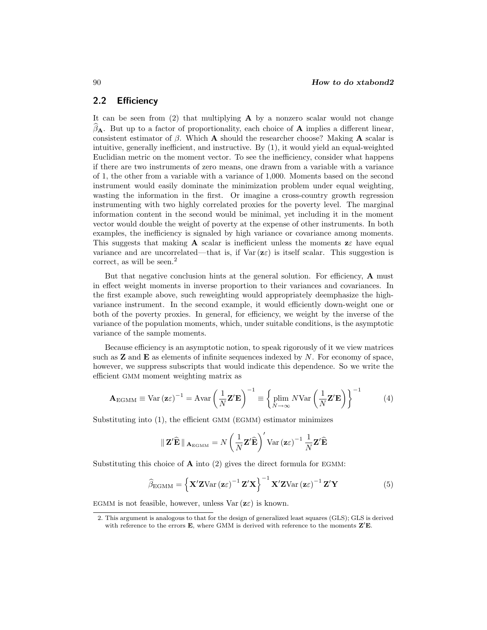### **2.2 Efficiency**

It can be seen from (2) that multiplying **A** by a nonzero scalar would not change  $β$ **A**. But up to a factor of proportionality, each choice of **A** implies a different linear, consistent estimator of β. Which **A** should the researcher choose? Making **A** scalar is intuitive, generally inefficient, and instructive. By (1), it would yield an equal-weighted Euclidian metric on the moment vector. To see the inefficiency, consider what happens if there are two instruments of zero means, one drawn from a variable with a variance of 1, the other from a variable with a variance of 1,000. Moments based on the second instrument would easily dominate the minimization problem under equal weighting, wasting the information in the first. Or imagine a cross-country growth regression instrumenting with two highly correlated proxies for the poverty level. The marginal information content in the second would be minimal, yet including it in the moment vector would double the weight of poverty at the expense of other instruments. In both examples, the inefficiency is signaled by high variance or covariance among moments. This suggests that making **A** scalar is inefficient unless the moments  $z \in \mathbb{R}$  have equal variance and are uncorrelated—that is, if  $Var(\mathbf{z} \varepsilon)$  is itself scalar. This suggestion is correct, as will be seen.<sup>2</sup>

But that negative conclusion hints at the general solution. For efficiency, **A** must in effect weight moments in inverse proportion to their variances and covariances. In the first example above, such reweighting would appropriately deemphasize the highvariance instrument. In the second example, it would efficiently down-weight one or both of the poverty proxies. In general, for efficiency, we weight by the inverse of the variance of the population moments, which, under suitable conditions, is the asymptotic variance of the sample moments.

Because efficiency is an asymptotic notion, to speak rigorously of it we view matrices such as **Z** and **E** as elements of infinite sequences indexed by N. For economy of space, however, we suppress subscripts that would indicate this dependence. So we write the efficient GMM moment weighting matrix as

$$
\mathbf{A}_{\text{EGMM}} \equiv \text{Var}\left(\mathbf{z}\varepsilon\right)^{-1} = \text{Avar}\left(\frac{1}{N}\mathbf{Z}'\mathbf{E}\right)^{-1} \equiv \left\{\text{plim}\ N\text{Var}\left(\frac{1}{N}\mathbf{Z}'\mathbf{E}\right)\right\}^{-1} \tag{4}
$$

Substituting into (1), the efficient GMM (EGMM) estimator minimizes

$$
\|\mathbf{Z}'\widehat{\mathbf{E}}\|_{\mathbf{A}_{\text{EGMM}}} = N\left(\frac{1}{N}\mathbf{Z}'\widehat{\mathbf{E}}\right)' \text{Var}\left(\mathbf{z}\varepsilon\right)^{-1} \frac{1}{N}\mathbf{Z}'\widehat{\mathbf{E}}
$$

Substituting this choice of **A** into (2) gives the direct formula for EGMM:

$$
\widehat{\beta}_{\text{EGMM}} = \left\{ \mathbf{X}' \mathbf{Z} \text{Var} \left( \mathbf{z} \varepsilon \right)^{-1} \mathbf{Z}' \mathbf{X} \right\}^{-1} \mathbf{X}' \mathbf{Z} \text{Var} \left( \mathbf{z} \varepsilon \right)^{-1} \mathbf{Z}' \mathbf{Y}
$$
(5)

EGMM is not feasible, however, unless  $\text{Var}(\mathbf{z}\varepsilon)$  is known.

<sup>2.</sup> This argument is analogous to that for the design of generalized least squares (GLS); GLS is derived with reference to the errors  $\mathbf{E}$ , where GMM is derived with reference to the moments  $\mathbf{Z}'\mathbf{E}$ .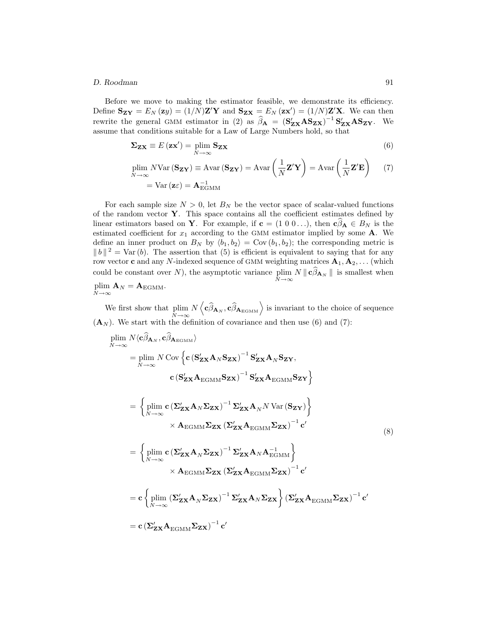#### *D. Roodman* 91

Before we move to making the estimator feasible, we demonstrate its efficiency. Define  $\mathbf{S}_{\mathbf{Z}\mathbf{Y}} = E_N(\mathbf{z}y) = (1/N)\mathbf{Z}'\mathbf{Y}$  and  $\mathbf{S}_{\mathbf{Z}\mathbf{X}} = E_N(\mathbf{z}\mathbf{x}') = (1/N)\mathbf{Z}'\mathbf{X}$ . We can then rewrite the general GMM estimator in (2) as  $\hat{\beta}_A = (\mathbf{S}_{\mathbf{Z}\mathbf{X}}' \mathbf{A} \mathbf{S}_{\mathbf{Z}\mathbf{X}})^{-1} \mathbf{S}_{\mathbf{Z}\mathbf{X}}' \mathbf{A} \mathbf{S}_{\mathbf{Z}\mathbf{Y}}$ . We assume that conditions suitable for a Law of Large Numbers hold so that assume that conditions suitable for a Law of Large Numbers hold, so that

$$
\Sigma_{\mathbf{Z}\mathbf{X}} \equiv E\left(\mathbf{z}\mathbf{x}'\right) = \lim_{N \to \infty} \mathbf{S}_{\mathbf{Z}\mathbf{X}}\tag{6}
$$

$$
\begin{aligned} \n\text{plim } N \text{Var } (\mathbf{S_{ZY}}) &\equiv \text{Avar } (\mathbf{S_{ZY}}) = \text{Avar} \left( \frac{1}{N} \mathbf{Z'Y} \right) = \text{Avar} \left( \frac{1}{N} \mathbf{Z'E} \right) \n\end{aligned} \tag{7}
$$
\n
$$
= \text{Var } (\mathbf{z} \varepsilon) = \mathbf{A}_{\text{EGMM}}^{-1}
$$

For each sample size  $N > 0$ , let  $B_N$  be the vector space of scalar-valued functions of the random vector **Y**. This space contains all the coefficient estimates defined by linear estimators based on **Y**. For example, if  $\mathbf{c} = (1 \ 0 \ 0 \dots)$ , then  $\mathbf{c} \beta_{\mathbf{A}} \in B_N$  is the estimated so flight for a seconding to the GMM estimated involved. estimated coefficient for  $x_1$  according to the GMM estimator implied by some  $A$ . We define an inner product on  $B_N$  by  $\langle b_1, b_2 \rangle = \text{Cov}(b_1, b_2)$ ; the corresponding metric is  $||b||^2 = \text{Var}(b)$ . The assertion that (5) is efficient is equivalent to saying that for any row vector **c** and any N-indexed sequence of GMM weighting matrices  $\mathbf{A}_1, \mathbf{A}_2, \dots$  (which could be constant over  $N$ ), the asymptotic variance plim  $\lim_{N \to \infty} N \|\mathbf{c} \beta_{\mathbf{A}_N}\|$  is smallest when  $lim A$ 

$$
\operatorname*{plim}_{N\to\infty}\mathbf{A}_{N}=\mathbf{A}_{\text{EGMM}}.
$$

We first show that plim  $\tilde{N}$ →∞  $N\left\langle c\hat{\beta}_{\mathbf{A}_N}, c\hat{\beta}_{\mathbf{A}_{\text{EGMM}}}\right\rangle$  is invariant to the choice of sequence  $(\mathbf{A}_N)$ . We start with the definition of covariance and then use (6) and (7):

$$
\begin{split}\n\lim_{N \to \infty} N \langle c\hat{\beta}_{\mathbf{A}_{N}}, c\hat{\beta}_{\mathbf{A}_{EGMM}} \rangle \\
&= \lim_{N \to \infty} N \operatorname{Cov} \left\{ c \left( \mathbf{S}_{ZX}^{\prime} \mathbf{A}_{N} \mathbf{S}_{ZX} \right)^{-1} \mathbf{S}_{ZX}^{\prime} \mathbf{A}_{N} \mathbf{S}_{ZY} \right. \\
&\left. c \left( \mathbf{S}_{ZX}^{\prime} \mathbf{A}_{EGMM} \mathbf{S}_{ZX} \right)^{-1} \mathbf{S}_{ZX}^{\prime} \mathbf{A}_{EGMM} \mathbf{S}_{ZY} \right\} \\
&= \left\{ \lim_{N \to \infty} c \left( \Sigma_{ZX}^{\prime} \mathbf{A}_{N} \Sigma_{ZX} \right)^{-1} \Sigma_{ZX}^{\prime} \mathbf{A}_{N} N \operatorname{Var} (\mathbf{S}_{ZY}) \right\} \\
&\times \mathbf{A}_{EGMM} \Sigma_{ZX} \left( \Sigma_{ZX}^{\prime} \mathbf{A}_{EGMM} \Sigma_{ZX} \right)^{-1} c' \\
&= \left\{ \lim_{N \to \infty} c \left( \Sigma_{ZX}^{\prime} \mathbf{A}_{N} \Sigma_{ZX} \right)^{-1} \Sigma_{ZX}^{\prime} \mathbf{A}_{N} \mathbf{A}_{EGMM}^{-1} \right\} \\
&\times \mathbf{A}_{EGMM} \Sigma_{ZX} \left( \Sigma_{ZX}^{\prime} \mathbf{A}_{EGMM} \Sigma_{ZX} \right)^{-1} c' \\
&= c \left\{ \lim_{N \to \infty} \left( \Sigma_{ZX}^{\prime} \mathbf{A}_{N} \Sigma_{ZX} \right)^{-1} \Sigma_{ZX}^{\prime} \mathbf{A}_{N} \Sigma_{ZX} \right\} \left( \Sigma_{ZX}^{\prime} \mathbf{A}_{EGMM} \Sigma_{ZX} \right)^{-1} c' \\
&= c \left( \Sigma_{ZX}^{\prime} \mathbf{A}_{EGMM} \Sigma_{ZX} \right)^{-1} c' \\
&= c \left( \Sigma_{ZX}^{\prime} \mathbf{A}_{EGMM} \Sigma_{ZX} \right)^{-1} c' \\
\end{split}
$$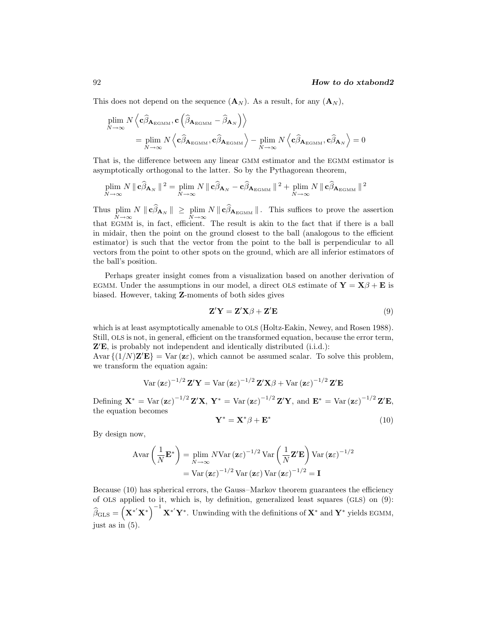This does not depend on the sequence  $(\mathbf{A}_N)$ . As a result, for any  $(\mathbf{A}_N)$ ,

$$
\begin{split} \min_{N \to \infty} & N \left\langle \mathbf{c} \hat{\beta}_{\mathbf{A}_{\text{EGMM}}}, \mathbf{c} \left( \hat{\beta}_{\mathbf{A}_{\text{EGMM}}} - \hat{\beta}_{\mathbf{A}_N} \right) \right\rangle \\ &= \min_{N \to \infty} N \left\langle \mathbf{c} \hat{\beta}_{\mathbf{A}_{\text{EGMM}}}, \mathbf{c} \hat{\beta}_{\mathbf{A}_{\text{EGMM}}} \right\rangle - \min_{N \to \infty} N \left\langle \mathbf{c} \hat{\beta}_{\mathbf{A}_{\text{EGMM}}}, \mathbf{c} \hat{\beta}_{\mathbf{A}_N} \right\rangle = 0 \end{split}
$$

That is, the difference between any linear GMM estimator and the EGMM estimator is asymptotically orthogonal to the latter. So by the Pythagorean theorem,

$$
\plim_{N\to\infty} N \|\mathbf{c}\widehat{\beta}_{\mathbf{A}_N}\|^2 = \plim_{N\to\infty} N \|\mathbf{c}\widehat{\beta}_{\mathbf{A}_N} - \mathbf{c}\widehat{\beta}_{\mathbf{A}_{\mathrm{EGMM}}}\|^2 + \plim_{N\to\infty} N \|\mathbf{c}\widehat{\beta}_{\mathbf{A}_{\mathrm{EGMM}}}\|^2
$$

Thus plim  $\lim_{N\to\infty} N \|\mathbf{c}\beta_{\mathbf{A}_N}\| \ge \lim_{N\to\infty} N \|\mathbf{c}\beta_{\mathbf{A}_{\text{EGMM}}}\|$ . This suffices to prove the assertion that EGMM is, in fact, efficient. The result is akin to the fact that if there is a ball in midair, then the point on the ground closest to the ball (analogous to the efficient estimator) is such that the vector from the point to the ball is perpendicular to all vectors from the point to other spots on the ground, which are all inferior estimators of the ball's position.

Perhaps greater insight comes from a visualization based on another derivation of EGMM. Under the assumptions in our model, a direct OLS estimate of  $\mathbf{Y} = \mathbf{X}\beta + \mathbf{E}$  is biased. However, taking **Z**-moments of both sides gives

$$
\mathbf{Z}'\mathbf{Y} = \mathbf{Z}'\mathbf{X}\boldsymbol{\beta} + \mathbf{Z}'\mathbf{E}
$$
\n(9)

which is at least asymptotically amenable to OLS (Holtz-Eakin, Newey, and Rosen 1988). Still, OLS is not, in general, efficient on the transformed equation, because the error term, **Z E**, is probably not independent and identically distributed (i.i.d.):

 $\text{Avar}\left\{\frac{1}{N}\mathbf{Z}'\mathbf{E}\right\} = \text{Var}\left(\mathbf{z}\varepsilon\right),$  which cannot be assumed scalar. To solve this problem, we transform the equation again:

$$
\text{Var}(\mathbf{z}\varepsilon)^{-1/2} \mathbf{Z}'\mathbf{Y} = \text{Var}(\mathbf{z}\varepsilon)^{-1/2} \mathbf{Z}'\mathbf{X}\beta + \text{Var}(\mathbf{z}\varepsilon)^{-1/2} \mathbf{Z}'\mathbf{E}
$$
\nDefining  $\mathbf{X}^* = \text{Var}(\mathbf{z}\varepsilon)^{-1/2} \mathbf{Z}'\mathbf{X}$ ,  $\mathbf{Y}^* = \text{Var}(\mathbf{z}\varepsilon)^{-1/2} \mathbf{Z}'\mathbf{Y}$ , and  $\mathbf{E}^* = \text{Var}(\mathbf{z}\varepsilon)^{-1/2} \mathbf{Z}'\mathbf{E}$ , the equation becomes

$$
\mathbf{Y}^* = \mathbf{X}^* \boldsymbol{\beta} + \mathbf{E}^* \tag{10}
$$

By design now,

Defining **X** 

$$
\begin{aligned} \text{Avar}\left(\frac{1}{N}\mathbf{E}^*\right) &= \lim_{N \to \infty} N \text{Var}\left(\mathbf{z}\varepsilon\right)^{-1/2} \text{Var}\left(\frac{1}{N}\mathbf{Z}'\mathbf{E}\right) \text{Var}\left(\mathbf{z}\varepsilon\right)^{-1/2} \\ &= \text{Var}\left(\mathbf{z}\varepsilon\right)^{-1/2} \text{Var}\left(\mathbf{z}\varepsilon\right) \text{Var}\left(\mathbf{z}\varepsilon\right)^{-1/2} = \mathbf{I} \end{aligned}
$$

Because (10) has spherical errors, the Gauss–Markov theorem guarantees the efficiency of OLS applied to it, which is, by definition, generalized least squares (GLS) on (9):  $\widehat{\beta}_{\text{GLS}} = \left(\mathbf{X}^{*'}\mathbf{X}^{*}\right)^{-1}\mathbf{X}^{*'}\mathbf{Y}^{*}$ . Unwinding with the definitions of  $\mathbf{X}^{*}$  and  $\mathbf{Y}^{*}$  yields EGMM, just as in (5).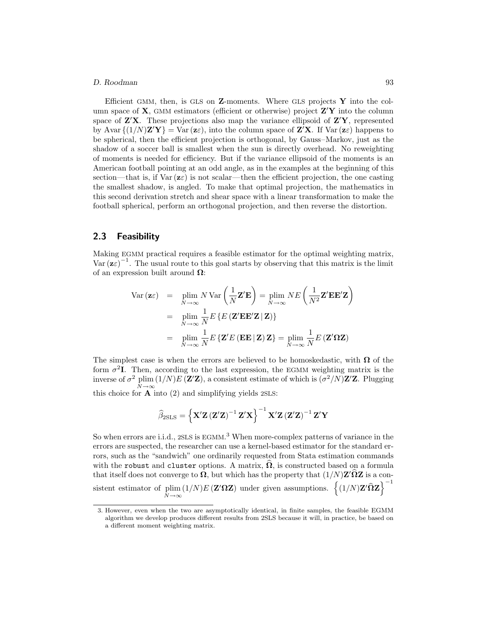#### *D. Roodman* 93

Efficient GMM, then, is GLS on **Z**-moments. Where GLS projects **Y** into the column space of **X**, GMM estimators (efficient or otherwise) project **Z Y** into the column space of **Z X**. These projections also map the variance ellipsoid of **Z Y**, represented by Avar  $\{(1/N)\mathbf{Z}'\mathbf{Y}\} = \text{Var}(\mathbf{z}\varepsilon)$ , into the column space of  $\mathbf{Z}'\mathbf{X}$ . If  $\text{Var}(\mathbf{z}\varepsilon)$  happens to be spherical, then the efficient projection is orthogonal, by Gauss–Markov, just as the shadow of a soccer ball is smallest when the sun is directly overhead. No reweighting of moments is needed for efficiency. But if the variance ellipsoid of the moments is an American football pointing at an odd angle, as in the examples at the beginning of this section—that is, if  $\text{Var}(\mathbf{z}\varepsilon)$  is not scalar—then the efficient projection, the one casting the smallest shadow, is angled. To make that optimal projection, the mathematics in this second derivation stretch and shear space with a linear transformation to make the football spherical, perform an orthogonal projection, and then reverse the distortion.

#### **2.3 Feasibility**

Making EGMM practical requires a feasible estimator for the optimal weighting matrix, Var  $(\mathbf{z}\varepsilon)^{-1}$ . The usual route to this goal starts by observing that this matrix is the limit of an expression built around **Ω**:

$$
\begin{array}{rcl}\n\text{Var}(\mathbf{z}\varepsilon) & = & \min_{N \to \infty} N \text{Var}\left(\frac{1}{N} \mathbf{Z}' \mathbf{E}\right) = \min_{N \to \infty} N E\left(\frac{1}{N^2} \mathbf{Z}' \mathbf{E} \mathbf{E}' \mathbf{Z}\right) \\
& = & \min_{N \to \infty} \frac{1}{N} E\left\{E\left(\mathbf{Z}' \mathbf{E} \mathbf{E}' \mathbf{Z} \mid \mathbf{Z}\right)\right\} \\
& = & \min_{N \to \infty} \frac{1}{N} E\left\{\mathbf{Z}' E\left(\mathbf{E} \mathbf{E} \mid \mathbf{Z}\right) \mathbf{Z}\right\} = \min_{N \to \infty} \frac{1}{N} E\left(\mathbf{Z}' \mathbf{\Omega} \mathbf{Z}\right)\n\end{array}
$$

The simplest case is when the errors are believed to be homoskedastic, with  $\Omega$  of the form  $\sigma^2 I$ . Then, according to the last expression, the EGMM weighting matrix is the inverse of  $\sigma^2$  plim  $(1/N)E(\mathbf{Z}'\mathbf{Z})$ , a consistent estimate of which is  $(\sigma^2/N)\mathbf{Z}'\mathbf{Z}$ . Plugging this choice for **A** into (2) and simplifying yields 2SLS:

$$
\widehat{\beta}_{2SLS}=\left\{\mathbf{X}'\mathbf{Z}\left(\mathbf{Z}'\mathbf{Z}\right)^{-1}\mathbf{Z}'\mathbf{X}\right\}^{-1}\mathbf{X}'\mathbf{Z}\left(\mathbf{Z}'\mathbf{Z}\right)^{-1}\mathbf{Z}'\mathbf{Y}
$$

So when errors are i.i.d., 2SLS is EGMM.<sup>3</sup> When more-complex patterns of variance in the errors are suspected, the researcher can use a kernel-based estimator for the standard errors, such as the "sandwich" one ordinarily requested from Stata estimation commands with the robust and cluster options. A matrix,  $\Omega$ , is constructed based on a formula that itself does not converge to  $\Omega$ , but which has the property that  $(1/N)Z'\Omega Z$  is a consistent estimator of plim  $\tilde{N} \rightarrow \infty$  $(1/N)E(Z'\Omega Z)$  under given assumptions.  $\{(1/N)Z'\hat{\Omega}Z\}^{-1}$ 

<sup>3.</sup> However, even when the two are asymptotically identical, in finite samples, the feasible EGMM algorithm we develop produces different results from 2SLS because it will, in practice, be based on a different moment weighting matrix.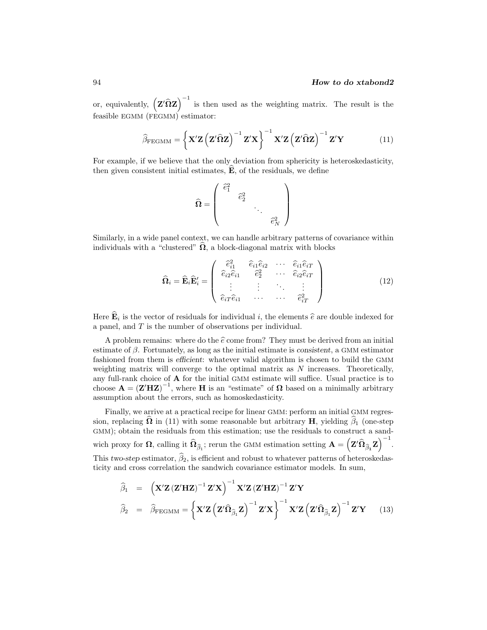or, equivalently,  $(Z'\hat{\Omega}Z)^{-1}$  is then used as the weighting matrix. The result is the feasible EGMM (FEGMM) estimator:

$$
\widehat{\beta}_{\text{FEGMM}} = \left\{ \mathbf{X}' \mathbf{Z} \left( \mathbf{Z}' \widehat{\mathbf{\Omega}} \mathbf{Z} \right)^{-1} \mathbf{Z}' \mathbf{X} \right\}^{-1} \mathbf{X}' \mathbf{Z} \left( \mathbf{Z}' \widehat{\mathbf{\Omega}} \mathbf{Z} \right)^{-1} \mathbf{Z}' \mathbf{Y} \tag{11}
$$

For example, if we believe that the only deviation from sphericity is heteroskedasticity, then given consistent initial estimates, **<sup>E</sup>**-, of the residuals, we define

$$
\widehat{\Omega} = \left( \begin{array}{ccc} \widehat{e}_1^2 & & & \\ & \widehat{e}_2^2 & & \\ & & \ddots & \\ & & & \widehat{e}_N^2 \end{array} \right)
$$

Similarly, in a wide panel context, we can handle arbitrary patterns of covariance within individuals with a "clustered"  $\Omega$ , a block-diagonal matrix with blocks

$$
\widehat{\mathbf{\Omega}}_{i} = \widehat{\mathbf{E}}_{i} \widehat{\mathbf{E}}'_{i} = \begin{pmatrix} \widehat{e}_{i1}^{2} & \widehat{e}_{i1} \widehat{e}_{i2} & \cdots & \widehat{e}_{i1} \widehat{e}_{iT} \\ \widehat{e}_{i2} \widehat{e}_{i1} & \widehat{e}_{2}^{2} & \cdots & \widehat{e}_{i2} \widehat{e}_{iT} \\ \vdots & \vdots & \ddots & \vdots \\ \widehat{e}_{iT} \widehat{e}_{i1} & \cdots & \cdots & \widehat{e}_{iT}^{2} \end{pmatrix}
$$
(12)

Here  $\mathbf{E}_i$  is the vector of residuals for individual i, the elements  $\hat{e}$  are double indexed for a panel, and  $T$  is the number of observations per individual a panel, and T is the number of observations per individual.

A problem remains: where do the  $\hat{e}$  come from? They must be derived from an initial mate of  $\beta$ . Fortunately, as long as the initial estimate is consistent, a CMM estimator estimate of β. Fortunately, as long as the initial estimate is *consistent*, a GMM estimator fashioned from them is *efficient*: whatever valid algorithm is chosen to build the GMM weighting matrix will converge to the optimal matrix as  $N$  increases. Theoretically, any full-rank choice of **A** for the initial GMM estimate will suffice. Usual practice is to choose  $\mathbf{A} = (\mathbf{Z}'\mathbf{H}\mathbf{Z})^{-1}$ , where **H** is an "estimate" of  $\Omega$  based on a minimally arbitrary assumption about the errors, such as homoskedasticity.

Finally, we arrive at a practical recipe for linear GMM: perform an initial GMM regression, replacing  $\Omega$  in (11) with some reasonable but arbitrary **H**, yielding  $\beta_1$  (one-step GMM); obtain the residuals from this estimation; use the residuals to construct a sandwich proxy for  $\Omega$ , calling it  $\widehat{\Omega}_{\widehat{\beta}_1}$ ; rerun the GMM estimation setting  $\mathbf{A} = \left( \mathbf{Z}' \widehat{\Omega}_{\widehat{\beta}_1} \mathbf{Z} \right)^{-1}$ . This *two-step* estimator,  $\beta_2$ , is efficient and robust to whatever patterns of heteroskedasticity and cross correlation the sandwich covariance estimator models. In sum,

$$
\widehat{\beta}_1 = \left(\mathbf{X}'\mathbf{Z}\left(\mathbf{Z}'\mathbf{H}\mathbf{Z}\right)^{-1}\mathbf{Z}'\mathbf{X}\right)^{-1}\mathbf{X}'\mathbf{Z}\left(\mathbf{Z}'\mathbf{H}\mathbf{Z}\right)^{-1}\mathbf{Z}'\mathbf{Y}
$$
\n
$$
\widehat{\beta}_2 = \widehat{\beta}_{\text{FEGMM}} = \left\{\mathbf{X}'\mathbf{Z}\left(\mathbf{Z}'\widehat{\mathbf{\Omega}}_{\widehat{\beta}_1}\mathbf{Z}\right)^{-1}\mathbf{Z}'\mathbf{X}\right\}^{-1}\mathbf{X}'\mathbf{Z}\left(\mathbf{Z}'\widehat{\mathbf{\Omega}}_{\widehat{\beta}_1}\mathbf{Z}\right)^{-1}\mathbf{Z}'\mathbf{Y} \tag{13}
$$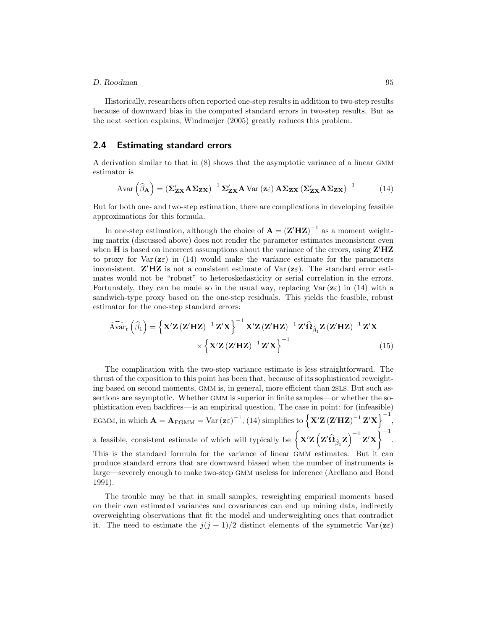#### *D. Roodman* 95

Historically, researchers often reported one-step results in addition to two-step results because of downward bias in the computed standard errors in two-step results. But as the next section explains, Windmeijer (2005) greatly reduces this problem.

#### **2.4 Estimating standard errors**

A derivation similar to that in (8) shows that the asymptotic variance of a linear GMM estimator is

$$
Avar\left(\widehat{\beta}_{A}\right) = \left(\Sigma'_{ZX} A \Sigma_{ZX}\right)^{-1} \Sigma'_{ZX} A \text{ Var}\left(z\epsilon\right) A \Sigma_{ZX} \left(\Sigma'_{ZX} A \Sigma_{ZX}\right)^{-1} \tag{14}
$$

But for both one- and two-step estimation, there are complications in developing feasible approximations for this formula.

In one-step estimation, although the choice of  $\mathbf{A} = (\mathbf{Z}' \mathbf{H} \mathbf{Z})^{-1}$  as a moment weighting matrix (discussed above) does not render the parameter estimates inconsistent even when **H** is based on incorrect assumptions about the variance of the errors, using **Z HZ** to proxy for Var  $(z\varepsilon)$  in (14) would make the *variance* estimate for the parameters inconsistent. **Z'HZ** is not a consistent estimate of Var $(z\varepsilon)$ . The standard error estimates would not be "robust" to heteroskedasticity or serial correlation in the errors. Fortunately, they can be made so in the usual way, replacing  $\text{Var}(\mathbf{z}\varepsilon)$  in (14) with a sandwich-type proxy based on the one-step residuals. This yields the feasible, robust estimator for the one-step standard errors:

$$
\widehat{\text{Avar}}_{\text{r}}\left(\widehat{\beta}_{1}\right) = \left\{\mathbf{X}^{\prime}\mathbf{Z}\left(\mathbf{Z}^{\prime}\mathbf{H}\mathbf{Z}\right)^{-1}\mathbf{Z}^{\prime}\mathbf{X}\right\}^{-1}\mathbf{X}^{\prime}\mathbf{Z}\left(\mathbf{Z}^{\prime}\mathbf{H}\mathbf{Z}\right)^{-1}\mathbf{Z}^{\prime}\widehat{\mathbf{\Omega}}_{\widehat{\beta}_{1}}\mathbf{Z}\left(\mathbf{Z}^{\prime}\mathbf{H}\mathbf{Z}\right)^{-1}\mathbf{Z}^{\prime}\mathbf{X}
$$
\n
$$
\times\left\{\mathbf{X}^{\prime}\mathbf{Z}\left(\mathbf{Z}^{\prime}\mathbf{H}\mathbf{Z}\right)^{-1}\mathbf{Z}^{\prime}\mathbf{X}\right\}^{-1} \tag{15}
$$

The complication with the two-step variance estimate is less straightforward. The thrust of the exposition to this point has been that, because of its sophisticated reweighting based on second moments, GMM is, in general, more efficient than 2SLS. But such assertions are asymptotic. Whether GMM is superior in finite samples—or whether the sophistication even backfires—is an empirical question. The case in point: for (infeasible)  $\text{EGMM, in which } \mathbf{A} = \mathbf{A}_{\text{EGMM}} = \text{Var}(\mathbf{z}\varepsilon)^{-1}, (14) \text{ simplifies to } \left\{ \mathbf{X}'\mathbf{Z}(\mathbf{Z}'\mathbf{H}\mathbf{Z})^{-1}\mathbf{Z}'\mathbf{X} \right\}^{-1},$ a feasible, consistent estimate of which will typically be  $\left\{ \mathbf{X}'\mathbf{Z} \left( \mathbf{Z}'\widehat{\mathbf{\Omega}}_{\widehat{\beta}_1} \mathbf{Z} \right)^{-1} \mathbf{Z}'\mathbf{X} \right\}^{-1}$ . This is the standard formula for the variance of linear GMM estimates. But it can produce standard errors that are downward biased when the number of instruments is large—severely enough to make two-step GMM useless for inference (Arellano and Bond 1991).

The trouble may be that in small samples, reweighting empirical moments based on their own estimated variances and covariances can end up mining data, indirectly overweighting observations that fit the model and underweighting ones that contradict it. The need to estimate the  $j(j + 1)/2$  distinct elements of the symmetric Var  $(z\varepsilon)$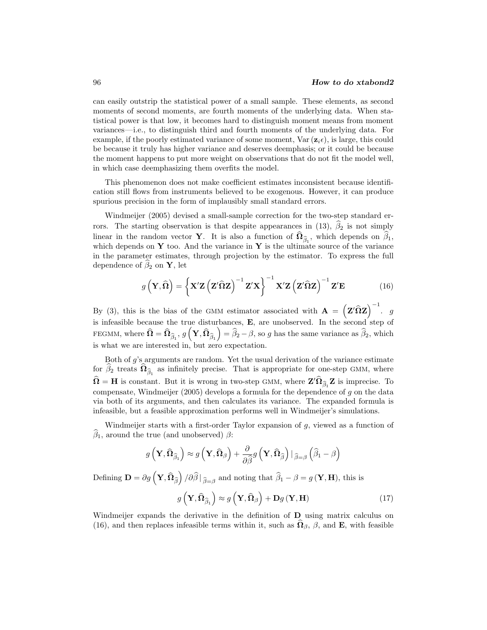can easily outstrip the statistical power of a small sample. These elements, as second moments of second moments, are fourth moments of the underlying data. When statistical power is that low, it becomes hard to distinguish moment means from moment variances—i.e., to distinguish third and fourth moments of the underlying data. For example, if the poorly estimated variance of some moment, Var  $(\mathbf{z}_i, \epsilon)$ , is large, this could be because it truly has higher variance and deserves deemphasis; or it could be because the moment happens to put more weight on observations that do not fit the model well, in which case deemphasizing them overfits the model.

This phenomenon does not make coefficient estimates inconsistent because identification still flows from instruments believed to be exogenous. However, it can produce spurious precision in the form of implausibly small standard errors.

Windmeijer (2005) devised a small-sample correction for the two-step standard errors. The starting observation is that despite appearances in (13),  $\beta_2$  is not simply linear in the random vector **Y**. It is also a function of  $\Omega_{\hat{\beta}_1}$ , which depends on  $\beta_1$ , which depends on **Y** too. And the variance in **Y** is the ultimate source of the variance in the parameter estimates, through projection by the estimator. To express the full dependence of  $\beta_2$  on **Y**, let

$$
g\left(\mathbf{Y},\widehat{\mathbf{\Omega}}\right) = \left\{\mathbf{X}'\mathbf{Z}\left(\mathbf{Z}'\widehat{\mathbf{\Omega}}\mathbf{Z}\right)^{-1}\mathbf{Z}'\mathbf{X}\right\}^{-1}\mathbf{X}'\mathbf{Z}\left(\mathbf{Z}'\widehat{\mathbf{\Omega}}\mathbf{Z}\right)^{-1}\mathbf{Z}'\mathbf{E}
$$
(16)

By (3), this is the bias of the GMM estimator associated with  $\mathbf{A} = (\mathbf{Z}' \hat{\Omega} \mathbf{Z})^{-1}$ . g is infeasible because the true disturbances, **E**, are unobserved. In the second step of FEGMM, where  $\widehat{\mathbf{\Omega}} = \widehat{\mathbf{\Omega}}_{\widehat{\beta}_1}, \, g\left(\mathbf{Y}, \widehat{\mathbf{\Omega}}_{\widehat{\beta}_1}\right) = \widehat{\beta}_2 - \beta$ , so g has the same variance as  $\widehat{\beta}_2$ , which is what we are interested in, but zero expectation.

Both of g's arguments are random. Yet the usual derivation of the variance estimate for  $\beta_2$  treats  $\Omega_{\beta_1}$  as infinitely precise. That is appropriate for one-step GMM, where  $\Omega = H$  is constant. But it is wrong in two-step GMM, where  $\mathbf{Z}'\Omega_{\beta_1}\mathbf{Z}$  is imprecise. To compensate, Windmeijer (2005) develops a formula for the dependence of  $g$  on the data via both of its arguments, and then calculates its variance. The expanded formula is infeasible, but a feasible approximation performs well in Windmeijer's simulations.

Windmeijer starts with a first-order Taylor expansion of g, viewed as a function of  $\beta_1$ , around the true (and unobserved)  $\beta$ :

$$
g\left(\mathbf{Y},\widehat{\boldsymbol{\Omega}}_{\widehat{\beta}_{1}}\right)\approx g\left(\mathbf{Y},\widehat{\boldsymbol{\Omega}}_{\beta}\right)+\frac{\partial}{\partial\widehat{\beta}}g\left(\mathbf{Y},\widehat{\boldsymbol{\Omega}}_{\widehat{\beta}}\right)|_{\widehat{\beta}=\beta}\left(\widehat{\beta}_{1}-\beta\right)
$$

Defining  $\mathbf{D} = \partial g\left(\mathbf{Y}, \widehat{\mathbf{\Omega}}_{\widehat{\beta}}\right) / \partial \widehat{\beta} \vert_{\widehat{\beta}=\beta}$  and noting that  $\widehat{\beta}_1 - \beta = g\left(\mathbf{Y}, \mathbf{H}\right)$ , this is

$$
g\left(\mathbf{Y},\widehat{\Omega}_{\widehat{\beta}_{1}}\right) \approx g\left(\mathbf{Y},\widehat{\Omega}_{\beta}\right) + \mathbf{D}g\left(\mathbf{Y},\mathbf{H}\right) \tag{17}
$$

Windmeijer expands the derivative in the definition of **D** using matrix calculus on (16), and then replaces infeasible terms within it, such as  $\Omega_{\beta}$ ,  $\beta$ , and **E**, with feasible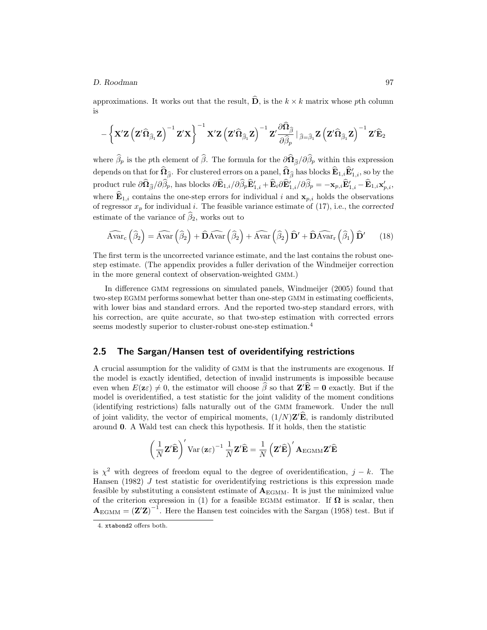approximations. It works out that the result, **D**, is the  $k \times k$  matrix whose pth column is

$$
-\left\{\mathbf{X}^\prime\mathbf{Z}\left(\mathbf{Z}^\prime\widehat{\boldsymbol{\Omega}}_{\widehat{\boldsymbol{\beta}}_1}\mathbf{Z}\right)^{-1}\mathbf{Z}^\prime\mathbf{X}\right\}^{-1}\mathbf{X}^\prime\mathbf{Z}\left(\mathbf{Z}^\prime\widehat{\boldsymbol{\Omega}}_{\widehat{\boldsymbol{\beta}}_1}\mathbf{Z}\right)^{-1}\mathbf{Z}^\prime\frac{\partial\widehat{\boldsymbol{\Omega}}_{\widehat{\boldsymbol{\beta}}}}{\partial\widehat{\boldsymbol{\beta}}_p}\bigm|\widehat{\boldsymbol{\beta}}=\widehat{\boldsymbol{\beta}}_1\mathbf{Z}\left(\mathbf{Z}^\prime\widehat{\boldsymbol{\Omega}}_{\widehat{\boldsymbol{\beta}}_1}\mathbf{Z}\right)^{-1}\mathbf{Z}^\prime\widehat{\mathbf{E}}_2
$$

where  $\beta_p$  is the pth element of  $\beta$ . The formula for the  $\partial \Omega_{\hat{\beta}}/\partial \beta_p$  within this expression depends on that for  $\Omega_{\widehat{\beta}}$ . For clustered errors on a panel,  $\Omega_{\widehat{\beta}}$  has blocks  $\mathbf{E}_{1,i} \mathbf{E}'_{1,i}$ , so by the  $\text{product rule } \partial \mathbf{\Omega}_{\widehat{\beta}} / \partial \beta_p, \text{ has blocks } \partial \mathbf{E}_{1,i} / \partial \beta_p \mathbf{E}_{1,i}' + \mathbf{E}_i \partial \mathbf{E}_{1,i}' / \partial \beta_p = -\mathbf{x}_{p,i} \mathbf{E}_{1,i}' - \mathbf{E}_{1,i} \mathbf{x}_{p,i}',$ where  $\mathbf{E}_{1,i}$  contains the one-step errors for individual i and  $\mathbf{x}_{p,i}$  holds the observations of regressor  $x_p$  for individual i. The feasible variance estimate of  $(17)$ , i.e., the *corrected* estimate of the variance of  $\beta_2$ , works out to

$$
\widehat{\text{Avar}}_{\text{c}}\left(\widehat{\beta}_{2}\right) = \widehat{\text{Avar}}\left(\widehat{\beta}_{2}\right) + \widehat{\text{D}}\widehat{\text{Avar}}\left(\widehat{\beta}_{2}\right) + \widehat{\text{Avar}}\left(\widehat{\beta}_{2}\right)\widehat{\text{D}}' + \widehat{\text{D}}\widehat{\text{Avar}}_{\text{r}}\left(\widehat{\beta}_{1}\right)\widehat{\text{D}}'\qquad(18)
$$

The first term is the uncorrected variance estimate, and the last contains the robust onestep estimate. (The appendix provides a fuller derivation of the Windmeijer correction in the more general context of observation-weighted GMM.)

In difference GMM regressions on simulated panels, Windmeijer (2005) found that two-step EGMM performs somewhat better than one-step GMM in estimating coefficients, with lower bias and standard errors. And the reported two-step standard errors, with his correction, are quite accurate, so that two-step estimation with corrected errors seems modestly superior to cluster-robust one-step estimation.<sup>4</sup>

### **2.5 The Sargan/Hansen test of overidentifying restrictions**

A crucial assumption for the validity of GMM is that the instruments are exogenous. If the model is exactly identified, detection of invalid instruments is impossible because even when  $E(\mathbf{z}\varepsilon) \neq 0$ , the estimator will choose  $\beta$  so that  $\mathbf{Z}'\mathbf{E} = \mathbf{0}$  exactly. But if the model is overidentified, a test statistic for the joint validity of the moment conditions (identifying restrictions) falls naturally out of the GMM framework. Under the null of joint validity, the vector of empirical moments,  $(1/N)\mathbf{Z}'\mathbf{E}$ , is randomly distributed around **0**. A Wald test can check this hypothesis. If it holds, then the statistic

$$
\left(\frac{1}{N}\mathbf{Z}'\widehat{\mathbf{E}}\right)' \text{Var}\left(\mathbf{z}\varepsilon\right)^{-1} \frac{1}{N}\mathbf{Z}'\widehat{\mathbf{E}} = \frac{1}{N}\left(\mathbf{Z}'\widehat{\mathbf{E}}\right)' \mathbf{A}_{\text{EGMM}}\mathbf{Z}'\widehat{\mathbf{E}}
$$

is  $\chi^2$  with degrees of freedom equal to the degree of overidentification,  $j - k$ . The Hansen (1982)  $J$  test statistic for overidentifying restrictions is this expression made feasible by substituting a consistent estimate of  $A_{\text{EGMM}}$ . It is just the minimized value of the criterion expression in (1) for a feasible EGMM estimator. If  $\Omega$  is scalar, then  $A_{\text{EGMM}} = (\mathbf{Z}'\mathbf{Z})^{-1}$ . Here the Hansen test coincides with the Sargan (1958) test. But if

<sup>4.</sup> xtabond2 offers both.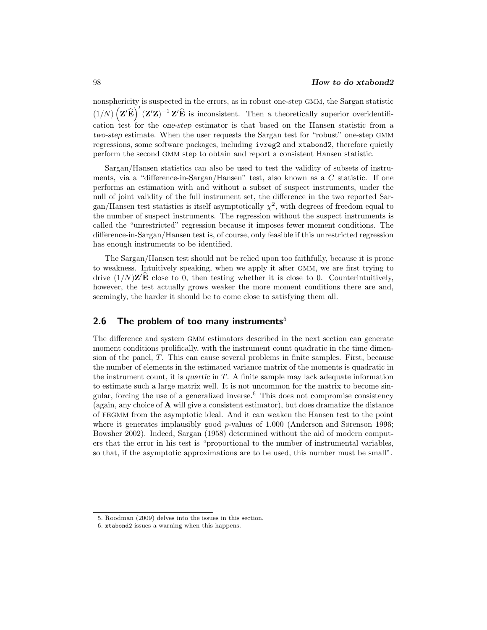nonsphericity is suspected in the errors, as in robust one-step GMM, the Sargan statistic  $(1/N)\left(\mathbf{Z}'\widehat{\mathbf{E}}\right)'(\mathbf{Z}'\mathbf{Z})^{-1}\mathbf{Z}'\widehat{\mathbf{E}}$  is inconsistent. Then a theoretically superior overidentification test for the *one-step* estimator is that based on the Hansen statistic from a *two-step* estimate. When the user requests the Sargan test for "robust" one-step GMM regressions, some software packages, including ivreg2 and xtabond2, therefore quietly perform the second GMM step to obtain and report a consistent Hansen statistic.

Sargan/Hansen statistics can also be used to test the validity of subsets of instruments, via a "difference-in-Sargan/Hansen" test, also known as a C statistic. If one performs an estimation with and without a subset of suspect instruments, under the null of joint validity of the full instrument set, the difference in the two reported Sargan/Hansen test statistics is itself asymptotically  $\chi^2$ , with degrees of freedom equal to the number of suspect instruments. The regression without the suspect instruments is called the "unrestricted" regression because it imposes fewer moment conditions. The difference-in-Sargan/Hansen test is, of course, only feasible if this unrestricted regression has enough instruments to be identified.

The Sargan/Hansen test should not be relied upon too faithfully, because it is prone to weakness. Intuitively speaking, when we apply it after GMM, we are first trying to drive  $(1/N)\mathbf{Z}'\mathbf{E}$  close to 0, then testing whether it is close to 0. Counterintuitively, however, the test actually grows weaker the more moment conditions there are and, seemingly, the harder it should be to come close to satisfying them all.

### **2.6 The problem of too many instruments**<sup>5</sup>

The difference and system GMM estimators described in the next section can generate moment conditions prolifically, with the instrument count quadratic in the time dimension of the panel, T. This can cause several problems in finite samples. First, because the number of elements in the estimated variance matrix of the moments is quadratic in the instrument count, it is *quartic* in T. A finite sample may lack adequate information to estimate such a large matrix well. It is not uncommon for the matrix to become singular, forcing the use of a generalized inverse. $6$  This does not compromise consistency (again, any choice of **A** will give a consistent estimator), but does dramatize the distance of FEGMM from the asymptotic ideal. And it can weaken the Hansen test to the point where it generates implausibly good  $p$ -values of 1.000 (Anderson and Sørenson 1996; Bowsher 2002). Indeed, Sargan (1958) determined without the aid of modern computers that the error in his test is "proportional to the number of instrumental variables, so that, if the asymptotic approximations are to be used, this number must be small".

<sup>5.</sup> Roodman (2009) delves into the issues in this section.

<sup>6.</sup> xtabond2 issues a warning when this happens.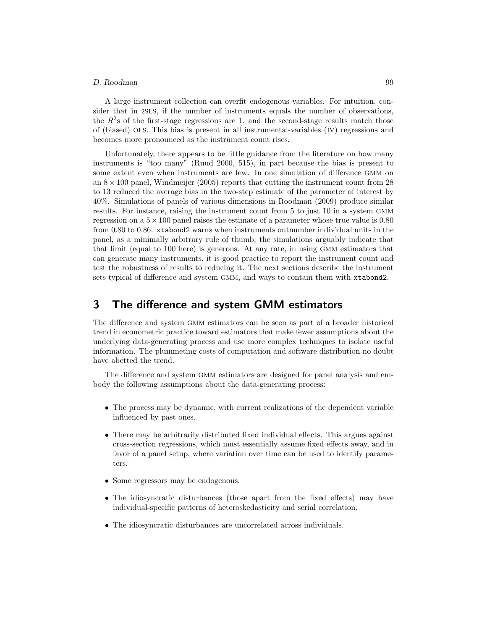#### *D. Roodman* 99

A large instrument collection can overfit endogenous variables. For intuition, consider that in 2SLS, if the number of instruments equals the number of observations, the  $R^2$ s of the first-stage regressions are 1, and the second-stage results match those of (biased) OLS. This bias is present in all instrumental-variables (IV) regressions and becomes more pronounced as the instrument count rises.

Unfortunately, there appears to be little guidance from the literature on how many instruments is "too many" (Ruud 2000, 515), in part because the bias is present to some extent even when instruments are few. In one simulation of difference GMM on an  $8 \times 100$  panel, Windmeijer (2005) reports that cutting the instrument count from 28 to 13 reduced the average bias in the two-step estimate of the parameter of interest by 40%. Simulations of panels of various dimensions in Roodman (2009) produce similar results. For instance, raising the instrument count from 5 to just 10 in a system GMM regression on a  $5 \times 100$  panel raises the estimate of a parameter whose true value is 0.80 from 0.80 to 0.86. xtabond2 warns when instruments outnumber individual units in the panel, as a minimally arbitrary rule of thumb; the simulations arguably indicate that that limit (equal to 100 here) is generous. At any rate, in using GMM estimators that can generate many instruments, it is good practice to report the instrument count and test the robustness of results to reducing it. The next sections describe the instrument sets typical of difference and system GMM, and ways to contain them with xtabond2.

# **3 The difference and system GMM estimators**

The difference and system GMM estimators can be seen as part of a broader historical trend in econometric practice toward estimators that make fewer assumptions about the underlying data-generating process and use more complex techniques to isolate useful information. The plummeting costs of computation and software distribution no doubt have abetted the trend.

The difference and system GMM estimators are designed for panel analysis and embody the following assumptions about the data-generating process:

- The process may be dynamic, with current realizations of the dependent variable influenced by past ones.
- There may be arbitrarily distributed fixed individual effects. This argues against cross-section regressions, which must essentially assume fixed effects away, and in favor of a panel setup, where variation over time can be used to identify parameters.
- Some regressors may be endogenous.
- The idiosyncratic disturbances (those apart from the fixed effects) may have individual-specific patterns of heteroskedasticity and serial correlation.
- The idiosyncratic disturbances are uncorrelated across individuals.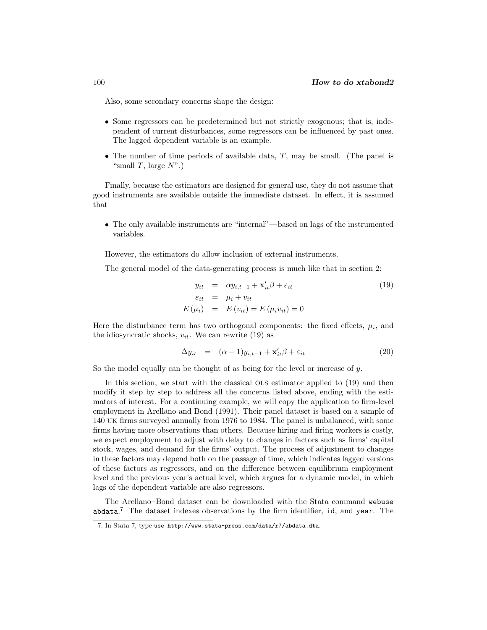Also, some secondary concerns shape the design:

- Some regressors can be predetermined but not strictly exogenous; that is, independent of current disturbances, some regressors can be influenced by past ones. The lagged dependent variable is an example.
- The number of time periods of available data,  $T$ , may be small. (The panel is "small  $T$ , large  $N$ ".)

Finally, because the estimators are designed for general use, they do not assume that good instruments are available outside the immediate dataset. In effect, it is assumed that

• The only available instruments are "internal"—based on lags of the instrumented variables.

However, the estimators do allow inclusion of external instruments.

The general model of the data-generating process is much like that in section 2:

$$
y_{it} = \alpha y_{i,t-1} + \mathbf{x}'_{it} \beta + \varepsilon_{it}
$$
  
\n
$$
\varepsilon_{it} = \mu_i + v_{it}
$$
  
\n
$$
E(\mu_i) = E(v_{it}) = E(\mu_i v_{it}) = 0
$$
\n(19)

Here the disturbance term has two orthogonal components: the fixed effects,  $\mu_i$ , and the idiosyncratic shocks,  $v_{it}$ . We can rewrite (19) as

$$
\Delta y_{it} = (\alpha - 1)y_{i,t-1} + \mathbf{x}'_{it}\beta + \varepsilon_{it} \tag{20}
$$

So the model equally can be thought of as being for the level or increase of  $y$ .

In this section, we start with the classical OLS estimator applied to (19) and then modify it step by step to address all the concerns listed above, ending with the estimators of interest. For a continuing example, we will copy the application to firm-level employment in Arellano and Bond (1991). Their panel dataset is based on a sample of 140 UK firms surveyed annually from 1976 to 1984. The panel is unbalanced, with some firms having more observations than others. Because hiring and firing workers is costly, we expect employment to adjust with delay to changes in factors such as firms' capital stock, wages, and demand for the firms' output. The process of adjustment to changes in these factors may depend both on the passage of time, which indicates lagged versions of these factors as regressors, and on the difference between equilibrium employment level and the previous year's actual level, which argues for a dynamic model, in which lags of the dependent variable are also regressors.

The Arellano–Bond dataset can be downloaded with the Stata command webuse abdata.<sup>7</sup> The dataset indexes observations by the firm identifier, id, and year. The

<sup>7.</sup> In Stata 7, type use http://www.stata-press.com/data/r7/abdata.dta.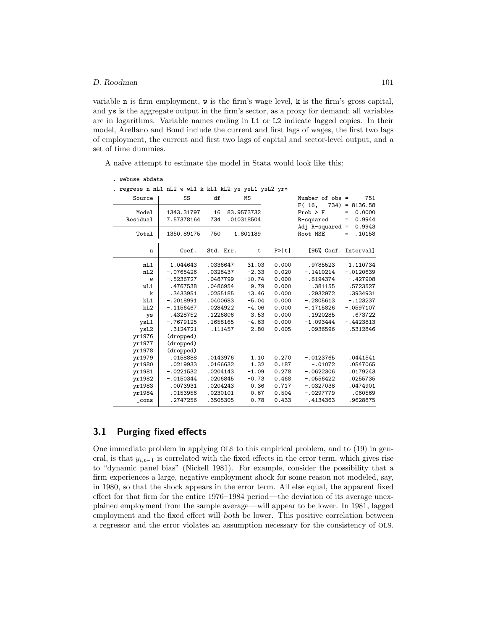variable n is firm employment, w is the firm's wage level, k is the firm's gross capital, and ys is the aggregate output in the firm's sector, as a proxy for demand; all variables are in logarithms. Variable names ending in L1 or L2 indicate lagged copies. In their model, Arellano and Bond include the current and first lags of wages, the first two lags of employment, the current and first two lags of capital and sector-level output, and a set of time dummies.

A naïve attempt to estimate the model in Stata would look like this:

| webuse abdata |  |
|---------------|--|
|---------------|--|

#### . regress n nL1 nL2 w wL1 k kL1 kL2 ys ysL1 ysL2 yr\*

| Source         | SS          | df        | MS          |       | Number of $obs =$             | 751                         |
|----------------|-------------|-----------|-------------|-------|-------------------------------|-----------------------------|
| Model          | 1343.31797  | 16        | 83.9573732  |       | F(16,<br>$Prob$ > $F$         | $734$ ) = 8136.58<br>0.0000 |
|                |             |           |             |       |                               | =                           |
| Residual       | 7.57378164  | 734       | .010318504  |       | R-squared                     | 0.9944<br>=                 |
| Total          | 1350.89175  | 750       | 1.801189    |       | $Adj$ R-squared =<br>Root MSE | 0.9943<br>.10158<br>$=$     |
| n              | Coef.       | Std. Err. | $\mathbf t$ | P>  t | [95% Conf. Interval]          |                             |
| nL1            | 1.044643    | .0336647  | 31.03       | 0.000 | .9785523                      | 1.110734                    |
| nL2            | $-.0765426$ | .0328437  | $-2.33$     | 0.020 | $-.1410214$                   | $-.0120639$                 |
| W              | $-.5236727$ | .0487799  | $-10.74$    | 0.000 | $-.6194374$                   | $-.427908$                  |
| wL1            | .4767538    | .0486954  | 9.79        | 0.000 | .381155                       | .5723527                    |
| $\mathbf k$    | .3433951    | .0255185  | 13.46       | 0.000 | .2932972                      | .3934931                    |
| kL1            | $-.2018991$ | .0400683  | $-5.04$     | 0.000 | $-.2805613$                   | $-.123237$                  |
| kL2            | $-.1156467$ | .0284922  | $-4.06$     | 0.000 | $-.1715826$                   | $-.0597107$                 |
| ys             | .4328752    | .1226806  | 3.53        | 0.000 | .1920285                      | .673722                     |
| ysL1           | $-.7679125$ | .1658165  | $-4.63$     | 0.000 | $-1.093444$                   | $-.4423813$                 |
| ysL2           | .3124721    | .111457   | 2.80        | 0.005 | .0936596                      | .5312846                    |
| yr1976         | (dropped)   |           |             |       |                               |                             |
| yr1977         | (dropped)   |           |             |       |                               |                             |
| yr1978         | (dropped)   |           |             |       |                               |                             |
| vr1979         | .0158888    | .0143976  | 1.10        | 0.270 | $-.0123765$                   | .0441541                    |
| yr1980         | .0219933    | .0166632  | 1.32        | 0.187 | $-.01072$                     | .0547065                    |
| yr1981         | $-.0221532$ | .0204143  | $-1.09$     | 0.278 | $-.0622306$                   | .0179243                    |
| yr1982         | $-.0150344$ | .0206845  | $-0.73$     | 0.468 | $-.0556422$                   | .0255735                    |
| yr1983         | .0073931    | .0204243  | 0.36        | 0.717 | $-.0327038$                   | .0474901                    |
| yr1984         | .0153956    | .0230101  | 0.67        | 0.504 | $-.0297779$                   | .060569                     |
| $_{\rm -cons}$ | .2747256    | .3505305  | 0.78        | 0.433 | $-.4134363$                   | .9628875                    |

### **3.1 Purging fixed effects**

One immediate problem in applying OLS to this empirical problem, and to (19) in general, is that  $y_{i,t-1}$  is correlated with the fixed effects in the error term, which gives rise to "dynamic panel bias" (Nickell 1981). For example, consider the possibility that a firm experiences a large, negative employment shock for some reason not modeled, say, in 1980, so that the shock appears in the error term. All else equal, the apparent fixed effect for that firm for the entire 1976–1984 period—the deviation of its average unexplained employment from the sample average—will appear to be lower. In 1981, lagged employment and the fixed effect will *both* be lower. This positive correlation between a regressor and the error violates an assumption necessary for the consistency of OLS.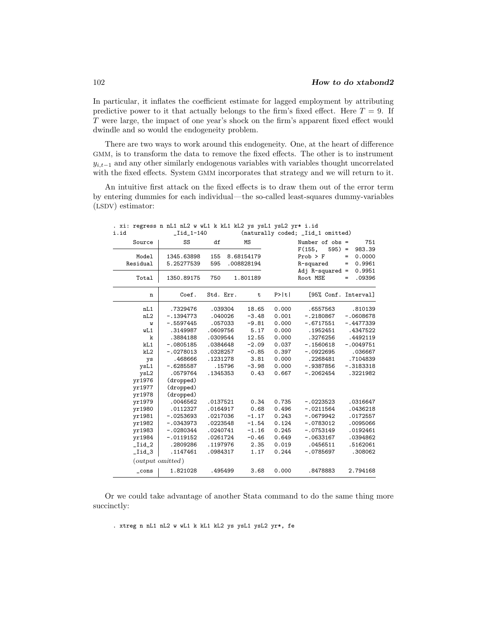In particular, it inflates the coefficient estimate for lagged employment by attributing predictive power to it that actually belongs to the firm's fixed effect. Here  $T = 9$ . If T were large, the impact of one year's shock on the firm's apparent fixed effect would dwindle and so would the endogeneity problem.

There are two ways to work around this endogeneity. One, at the heart of difference GMM, is to transform the data to remove the fixed effects. The other is to instrument  $y_{i,t-1}$  and any other similarly endogenous variables with variables thought uncorrelated with the fixed effects. System GMM incorporates that strategy and we will return to it.

An intuitive first attack on the fixed effects is to draw them out of the error term by entering dummies for each individual—the so-called least-squares dummy-variables (LSDV) estimator:

. xi: regress n nL1 nL2 w wL1 k kL1 kL2 ys ysL1 ysL2 yr\* i.id

| i.id           | $_Iid_1-140$     |           |        | (naturally coded; _Iid_1 omitted) |       |                      |     |             |
|----------------|------------------|-----------|--------|-----------------------------------|-------|----------------------|-----|-------------|
| Source         | SS               | df        |        | MS                                |       | Number of $obs =$    |     | 751         |
|                |                  |           |        |                                   |       | $595$ ) =<br>F(155,  |     | 983.39      |
| Model          | 1345.63898       | 155       |        | 8.68154179                        |       | $Prob$ > $F$         | $=$ | 0.0000      |
| Residual       | 5.25277539       | 595       |        | .008828194                        |       | R-squared            | $=$ | 0.9961      |
|                |                  |           |        |                                   |       | Adj $R$ -squared =   |     | 0.9951      |
| Total          | 1350.89175       | 750       |        | 1.801189                          |       | Root MSE             | =   | .09396      |
| n              | Coef.            | Std. Err. |        | ${\tt t}$                         | P>  t | [95% Conf. Interval] |     |             |
| nL1            | .7329476         | .039304   |        | 18.65                             | 0.000 | .6557563             |     | .810139     |
| nL2            | $-.1394773$      | .040026   |        | $-3.48$                           | 0.001 | $-.2180867$          |     | $-.0608678$ |
| W              | $-.5597445$      | .057033   |        | $-9.81$                           | 0.000 | $-.6717551$          |     | $-.4477339$ |
| wL1            | .3149987         | .0609756  |        | 5.17                              | 0.000 | .1952451             |     | .4347522    |
| k              | .3884188         | .0309544  |        | 12.55                             | 0.000 | .3276256             |     | .4492119    |
| kL1            | $-.0805185$      | .0384648  |        | $-2.09$                           | 0.037 | $-.1560618$          |     | $-.0049751$ |
| kL2            | $-.0278013$      | .0328257  |        | $-0.85$                           | 0.397 | $-.0922695$          |     | .036667     |
| ys             | .468666          | .1231278  |        | 3.81                              | 0.000 | .2268481             |     | .7104839    |
| ysL1           | $-.6285587$      |           | .15796 | $-3.98$                           | 0.000 | $-.9387856$          |     | $-.3183318$ |
| ysL2           | .0579764         | .1345353  |        | 0.43                              | 0.667 | $-.2062454$          |     | .3221982    |
| yr1976         | (dropped)        |           |        |                                   |       |                      |     |             |
| yr1977         | (dropped)        |           |        |                                   |       |                      |     |             |
| yr1978         | (dropped)        |           |        |                                   |       |                      |     |             |
| yr1979         | .0046562         | .0137521  |        | 0.34                              | 0.735 | $-.0223523$          |     | .0316647    |
| yr1980         | .0112327         | .0164917  |        | 0.68                              | 0.496 | $-.0211564$          |     | .0436218    |
| yr1981         | $-.0253693$      | .0217036  |        | $-1.17$                           | 0.243 | $-.0679942$          |     | .0172557    |
| yr1982         | $-.0343973$      | .0223548  |        | $-1.54$                           | 0.124 | $-.0783012$          |     | .0095066    |
| yr1983         | $-.0280344$      | .0240741  |        | $-1.16$                           | 0.245 | $-.0753149$          |     | .0192461    |
| yr1984         | $-.0119152$      | .0261724  |        | $-0.46$                           | 0.649 | $-.0633167$          |     | .0394862    |
| $_$ Iid $_2$   | .2809286         | .1197976  |        | 2.35                              | 0.019 | .0456511             |     | .5162061    |
| _Iid_3         | .1147461         | .0984317  |        | 1.17                              | 0.244 | $-.0785697$          |     | .308062     |
|                | (output omitted) |           |        |                                   |       |                      |     |             |
| $_{\rm -cons}$ | 1.821028         | .495499   |        | 3.68                              | 0.000 | .8478883             |     | 2.794168    |

Or we could take advantage of another Stata command to do the same thing more succinctly:

. xtreg n nL1 nL2 w wL1 k kL1 kL2 ys ysL1 ysL2 yr\*, fe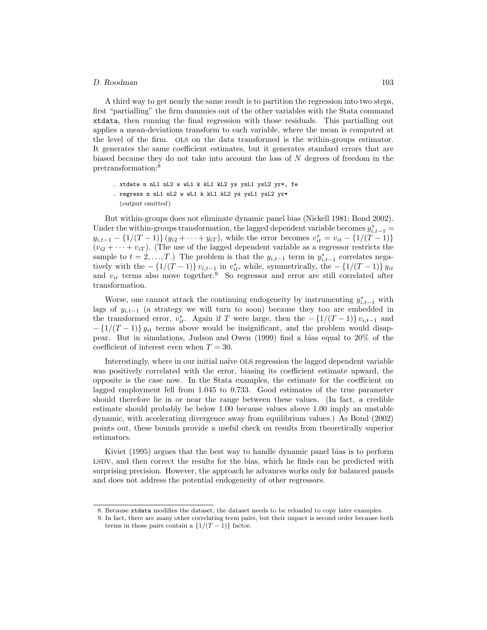#### *D. Roodman* 103

A third way to get nearly the same result is to partition the regression into two steps, first "partialling" the firm dummies out of the other variables with the Stata command xtdata, then running the final regression with those residuals. This partialling out applies a mean-deviations transform to each variable, where the mean is computed at the level of the firm. OLS on the data transformed is the within-groups estimator. It generates the same coefficient estimates, but it generates standard errors that are biased because they do not take into account the loss of  $N$  degrees of freedom in the pretransformation:<sup>8</sup>

- . xtdata n nL1 nL2 w wL1 k kL1 kL2 ys ysL1 ysL2 yr\*, fe
- . regress n nL1 nL2 w wL1 k kL1 kL2 ys ysL1 ysL2 yr\* (*output omitted* )

But within-groups does not eliminate dynamic panel bias (Nickell 1981; Bond 2002). Under the within-groups transformation, the lagged dependent variable becomes  $y_{i,t-1}^* =$  $y_{i,t-1} - \{1/(T-1)\}\{y_{i2} + \cdots + y_{iT}\}\text{, while the error becomes } v_{it}^* = v_{it} - \{1/(T-1)\}\$  $(v_{i2} + \cdots + v_{iT})$ . (The use of the lagged dependent variable as a regressor restricts the sample to  $t = 2, ..., T$ .) The problem is that the  $y_{i,t-1}$  term in  $y_{i,t-1}^*$  correlates negatively with the  $-\{1/(T-1)\}v_{i,t-1}$  in  $v_{it}^*$ , while, symmetrically, the  $-\{1/(T-1)\}v_{it}$ and  $v_{it}$  terms also move together.<sup>9</sup> So regressor and error are still correlated after transformation.

Worse, one cannot attack the continuing endogeneity by instrumenting  $y_{i,t-1}^*$  with lags of  $y_{i,t-1}$  (a strategy we will turn to soon) because they too are embedded in the transformed error,  $v_{it}^*$ . Again if T were large, then the  $-\{1/(T-1)\} v_{i,t-1}$  and  $-\left\{1/(T-1)\right\} y_{it}$  terms above would be insignificant, and the problem would disappear. But in simulations, Judson and Owen (1999) find a bias equal to 20% of the coefficient of interest even when  $T = 30$ .

Interestingly, where in our initial naïve OLS regression the lagged dependent variable was positively correlated with the error, biasing its coefficient estimate upward, the opposite is the case now. In the Stata examples, the estimate for the coefficient on lagged employment fell from 1.045 to 0.733. Good estimates of the true parameter should therefore lie in or near the range between these values. (In fact, a credible estimate should probably be below 1.00 because values above 1.00 imply an unstable dynamic, with accelerating divergence away from equilibrium values.) As Bond (2002) points out, these bounds provide a useful check on results from theoretically superior estimators.

Kiviet (1995) argues that the best way to handle dynamic panel bias is to perform LSDV, and then correct the results for the bias, which he finds can be predicted with surprising precision. However, the approach he advances works only for balanced panels and does not address the potential endogeneity of other regressors.

<sup>8.</sup> Because xtdata modifies the dataset, the dataset needs to be reloaded to copy later examples.

<sup>9.</sup> In fact, there are many other correlating term pairs, but their impact is second order because both terms in those pairs contain a  $\{1/(T-1)\}\)$  factor.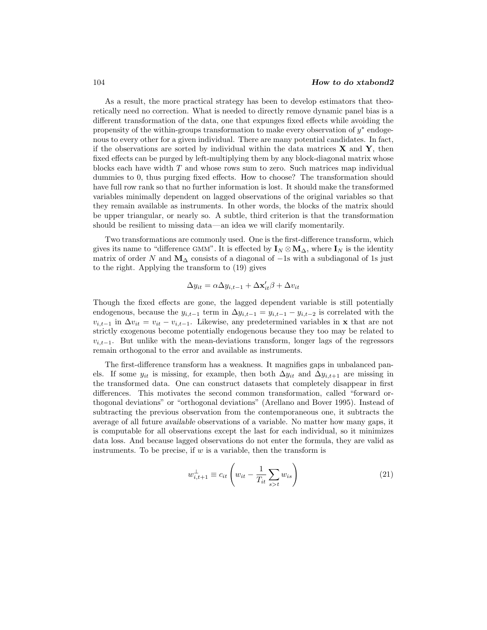As a result, the more practical strategy has been to develop estimators that theoretically need no correction. What is needed to directly remove dynamic panel bias is a different transformation of the data, one that expunges fixed effects while avoiding the propensity of the within-groups transformation to make every observation of  $y^*$  endogenous to every other for a given individual. There are many potential candidates. In fact, if the observations are sorted by individual within the data matrices **X** and **Y**, then fixed effects can be purged by left-multiplying them by any block-diagonal matrix whose blocks each have width T and whose rows sum to zero. Such matrices map individual dummies to 0, thus purging fixed effects. How to choose? The transformation should have full row rank so that no further information is lost. It should make the transformed variables minimally dependent on lagged observations of the original variables so that they remain available as instruments. In other words, the blocks of the matrix should be upper triangular, or nearly so. A subtle, third criterion is that the transformation should be resilient to missing data—an idea we will clarify momentarily.

Two transformations are commonly used. One is the first-difference transform, which gives its name to "difference GMM". It is effected by  $I_N \otimes M_\Delta$ , where  $I_N$  is the identity matrix of order N and  $M_{\Delta}$  consists of a diagonal of  $-1$ s with a subdiagonal of 1s just to the right. Applying the transform to (19) gives

$$
\Delta y_{it} = \alpha \Delta y_{i,t-1} + \Delta \mathbf{x}'_{it} \beta + \Delta v_{it}
$$

Though the fixed effects are gone, the lagged dependent variable is still potentially endogenous, because the  $y_{i,t-1}$  term in  $\Delta y_{i,t-1} = y_{i,t-1} - y_{i,t-2}$  is correlated with the  $v_{i,t-1}$  in  $\Delta v_{it} = v_{it} - v_{i,t-1}$ . Likewise, any predetermined variables in **x** that are not strictly exogenous become potentially endogenous because they too may be related to  $v_{i,t-1}$ . But unlike with the mean-deviations transform, longer lags of the regressors remain orthogonal to the error and available as instruments.

The first-difference transform has a weakness. It magnifies gaps in unbalanced panels. If some  $y_{it}$  is missing, for example, then both  $\Delta y_{it}$  and  $\Delta y_{i,t+1}$  are missing in the transformed data. One can construct datasets that completely disappear in first differences. This motivates the second common transformation, called "forward orthogonal deviations" or "orthogonal deviations" (Arellano and Bover 1995). Instead of subtracting the previous observation from the contemporaneous one, it subtracts the average of all future *available* observations of a variable. No matter how many gaps, it is computable for all observations except the last for each individual, so it minimizes data loss. And because lagged observations do not enter the formula, they are valid as instruments. To be precise, if  $w$  is a variable, then the transform is

$$
w_{i,t+1}^{\perp} \equiv c_{it} \left( w_{it} - \frac{1}{T_{it}} \sum_{s > t} w_{is} \right)
$$
 (21)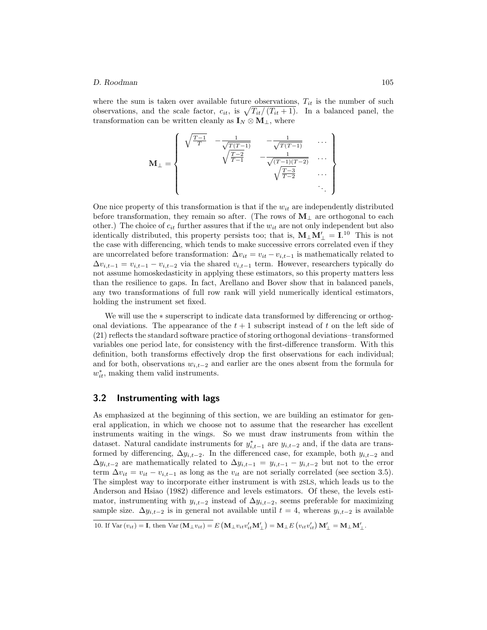where the sum is taken over available future observations,  $T_{it}$  is the number of such observations, and the scale factor,  $c_{it}$ , is  $\sqrt{T_{it}/(T_{it}+1)}$ . In a balanced panel, the transformation can be written cleanly as  $\mathbf{I}_N \otimes \mathbf{M}_{\perp}$ , where

$$
\mathbf{M}_{\perp} = \begin{cases} \sqrt{\frac{T-1}{T}} & -\frac{1}{\sqrt{T(T-1)}} & -\frac{1}{\sqrt{T(T-1)}} & \cdots \\ & \sqrt{\frac{T-2}{T-1}} & -\frac{1}{\sqrt{(T-1)(T-2)}} & \cdots \\ & & \sqrt{\frac{T-3}{T-2}} & \cdots \\ & & & \ddots \end{cases}
$$

One nice property of this transformation is that if the  $w_{it}$  are independently distributed before transformation, they remain so after. (The rows of  $M<sub>⊥</sub>$  are orthogonal to each other.) The choice of  $c_{it}$  further assures that if the  $w_{it}$  are not only independent but also identically distributed, this property persists too; that is,  $\mathbf{M}_{\perp}\mathbf{M}'_{\perp} = \mathbf{I}^{10}$ . This is not the case with differencing, which tends to make successive errors correlated even if they are uncorrelated before transformation:  $\Delta v_{it} = v_{it} - v_{i,t-1}$  is mathematically related to  $\Delta v_{i,t-1} = v_{i,t-1} - v_{i,t-2}$  via the shared  $v_{i,t-1}$  term. However, researchers typically do not assume homoskedasticity in applying these estimators, so this property matters less than the resilience to gaps. In fact, Arellano and Bover show that in balanced panels, any two transformations of full row rank will yield numerically identical estimators, holding the instrument set fixed.

We will use the ∗ superscript to indicate data transformed by differencing or orthogonal deviations. The appearance of the  $t + 1$  subscript instead of t on the left side of (21) reflects the standard software practice of storing orthogonal deviations–transformed variables one period late, for consistency with the first-difference transform. With this definition, both transforms effectively drop the first observations for each individual; and for both, observations  $w_{i,t-2}$  and earlier are the ones absent from the formula for  $w_{it}^*$ , making them valid instruments.

### **3.2 Instrumenting with lags**

As emphasized at the beginning of this section, we are building an estimator for general application, in which we choose not to assume that the researcher has excellent instruments waiting in the wings. So we must draw instruments from within the dataset. Natural candidate instruments for  $y_{i,t-1}^*$  are  $y_{i,t-2}$  and, if the data are transformed by differencing,  $\Delta y_{i,t-2}$ . In the differenced case, for example, both  $y_{i,t-2}$  and  $\Delta y_{i,t-2}$  are mathematically related to  $\Delta y_{i,t-1} = y_{i,t-1} - y_{i,t-2}$  but not to the error term  $\Delta v_{it} = v_{it} - v_{i,t-1}$  as long as the  $v_{it}$  are not serially correlated (see section 3.5). The simplest way to incorporate either instrument is with 2SLS, which leads us to the Anderson and Hsiao (1982) difference and levels estimators. Of these, the levels estimator, instrumenting with  $y_{i,t-2}$  instead of  $\Delta y_{i,t-2}$ , seems preferable for maximizing sample size.  $\Delta y_{i,t-2}$  is in general not available until  $t = 4$ , whereas  $y_{i,t-2}$  is available

<sup>10.</sup> If Var  $(v_{it}) = I$ , then Var  $(\mathbf{M}_{\perp} v_{it}) = E (\mathbf{M}_{\perp} v_{it} v'_{it} \mathbf{M}'_{\perp})$  $\mathbf{M}_{\perp} = \mathbf{M}_{\perp} E \left( v_{it} v_{it}' \right) \mathbf{M}_{\perp}' = \mathbf{M}_{\perp} \mathbf{M}_{\perp}'$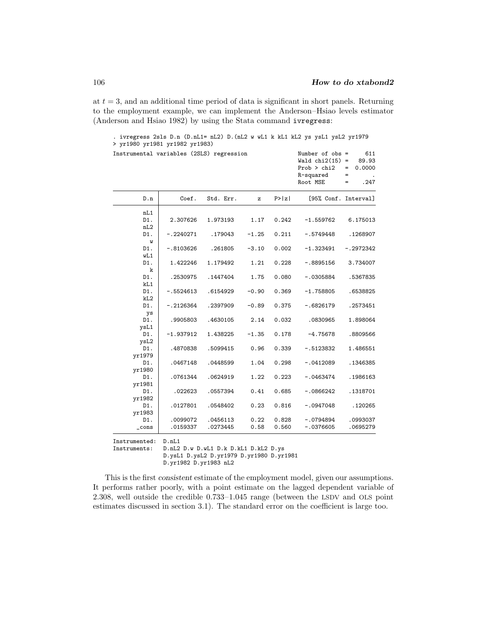at  $t = 3$ , and an additional time period of data is significant in short panels. Returning to the employment example, we can implement the Anderson–Hsiao levels estimator (Anderson and Hsiao 1982) by using the Stata command ivregress:

| Instrumental variables (2SLS) regression |                      |                      |              |                | Number of $obs =$<br>Wald $chi2(15)$ =<br>Prob > chi2<br>R-squared<br>Root MSE | 611<br>89.93<br>0.0000<br>$=$<br>$=$<br>. 247<br>$=$ |
|------------------------------------------|----------------------|----------------------|--------------|----------------|--------------------------------------------------------------------------------|------------------------------------------------------|
| D.n                                      | Coef.                | Std. Err.            | z            | P >  z         | [95% Conf. Interval]                                                           |                                                      |
| nL1                                      |                      |                      |              |                |                                                                                |                                                      |
| D1.                                      | 2.307626             | 1.973193             | 1.17         | 0.242          | $-1.559762$                                                                    | 6.175013                                             |
| nL2                                      |                      |                      |              |                |                                                                                |                                                      |
| D1.                                      | $-.2240271$          | .179043              | $-1.25$      | 0.211          | $-.5749448$                                                                    | .1268907                                             |
| W<br>D1.                                 | $-.8103626$          | .261805              | $-3.10$      | 0.002          | $-1.323491$                                                                    | $-.2972342$                                          |
| wL1                                      |                      |                      |              |                |                                                                                |                                                      |
| D1.                                      | 1.422246             | 1.179492             | 1.21         | 0.228          | $-.8895156$                                                                    | 3.734007                                             |
| k                                        |                      |                      |              |                |                                                                                |                                                      |
| D1.                                      | .2530975             | .1447404             | 1.75         | 0.080          | $-.0305884$                                                                    | .5367835                                             |
| kL1                                      |                      |                      |              |                |                                                                                |                                                      |
| D1.                                      | $-.5524613$          | .6154929             | $-0.90$      | 0.369          | $-1.758805$                                                                    | .6538825                                             |
| kL2<br>D1.                               |                      |                      | $-0.89$      | 0.375          | $-.6826179$                                                                    |                                                      |
| ys                                       | $-.2126364$          | .2397909             |              |                |                                                                                | .2573451                                             |
| D1.                                      | .9905803             | .4630105             | 2.14         | 0.032          | .0830965                                                                       | 1.898064                                             |
| ysL1                                     |                      |                      |              |                |                                                                                |                                                      |
| D1.                                      | $-1.937912$          | 1.438225             | $-1.35$      | 0.178          | $-4.75678$                                                                     | .8809566                                             |
| ysL2                                     |                      |                      |              |                |                                                                                |                                                      |
| D1.                                      | .4870838             | .5099415             | 0.96         | 0.339          | $-.5123832$                                                                    | 1.486551                                             |
| yr1979                                   |                      |                      |              |                |                                                                                |                                                      |
| D1.<br>yr1980                            | .0467148             | .0448599             | 1.04         | 0.298          | $-.0412089$                                                                    | .1346385                                             |
| D1.                                      | .0761344             | .0624919             | 1.22         | 0.223          | $-.0463474$                                                                    | .1986163                                             |
| yr1981                                   |                      |                      |              |                |                                                                                |                                                      |
| D1.                                      | .022623              | .0557394             | 0.41         | 0.685          | $-.0866242$                                                                    | .1318701                                             |
| yr1982                                   |                      |                      |              |                |                                                                                |                                                      |
| D1.                                      | .0127801             | .0548402             | 0.23         | 0.816          | $-.0947048$                                                                    | .120265                                              |
| yr1983                                   |                      |                      |              |                |                                                                                |                                                      |
| D1.                                      | .0099072<br>.0159337 | .0456113<br>.0273445 | 0.22<br>0.58 | 0.828<br>0.560 | $-.0794894$<br>$-.0376605$                                                     | .0993037<br>.0695279                                 |
| $_{\text{-cons}}$                        |                      |                      |              |                |                                                                                |                                                      |

. ivregress 2sls D.n (D.nL1= nL2) D.(nL2 w wL1 k kL1 kL2 ys ysL1 ysL2 yr1979 > yr1980 yr1981 yr1982 yr1983)

Instrumented: D.nL1

Instruments: D.nL2 D.w D.wL1 D.k D.kL1 D.kL2 D.ys

D.ysL1 D.ysL2 D.yr1979 D.yr1980 D.yr1981

This is the first *consistent* estimate of the employment model, given our assumptions. It performs rather poorly, with a point estimate on the lagged dependent variable of 2.308, well outside the credible 0.733–1.045 range (between the LSDV and OLS point estimates discussed in section 3.1). The standard error on the coefficient is large too.

D.yr1982 D.yr1983 nL2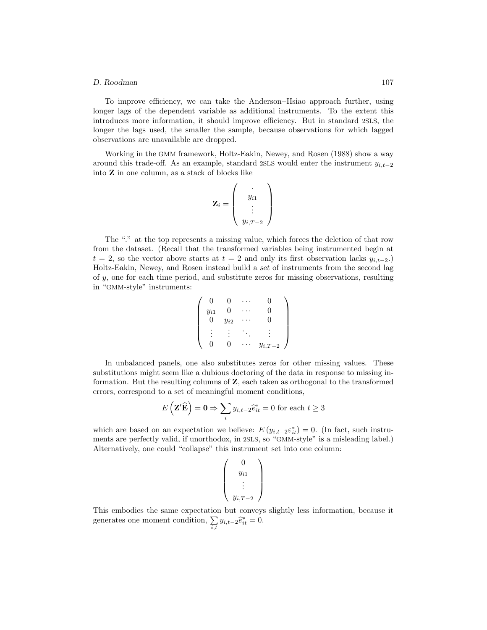#### *D. Roodman* 107

To improve efficiency, we can take the Anderson–Hsiao approach further, using longer lags of the dependent variable as additional instruments. To the extent this introduces more information, it should improve efficiency. But in standard 2SLS, the longer the lags used, the smaller the sample, because observations for which lagged observations are unavailable are dropped.

Working in the GMM framework, Holtz-Eakin, Newey, and Rosen (1988) show a way around this trade-off. As an example, standard 2SLS would enter the instrument  $y_{i,t-2}$ into **Z** in one column, as a stack of blocks like

$$
\mathbf{Z}_i = \left( \begin{array}{c} \cdot \\ y_{i1} \\ \vdots \\ y_{i,T-2} \end{array} \right)
$$

The "." at the top represents a missing value, which forces the deletion of that row from the dataset. (Recall that the transformed variables being instrumented begin at  $t = 2$ , so the vector above starts at  $t = 2$  and only its first observation lacks  $y_{i,t-2}$ .) Holtz-Eakin, Newey, and Rosen instead build a *set* of instruments from the second lag of  $y$ , one for each time period, and substitute zeros for missing observations, resulting in "GMM-style" instruments:

$$
\left(\begin{array}{cccc} 0 & 0 & \cdots & 0 \\ y_{i1} & 0 & \cdots & 0 \\ 0 & y_{i2} & \cdots & 0 \\ \vdots & \vdots & \ddots & \vdots \\ 0 & 0 & \cdots & y_{i,T-2} \end{array}\right)
$$

In unbalanced panels, one also substitutes zeros for other missing values. These substitutions might seem like a dubious doctoring of the data in response to missing information. But the resulting columns of **Z**, each taken as orthogonal to the transformed errors, correspond to a set of meaningful moment conditions,

$$
E\left(\mathbf{Z}'\widehat{\mathbf{E}}\right) = \mathbf{0} \Rightarrow \sum_{i} y_{i,t-2}\widehat{e}_{it}^* = 0 \text{ for each } t \ge 3
$$

which are based on an expectation we believe:  $E(y_{i,t-2} \varepsilon_{it}^*) = 0$ . (In fact, such instruments are perfectly valid, if unorthodox, in 2SLS, so "GMM-style" is a misleading label.) Alternatively, one could "collapse" this instrument set into one column:

$$
\left(\begin{array}{c}0\\y_{i1}\\ \vdots\\y_{i,T-2}\end{array}\right)
$$

This embodies the same expectation but conveys slightly less information, because it generates one moment condition,  $\sum_{i,t} y_{i,t-2} \hat{e}_{it}^* = 0$ .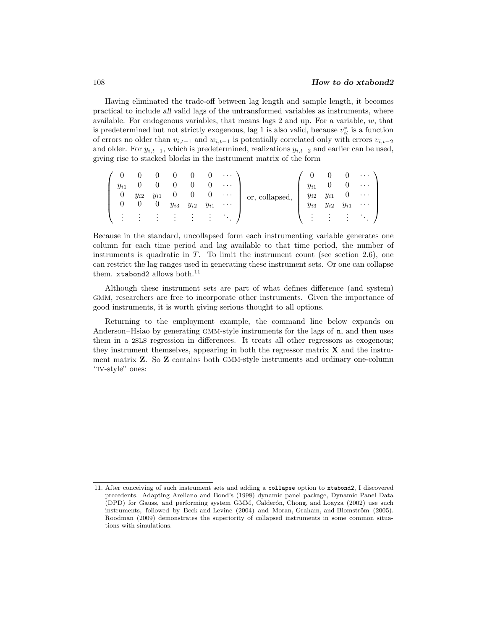Having eliminated the trade-off between lag length and sample length, it becomes practical to include *all* valid lags of the untransformed variables as instruments, where available. For endogenous variables, that means lags 2 and up. For a variable,  $w$ , that is predetermined but not strictly exogenous, lag 1 is also valid, because  $v_{it}^*$  is a function of errors no older than  $v_{i,t-1}$  and  $w_{i,t-1}$  is potentially correlated only with errors  $v_{i,t-2}$ and older. For  $y_{i,t-1}$ , which is predetermined, realizations  $y_{i,t-2}$  and earlier can be used, giving rise to stacked blocks in the instrument matrix of the form

|          |          |                          |                                                                                    |                | $\hspace{0.1em}0$ | $\cdots$                                                                                        |                        |            |                                                                                 |                                                       |                              |
|----------|----------|--------------------------|------------------------------------------------------------------------------------|----------------|-------------------|-------------------------------------------------------------------------------------------------|------------------------|------------|---------------------------------------------------------------------------------|-------------------------------------------------------|------------------------------|
| $y_{i1}$ |          |                          |                                                                                    |                |                   | $\ldots$ .                                                                                      |                        | $y_{i1}$   |                                                                                 |                                                       | $\cdots$                     |
| $\cup$   | $y_{i2}$ |                          |                                                                                    | $0 \quad 0$    |                   | $\mathcal{L}^{\mathcal{L}}$ , and $\mathcal{L}^{\mathcal{L}}$ , and $\mathcal{L}^{\mathcal{L}}$ | or, collapsed, $\vert$ |            |                                                                                 |                                                       | $\sim$ $\sim$ $\sim$         |
|          |          |                          | $\begin{array}{ccc} y_{i1} & 0 & \ 0 & y_{i2} & \ 0 & y_{i3} & y_{i2} \end{array}$ |                | $y_{i1}$          | $\ldots$                                                                                        |                        |            | $\begin{array}{ccc} y_{i2} & y_{i1} & 0 \ y_{i3} & y_{i2} & y_{i1} \end{array}$ |                                                       | $\sim$ 100 $\sim$ 100 $\sim$ |
|          |          |                          |                                                                                    | ٠<br>$\bullet$ |                   |                                                                                                 |                        |            |                                                                                 |                                                       | $\sim 100$                   |
|          | $\cdot$  | <b>Contract Contract</b> | $\bullet$                                                                          | $\cdot$        |                   |                                                                                                 |                        | $\sim$ 100 |                                                                                 | $\mathcal{L}(\mathcal{L}) = \mathcal{L}(\mathcal{L})$ |                              |

Because in the standard, uncollapsed form each instrumenting variable generates one column for each time period and lag available to that time period, the number of instruments is quadratic in  $T$ . To limit the instrument count (see section 2.6), one can restrict the lag ranges used in generating these instrument sets. Or one can collapse them. xtabond2 allows both. $^{11}$ 

Although these instrument sets are part of what defines difference (and system) GMM, researchers are free to incorporate other instruments. Given the importance of good instruments, it is worth giving serious thought to all options.

Returning to the employment example, the command line below expands on Anderson–Hsiao by generating GMM-style instruments for the lags of n, and then uses them in a 2SLS regression in differences. It treats all other regressors as exogenous; they instrument themselves, appearing in both the regressor matrix **X** and the instrument matrix **Z**. So **Z** contains both GMM-style instruments and ordinary one-column "IV-style" ones:

<sup>11.</sup> After conceiving of such instrument sets and adding a collapse option to xtabond2, I discovered precedents. Adapting Arellano and Bond's (1998) dynamic panel package, Dynamic Panel Data (DPD) for Gauss, and performing system GMM, Calderón, Chong, and Loayza (2002) use such instruments, followed by Beck and Levine  $(2004)$  and Moran, Graham, and Blomström  $(2005)$ . Roodman (2009) demonstrates the superiority of collapsed instruments in some common situations with simulations.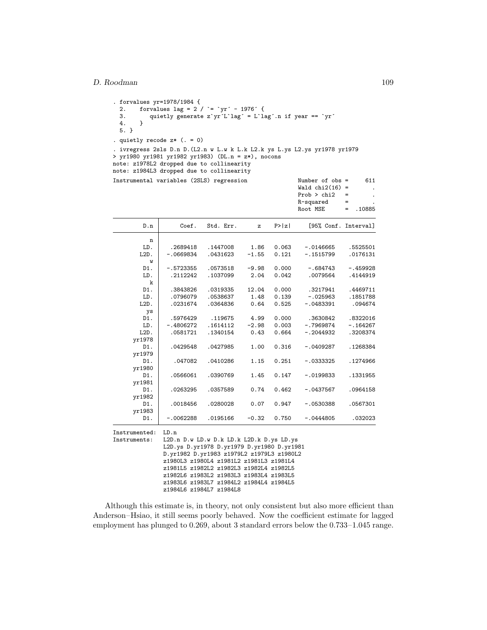```
%. forvalues yr=1978/1984 {<br>2. forvalues lag = 2
  2. forvalues lag = 2 / \div \div \text{yr}^2 - 1976 \cdot {\text{m}}<br>3. quietly generate z'vr'L'lag' = L'la
         quietly generate z`yr´L`lag´ = L`lag´.n if year == `yr´
  4. }
  5. }
. quietly recode z* (. = 0)
. ivregress 2sls D.n D.(L2.n w L.w k L.k L2.k ys L.ys L2.ys yr1978 yr1979
> yr1980 yr1981 yr1982 yr1983) (DL.n = z*), nocons
note: z1978L2 dropped due to collinearity
note: z1984L3 dropped due to collinearity
Instrumental variables (2SLS) regression Number of obs = 611
                                                               Wald chi2(16) =.
```

|                               |             |                                                                                                                                                                                                                                                                                                                                            |         |        | Prob > chi2<br>R-squared<br>Root MSE | =<br>$=$<br>.10885<br>$=$ |
|-------------------------------|-------------|--------------------------------------------------------------------------------------------------------------------------------------------------------------------------------------------------------------------------------------------------------------------------------------------------------------------------------------------|---------|--------|--------------------------------------|---------------------------|
| D.n                           | Coef.       | Std. Err.                                                                                                                                                                                                                                                                                                                                  | z       | P >  Z | [95% Conf. Interval]                 |                           |
| n                             |             |                                                                                                                                                                                                                                                                                                                                            |         |        |                                      |                           |
| LD.                           | .2689418    | .1447008                                                                                                                                                                                                                                                                                                                                   | 1.86    | 0.063  | $-.0146665$                          | .5525501                  |
| $L2D$ .                       | $-.0669834$ | .0431623                                                                                                                                                                                                                                                                                                                                   | $-1.55$ | 0.121  | $-.1515799$                          | .0176131                  |
| W                             |             |                                                                                                                                                                                                                                                                                                                                            |         |        |                                      |                           |
| D1.                           | $-.5723355$ | .0573518                                                                                                                                                                                                                                                                                                                                   | $-9.98$ | 0.000  | $-.684743$                           | $-.459928$                |
| LD.                           | .2112242    | .1037099                                                                                                                                                                                                                                                                                                                                   | 2.04    | 0.042  | .0079564                             | .4144919                  |
| k                             |             |                                                                                                                                                                                                                                                                                                                                            |         |        |                                      |                           |
| D1.                           | .3843826    | .0319335                                                                                                                                                                                                                                                                                                                                   | 12.04   | 0.000  | .3217941                             | .4469711                  |
| LD.                           | .0796079    | .0538637                                                                                                                                                                                                                                                                                                                                   | 1.48    | 0.139  | $-.025963$                           | .1851788                  |
| $L2D$ .                       | .0231674    | .0364836                                                                                                                                                                                                                                                                                                                                   | 0.64    | 0.525  | $-.0483391$                          | .094674                   |
| ys<br>D1.                     | .5976429    | .119675                                                                                                                                                                                                                                                                                                                                    | 4.99    | 0.000  | .3630842                             | .8322016                  |
| LD.                           | $-.4806272$ | .1614112                                                                                                                                                                                                                                                                                                                                   | $-2.98$ | 0.003  | $-.7969874$                          | $-.164267$                |
| $L2D$ .                       | .0581721    | .1340154                                                                                                                                                                                                                                                                                                                                   | 0.43    | 0.664  | $-.2044932$                          | .3208374                  |
| yr1978                        |             |                                                                                                                                                                                                                                                                                                                                            |         |        |                                      |                           |
| D1.                           | .0429548    | .0427985                                                                                                                                                                                                                                                                                                                                   | 1.00    | 0.316  | $-.0409287$                          | .1268384                  |
| yr1979                        |             |                                                                                                                                                                                                                                                                                                                                            |         |        |                                      |                           |
| D1.                           | .047082     | .0410286                                                                                                                                                                                                                                                                                                                                   | 1.15    | 0.251  | $-.0333325$                          | .1274966                  |
| yr1980                        |             |                                                                                                                                                                                                                                                                                                                                            |         |        |                                      |                           |
| D1.                           | .0566061    | .0390769                                                                                                                                                                                                                                                                                                                                   | 1.45    | 0.147  | $-.0199833$                          | .1331955                  |
| yr1981                        |             |                                                                                                                                                                                                                                                                                                                                            |         |        |                                      |                           |
| D1.                           | .0263295    | .0357589                                                                                                                                                                                                                                                                                                                                   | 0.74    | 0.462  | $-.0437567$                          | .0964158                  |
| yr1982                        |             |                                                                                                                                                                                                                                                                                                                                            |         |        |                                      |                           |
| D1.                           | .0018456    | .0280028                                                                                                                                                                                                                                                                                                                                   | 0.07    | 0.947  | $-.0530388$                          | .0567301                  |
| yr1983                        |             |                                                                                                                                                                                                                                                                                                                                            |         |        |                                      |                           |
| D1.                           | $-.0062288$ | .0195166                                                                                                                                                                                                                                                                                                                                   | $-0.32$ | 0.750  | $-.0444805$                          | .032023                   |
| Instrumented:<br>Instruments: | LD.n        | L2D.n D.w LD.w D.k LD.k L2D.k D.ys LD.ys<br>L2D.ys D.yr1978 D.yr1979 D.yr1980 D.yr1981<br>D.yr1982 D.yr1983 z1979L2 z1979L3 z1980L2<br>z1980L3 z1980L4 z1981L2 z1981L3 z1981L4<br>z1981L5 z1982L2 z1982L3 z1982L4 z1982L5<br>z1982L6 z1983L2 z1983L3 z1983L4 z1983L5<br>z1983L6 z1983L7 z1984L2 z1984L4 z1984L5<br>z1984L6 z1984L7 z1984L8 |         |        |                                      |                           |

Although this estimate is, in theory, not only consistent but also more efficient than Anderson–Hsiao, it still seems poorly behaved. Now the coefficient estimate for lagged employment has plunged to 0.269, about 3 standard errors below the 0.733–1.045 range.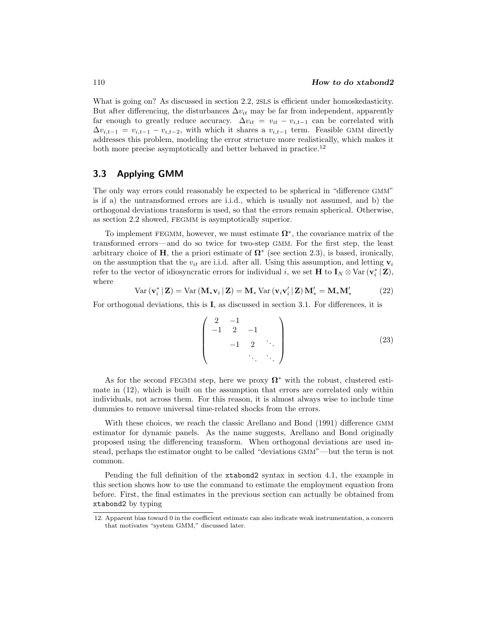What is going on? As discussed in section 2.2, 2SLS is efficient under homoskedasticity. But after differencing, the disturbances  $\Delta v_{it}$  may be far from independent, apparently far enough to greatly reduce accuracy.  $\Delta v_{it} = v_{it} - v_{i,t-1}$  can be correlated with  $\Delta v_{i,t-1} = v_{i,t-1} - v_{i,t-2}$ , with which it shares a  $v_{i,t-1}$  term. Feasible GMM directly addresses this problem, modeling the error structure more realistically, which makes it both more precise asymptotically and better behaved in practice.<sup>12</sup>

### **3.3 Applying GMM**

The only way errors could reasonably be expected to be spherical in "difference GMM" is if a) the untransformed errors are i.i.d., which is usually not assumed, and b) the orthogonal deviations transform is used, so that the errors remain spherical. Otherwise, as section 2.2 showed, FEGMM is asymptotically superior.

To implement FEGMM, however, we must estimate **Ω**∗, the covariance matrix of the transformed errors—and do so twice for two-step GMM. For the first step, the least arbitrary choice of **H**, the a priori estimate of  $\Omega^*$  (see section 2.3), is based, ironically, on the assumption that the  $v_{it}$  are i.i.d. after all. Using this assumption, and letting  $\mathbf{v}_i$ refer to the vector of idiosyncratic errors for individual i, we set **H** to  $\mathbf{I}_N \otimes \text{Var}(\mathbf{v}_i^* | \mathbf{Z})$ , where

$$
Var\left(\mathbf{v}_{i}^{*} \mid \mathbf{Z}\right) = Var\left(\mathbf{M}_{*} \mathbf{v}_{i} \mid \mathbf{Z}\right) = \mathbf{M}_{*} Var\left(\mathbf{v}_{i} \mathbf{v}_{i}' \mid \mathbf{Z}\right) \mathbf{M}_{*}' = \mathbf{M}_{*} \mathbf{M}_{*}'
$$
\n(22)

For orthogonal deviations, this is **I**, as discussed in section 3.1. For differences, it is

$$
\begin{pmatrix} 2 & -1 & & & \\ -1 & 2 & -1 & & \\ & -1 & 2 & \ddots & \\ & & & \ddots & \ddots \end{pmatrix}
$$
 (23)

As for the second FEGMM step, here we proxy **Ω**<sup>∗</sup> with the robust, clustered estimate in (12), which is built on the assumption that errors are correlated only within individuals, not across them. For this reason, it is almost always wise to include time dummies to remove universal time-related shocks from the errors.

With these choices, we reach the classic Arellano and Bond (1991) difference GMM estimator for dynamic panels. As the name suggests, Arellano and Bond originally proposed using the differencing transform. When orthogonal deviations are used instead, perhaps the estimator ought to be called "deviations GMM"—but the term is not common.

Pending the full definition of the xtabond2 syntax in section 4.1, the example in this section shows how to use the command to estimate the employment equation from before. First, the final estimates in the previous section can actually be obtained from xtabond2 by typing

<sup>12.</sup> Apparent bias toward 0 in the coefficient estimate can also indicate weak instrumentation, a concern that motivates "system GMM," discussed later.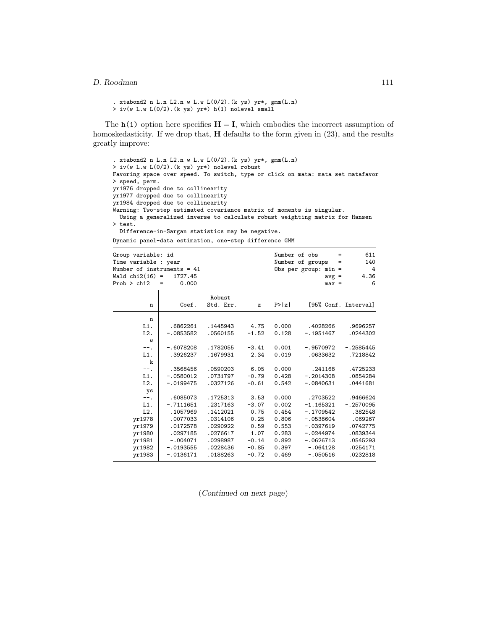```
. xtabond2 n L.n L2.n w L.w L(0/2).(k ys) yr*, gmm(L.n)
> iv(w L.w L(0/2).(k ys) yr*) h(1) nolevel small
```
The  $h(1)$  option here specifies  $H = I$ , which embodies the incorrect assumption of homoskedasticity. If we drop that, **H** defaults to the form given in (23), and the results greatly improve:

```
. xtabond2 n L.n L2.n w L.w L(0/2).(k ys) yr*, gmm(L.n)
> iv(w L.w L(0/2).(k ys) yr*) nolevel robust
Favoring space over speed. To switch, type or click on mata: mata set matafavor
> speed, perm.
yr1976 dropped due to collinearity
yr1977 dropped due to collinearity
yr1984 dropped due to collinearity
Warning: Two-step estimated covariance matrix of moments is singular.
 Using a generalized inverse to calculate robust weighting matrix for Hansen
> test.
 Difference-in-Sargan statistics may be negative.
```
Dynamic panel-data estimation, one-step difference GMM

| Group variable: id<br>Time variable : year<br>Number of instruments = $41$<br>Wald $chi2(16)$ =<br>Prob > chi2 | 1727.45<br>0.000<br>$=$ |                     |              |        | Number of obs<br>$=$<br>Number of groups =<br>Obs per group: $min =$<br>$avg =$<br>$max =$ | 611<br>140<br>4<br>4.36<br>6 |
|----------------------------------------------------------------------------------------------------------------|-------------------------|---------------------|--------------|--------|--------------------------------------------------------------------------------------------|------------------------------|
| n                                                                                                              | Coef.                   | Robust<br>Std. Err. | $\mathbf{z}$ | P >  z |                                                                                            | [95% Conf. Interval]         |
| n                                                                                                              |                         |                     |              |        |                                                                                            |                              |
| L1.                                                                                                            | .6862261                | .1445943            | 4.75         | 0.000  | .4028266                                                                                   | .9696257                     |
| L2.<br>W                                                                                                       | $-.0853582$             | .0560155            | $-1.52$      | 0.128  | $-.1951467$                                                                                | .0244302                     |
| -- .                                                                                                           | $-.6078208$             | .1782055            | $-3.41$      | 0.001  | $-.9570972$                                                                                | $-.2585445$                  |
| L1.                                                                                                            | .3926237                | .1679931            | 2.34         | 0.019  | .0633632                                                                                   | .7218842                     |
| k                                                                                                              |                         |                     |              |        |                                                                                            |                              |
| $--.$                                                                                                          | .3568456                | .0590203            | 6.05         | 0.000  | .241168                                                                                    | .4725233                     |
| $L1$ .                                                                                                         | $-.0580012$             | .0731797            | $-0.79$      | 0.428  | $-.2014308$                                                                                | .0854284                     |
| L2.                                                                                                            | $-.0199475$             | .0327126            | $-0.61$      | 0.542  | $-.0840631$                                                                                | .0441681                     |
| ys                                                                                                             |                         |                     |              |        |                                                                                            |                              |
| $--.$                                                                                                          | .6085073                | .1725313            | 3.53         | 0.000  | .2703522                                                                                   | .9466624                     |
| L1.                                                                                                            | $-.7111651$             | .2317163            | $-3.07$      | 0.002  | $-1.165321$                                                                                | $-.2570095$                  |
| $L2$ .                                                                                                         | .1057969                | .1412021            | 0.75         | 0.454  | $-.1709542$                                                                                | .382548                      |
| yr1978                                                                                                         | .0077033                | .0314106            | 0.25         | 0.806  | $-.0538604$                                                                                | .069267                      |
| yr1979                                                                                                         | .0172578                | .0290922            | 0.59         | 0.553  | $-.0397619$                                                                                | .0742775                     |
| yr1980                                                                                                         | .0297185                | .0276617            | 1.07         | 0.283  | $-.0244974$                                                                                | .0839344                     |
| yr1981                                                                                                         | $-.004071$              | .0298987            | $-0.14$      | 0.892  | $-.0626713$                                                                                | .0545293                     |
| yr1982                                                                                                         | $-.0193555$             | .0228436            | $-0.85$      | 0.397  | $-.064128$                                                                                 | .0254171                     |
| yr1983                                                                                                         | $-.0136171$             | .0188263            | $-0.72$      | 0.469  | $-.050516$                                                                                 | .0232818                     |

(*Continued on next page*)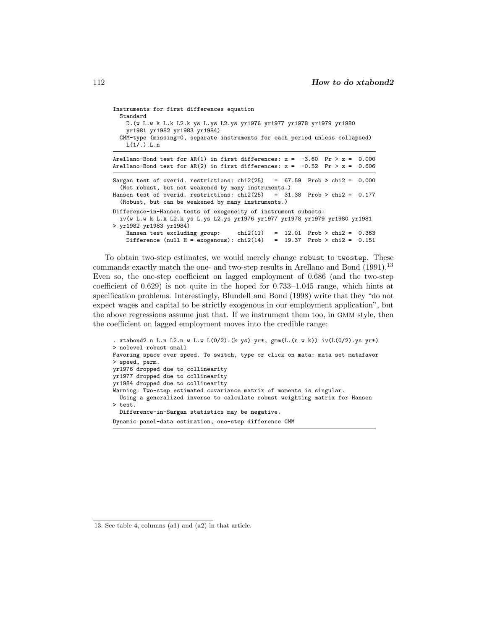| Instruments for first differences equation<br>Standard                                                                                         |  |  |  |  |  |  |  |
|------------------------------------------------------------------------------------------------------------------------------------------------|--|--|--|--|--|--|--|
| D. (w L.w k L.k L2.k ys L.ys L2.ys yr1976 yr1977 yr1978 yr1979 yr1980<br>yr1981 yr1982 yr1983 yr1984)                                          |  |  |  |  |  |  |  |
| GMM-type (missing=0, separate instruments for each period unless collapsed)<br>L(1/.) L.n                                                      |  |  |  |  |  |  |  |
| Arellano-Bond test for AR(1) in first differences: $z = -3.60$ Pr > $z = 0.000$                                                                |  |  |  |  |  |  |  |
| Arellano-Bond test for AR(2) in first differences: $z = -0.52$ Pr > $z = 0.606$                                                                |  |  |  |  |  |  |  |
| Sargan test of overid. restrictions: chi2(25) = $67.59$ Prob > chi2 = 0.000<br>(Not robust, but not weakened by many instruments.)             |  |  |  |  |  |  |  |
| Hansen test of overid. restrictions: $\text{chi}(25)$ = 31.38 Prob > chi2 = 0.177<br>(Robust, but can be weakened by many instruments.)        |  |  |  |  |  |  |  |
| Difference-in-Hansen tests of exogeneity of instrument subsets:<br>iv(w L.w k L.k L2.k ys L.ys L2.ys yr1976 yr1977 yr1978 yr1979 yr1980 yr1981 |  |  |  |  |  |  |  |
| > yr1982 yr1983 yr1984)                                                                                                                        |  |  |  |  |  |  |  |
| Hansen test excluding group: $\text{chi}(11) = 12.01$ Prob > chi2 = 0.363                                                                      |  |  |  |  |  |  |  |
| Difference (null $H = exogenous$ ): chi2(14) = 19.37 Prob > chi2 = 0.151                                                                       |  |  |  |  |  |  |  |

To obtain two-step estimates, we would merely change robust to twostep. These commands exactly match the one- and two-step results in Arellano and Bond (1991).<sup>13</sup> Even so, the one-step coefficient on lagged employment of 0.686 (and the two-step coefficient of 0.629) is not quite in the hoped for 0.733–1.045 range, which hints at specification problems. Interestingly, Blundell and Bond (1998) write that they "do not expect wages and capital to be strictly exogenous in our employment application", but the above regressions assume just that. If we instrument them too, in GMM style, then the coefficient on lagged employment moves into the credible range:

```
. xtabond2 n L.n L2.n w L.w L(0/2).(k ys) yr*, gmm(L.(n w k)) iv(L(0/2).ys yr*)
> nolevel robust small
Favoring space over speed. To switch, type or click on mata: mata set matafavor
> speed, perm.
yr1976 dropped due to collinearity
yr1977 dropped due to collinearity
yr1984 dropped due to collinearity
Warning: Two-step estimated covariance matrix of moments is singular.
  Using a generalized inverse to calculate robust weighting matrix for Hansen
> test.
  Difference-in-Sargan statistics may be negative.
Dynamic panel-data estimation, one-step difference GMM
```
<sup>13.</sup> See table 4, columns (a1) and (a2) in that article.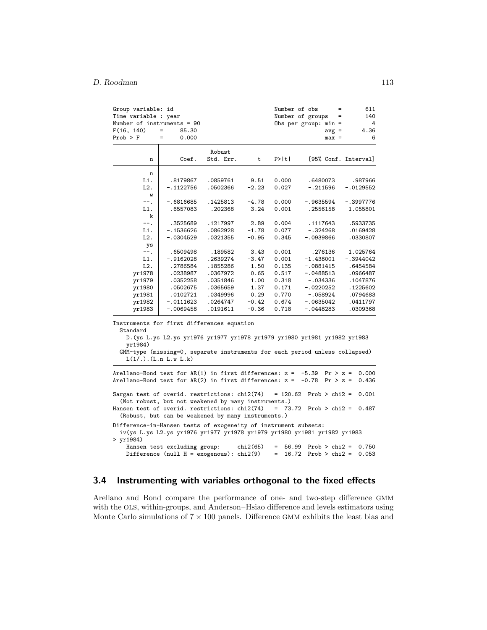| Group variable: id<br>Time variable : year                                                     |                                                                                                                                                                                        |           |          | Number of obs         | Number of groups                           | 611<br>140<br>=      |
|------------------------------------------------------------------------------------------------|----------------------------------------------------------------------------------------------------------------------------------------------------------------------------------------|-----------|----------|-----------------------|--------------------------------------------|----------------------|
| Number of instruments = 90<br>F(16, 140)                                                       | $\qquad \qquad =$<br>85.30                                                                                                                                                             |           |          |                       | Obs per group: $min =$                     | 4<br>4.36            |
| $Prob$ > $F$                                                                                   | $\qquad \qquad =$<br>0.000                                                                                                                                                             |           |          |                       | $avg =$<br>$max =$                         | 6                    |
|                                                                                                |                                                                                                                                                                                        |           |          |                       |                                            |                      |
|                                                                                                |                                                                                                                                                                                        | Robust    |          |                       |                                            |                      |
| n                                                                                              | Coef.                                                                                                                                                                                  | Std. Err. | t        | P>  t                 |                                            | [95% Conf. Interval] |
|                                                                                                |                                                                                                                                                                                        |           |          |                       |                                            |                      |
| n<br>L1.                                                                                       | .8179867                                                                                                                                                                               | .0859761  | 9.51     | 0.000                 | .6480073                                   | .987966              |
| L2.                                                                                            | $-.1122756$                                                                                                                                                                            | .0502366  | $-2.23$  | 0.027                 | $-.211596$                                 | $-.0129552$          |
| W                                                                                              |                                                                                                                                                                                        |           |          |                       |                                            |                      |
| $--.$                                                                                          | $-.6816685$                                                                                                                                                                            | .1425813  | $-4.78$  | 0.000                 | -.9635594                                  | $-.3997776$          |
| L1.                                                                                            | .6557083                                                                                                                                                                               | .202368   | 3.24     | 0.001                 | .2556158                                   | 1.055801             |
| k                                                                                              |                                                                                                                                                                                        |           |          |                       |                                            |                      |
| $--.$                                                                                          | .3525689                                                                                                                                                                               | .1217997  | 2.89     | 0.004                 | .1117643                                   | .5933735             |
| L1.                                                                                            | $-.1536626$                                                                                                                                                                            | .0862928  | $-1.78$  | 0.077                 | $-.324268$                                 | .0169428             |
| L2.                                                                                            | -.0304529                                                                                                                                                                              | .0321355  | $-0.95$  | 0.345                 | $-.0939866$                                | .0330807             |
| ys                                                                                             |                                                                                                                                                                                        |           |          |                       |                                            |                      |
| ÷÷.                                                                                            | .6509498                                                                                                                                                                               | .189582   | 3.43     | 0.001                 | .276136                                    | 1.025764             |
| $L1$ .                                                                                         | $-.9162028$                                                                                                                                                                            | .2639274  | $-3.47$  | 0.001                 | $-1.438001$                                | $-.3944042$          |
| L2.                                                                                            | .2786584                                                                                                                                                                               | .1855286  | 1.50     | 0.135                 | $-.0881415$                                | .6454584             |
| yr1978                                                                                         | .0238987                                                                                                                                                                               | .0367972  | 0.65     | 0.517                 | $-.0488513$                                | .0966487             |
| yr1979                                                                                         | .0352258                                                                                                                                                                               | .0351846  | 1.00     | 0.318                 | $-.034336$                                 | .1047876             |
| yr1980                                                                                         | .0502675                                                                                                                                                                               | .0365659  | 1.37     | 0.171                 | $-.0220252$                                | .1225602             |
| yr1981                                                                                         | .0102721                                                                                                                                                                               | .0349996  | 0.29     | 0.770                 | $-.058924$                                 | .0794683             |
| yr1982                                                                                         | $-.0111623$                                                                                                                                                                            | .0264747  | $-0.42$  | 0.674                 | -.0635042                                  | .0411797             |
| yr1983                                                                                         | $-.0069458$                                                                                                                                                                            | .0191611  | $-0.36$  | 0.718                 | $-.0448283$                                | .0309368             |
| Instruments for first differences equation<br>Standard<br>yr1984)                              | D. (ys L.ys L2.ys yr1976 yr1977 yr1978 yr1979 yr1980 yr1981 yr1982 yr1983<br>GMM-type (missing=0, separate instruments for each period unless collapsed)<br>$L(1/.)$ . $(L.n L.w L.k)$ |           |          |                       |                                            |                      |
| Arellano-Bond test for $AR(1)$ in first differences: $z =$                                     |                                                                                                                                                                                        |           |          |                       | $-5.39$<br>$Pr > z =$                      | 0.000                |
| Arellano-Bond test for $AR(2)$ in first differences: $z =$                                     |                                                                                                                                                                                        |           |          |                       | $-0.78$<br>$Pr > z =$                      | 0.436                |
|                                                                                                |                                                                                                                                                                                        |           |          |                       |                                            |                      |
| Sargan test of overid. restrictions: chi2(74)<br>Hansen test of overid. restrictions: chi2(74) | (Not robust, but not weakened by many instruments.)                                                                                                                                    |           |          | $= 120.62$            | Prob > $chi2$ =<br>$= 73.72$ Prob > chi2 = | 0.001<br>0.487       |
|                                                                                                | (Robust, but can be weakened by many instruments.)                                                                                                                                     |           |          |                       |                                            |                      |
| Difference-in-Hansen tests of exogeneity of instrument subsets:<br>$>$ $yr1984)$               | iv(ys L.ys L2.ys yr1976 yr1977 yr1978 yr1979 yr1980 yr1981 yr1982 yr1983                                                                                                               |           |          |                       |                                            |                      |
|                                                                                                | Hansen test excluding group:<br>Difference (null $H = exogenous$ ): chi2(9)                                                                                                            |           | chi2(65) | 56.99<br>16.72<br>$=$ | $Prob > chi2 =$<br>Prob > $chi2$ =         | 0.750<br>0.053       |

## **3.4 Instrumenting with variables orthogonal to the fixed effects**

Arellano and Bond compare the performance of one- and two-step difference GMM with the OLS, within-groups, and Anderson–Hsiao difference and levels estimators using Monte Carlo simulations of  $7 \times 100$  panels. Difference GMM exhibits the least bias and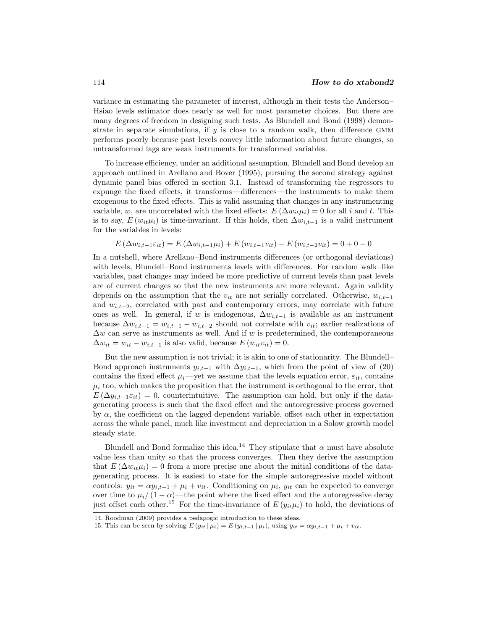variance in estimating the parameter of interest, although in their tests the Anderson– Hsiao levels estimator does nearly as well for most parameter choices. But there are many degrees of freedom in designing such tests. As Blundell and Bond (1998) demonstrate in separate simulations, if  $y$  is close to a random walk, then difference GMM performs poorly because past levels convey little information about future changes, so untransformed lags are weak instruments for transformed variables.

To increase efficiency, under an additional assumption, Blundell and Bond develop an approach outlined in Arellano and Bover (1995), pursuing the second strategy against dynamic panel bias offered in section 3.1. Instead of transforming the regressors to expunge the fixed effects, it transforms—differences—the instruments to make them exogenous to the fixed effects. This is valid assuming that changes in any instrumenting variable, w, are uncorrelated with the fixed effects:  $E(\Delta w_{it} \mu_i) = 0$  for all i and t. This is to say,  $E(w_{it} \mu_i)$  is time-invariant. If this holds, then  $\Delta w_{i,t-1}$  is a valid instrument for the variables in levels:

$$
E(\Delta w_{i,t-1} \varepsilon_{it}) = E(\Delta w_{i,t-1} \mu_i) + E(w_{i,t-1} v_{it}) - E(w_{i,t-2} v_{it}) = 0 + 0 - 0
$$

In a nutshell, where Arellano–Bond instruments differences (or orthogonal deviations) with levels, Blundell–Bond instruments levels with differences. For random walk–like variables, past changes may indeed be more predictive of current levels than past levels are of current changes so that the new instruments are more relevant. Again validity depends on the assumption that the  $v_{it}$  are not serially correlated. Otherwise,  $w_{i,t-1}$ and  $w_{i,t-2}$ , correlated with past and contemporary errors, may correlate with future ones as well. In general, if w is endogenous,  $\Delta w_{i,t-1}$  is available as an instrument because  $\Delta w_{i,t-1} = w_{i,t-1} - w_{i,t-2}$  should not correlate with  $v_{it}$ ; earlier realizations of  $\Delta w$  can serve as instruments as well. And if w is predetermined, the contemporaneous  $\Delta w_{it} = w_{it} - w_{i,t-1}$  is also valid, because  $E(w_{it}v_{it}) = 0$ .

But the new assumption is not trivial; it is akin to one of stationarity. The Blundell– Bond approach instruments  $y_{i,t-1}$  with  $\Delta y_{i,t-1}$ , which from the point of view of (20) contains the fixed effect  $\mu_i$ —yet we assume that the levels equation error,  $\varepsilon_{it}$ , contains  $\mu_i$  too, which makes the proposition that the instrument is orthogonal to the error, that  $E(\Delta y_{i,t-1}\varepsilon_{it})=0$ , counterintuitive. The assumption can hold, but only if the datagenerating process is such that the fixed effect and the autoregressive process governed by  $\alpha$ , the coefficient on the lagged dependent variable, offset each other in expectation across the whole panel, much like investment and depreciation in a Solow growth model steady state.

Blundell and Bond formalize this idea.<sup>14</sup> They stipulate that  $\alpha$  must have absolute value less than unity so that the process converges. Then they derive the assumption that  $E(\Delta w_{it} \mu_i) = 0$  from a more precise one about the initial conditions of the datagenerating process. It is easiest to state for the simple autoregressive model without controls:  $y_{it} = \alpha y_{i,t-1} + \mu_i + v_{it}$ . Conditioning on  $\mu_i$ ,  $y_{it}$  can be expected to converge over time to  $\mu_i/(1-\alpha)$ —the point where the fixed effect and the autoregressive decay just offset each other.<sup>15</sup> For the time-invariance of  $E(y_{it}\mu_i)$  to hold, the deviations of

<sup>14.</sup> Roodman (2009) provides a pedagogic introduction to these ideas.

<sup>15.</sup> This can be seen by solving  $E(y_{it} | \mu_i) = E(y_{i,t-1} | \mu_i)$ , using  $y_{it} = \alpha y_{i,t-1} + \mu_i + v_{it}$ .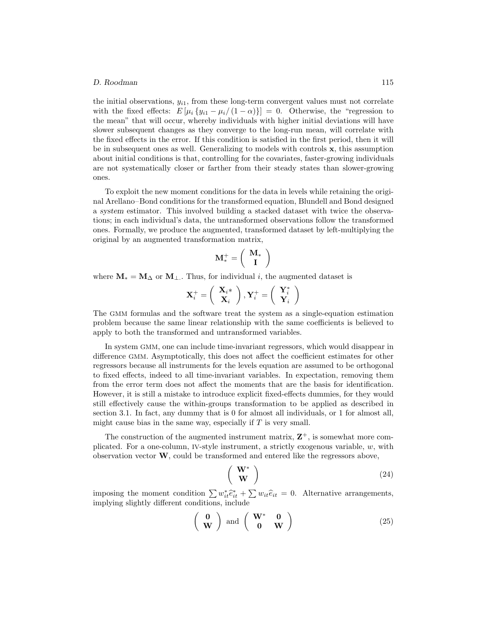the initial observations,  $y_{i1}$ , from these long-term convergent values must not correlate with the fixed effects:  $E[\mu_i \{y_{i1} - \mu_i / (1 - \alpha)\}] = 0$ . Otherwise, the "regression to the mean" that will occur, whereby individuals with higher initial deviations will have slower subsequent changes as they converge to the long-run mean, will correlate with the fixed effects in the error. If this condition is satisfied in the first period, then it will be in subsequent ones as well. Generalizing to models with controls **x**, this assumption about initial conditions is that, controlling for the covariates, faster-growing individuals are not systematically closer or farther from their steady states than slower-growing ones.

To exploit the new moment conditions for the data in levels while retaining the original Arellano–Bond conditions for the transformed equation, Blundell and Bond designed a *system* estimator. This involved building a stacked dataset with twice the observations; in each individual's data, the untransformed observations follow the transformed ones. Formally, we produce the augmented, transformed dataset by left-multiplying the original by an augmented transformation matrix,

$$
\mathbf{M}_*^+ = \left(\begin{array}{c} \mathbf{M}_* \\ \mathbf{I} \end{array}\right)
$$

where  $\mathbf{M}_{*} = \mathbf{M}_{\Delta}$  or  $\mathbf{M}_{\perp}$ . Thus, for individual *i*, the augmented dataset is

$$
\mathbf{X}_{i}^{+} = \left(\begin{array}{c} \mathbf{X}_{i}^{*} \\ \mathbf{X}_{i} \end{array}\right), \mathbf{Y}_{i}^{+} = \left(\begin{array}{c} \mathbf{Y}_{i}^{*} \\ \mathbf{Y}_{i} \end{array}\right)
$$

The GMM formulas and the software treat the system as a single-equation estimation problem because the same linear relationship with the same coefficients is believed to apply to both the transformed and untransformed variables.

In system GMM, one can include time-invariant regressors, which would disappear in difference GMM. Asymptotically, this does not affect the coefficient estimates for other regressors because all instruments for the levels equation are assumed to be orthogonal to fixed effects, indeed to all time-invariant variables. In expectation, removing them from the error term does not affect the moments that are the basis for identification. However, it is still a mistake to introduce explicit fixed-effects dummies, for they would still effectively cause the within-groups transformation to be applied as described in section 3.1. In fact, any dummy that is 0 for almost all individuals, or 1 for almost all, might cause bias in the same way, especially if  $T$  is very small.

The construction of the augmented instrument matrix,  $\mathbf{Z}^+$ , is somewhat more complicated. For a one-column, IV-style instrument, a strictly exogenous variable, w, with observation vector **W**, could be transformed and entered like the regressors above,

$$
\begin{pmatrix} \mathbf{W}^* \\ \mathbf{W} \end{pmatrix} \tag{24}
$$

imposing the moment condition  $\sum w_{it}^* \hat{e}_{it}^* + \sum w_{it} \hat{e}_{it} = 0$ . Alternative arrangements, implying slightly different conditions, include

$$
\left(\begin{array}{c}\n\mathbf{0} \\
\mathbf{W}\n\end{array}\right) \text{ and } \left(\begin{array}{cc}\n\mathbf{W}^* & \mathbf{0} \\
\mathbf{0} & \mathbf{W}\n\end{array}\right) \tag{25}
$$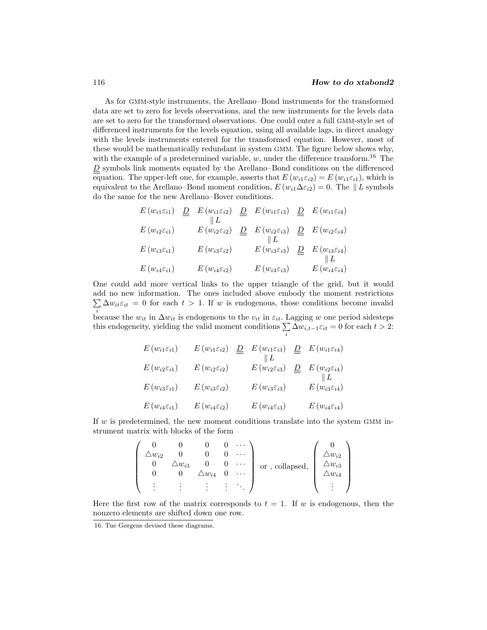As for GMM-style instruments, the Arellano–Bond instruments for the transformed data are set to zero for levels observations, and the new instruments for the levels data are set to zero for the transformed observations. One could enter a full GMM-style set of differenced instruments for the levels equation, using all available lags, in direct analogy with the levels instruments entered for the transformed equation. However, most of these would be mathematically redundant in system GMM. The figure below shows why, with the example of a predetermined variable, w, under the difference transform.<sup>16</sup> The  $D$  symbols link moments equated by the Arellano–Bond conditions on the differenced equation. The upper-left one, for example, asserts that  $E(w_{i1} \varepsilon_{i2}) = E(w_{i1} \varepsilon_{i1})$ , which is equivalent to the Arellano–Bond moment condition,  $E(w_{i1}\Delta \varepsilon_{i2}) = 0$ . The  $||L$  symbols do the same for the new Arellano–Bover conditions.

$$
E(w_{i1}\varepsilon_{i1}) \underline{D} E(w_{i1}\varepsilon_{i2}) \underline{D} E(w_{i1}\varepsilon_{i3}) \underline{D} E(w_{i1}\varepsilon_{i4})
$$
  
\n
$$
E(w_{i2}\varepsilon_{i1}) \underline{E(w_{i2}\varepsilon_{i2})} \underline{D} E(w_{i2}\varepsilon_{i3}) \underline{D} E(w_{i2}\varepsilon_{i4})
$$
  
\n
$$
E(w_{i3}\varepsilon_{i1}) \underline{E(w_{i3}\varepsilon_{i2})} E(w_{i3}\varepsilon_{i3}) \underline{D} E(w_{i3}\varepsilon_{i4})
$$
  
\n
$$
E(w_{i4}\varepsilon_{i1}) \underline{E(w_{i4}\varepsilon_{i2})} E(w_{i4}\varepsilon_{i3}) \underline{E(w_{i4}\varepsilon_{i4})}
$$

One could add more vertical links to the upper triangle of the grid, but it would add no new information. The ones included above embody the moment restrictions  $\sum_i \Delta w_{it} \varepsilon_{it} = 0$  for each  $t > 1$ . If w is endogenous, those conditions become invalid because the  $w_{it}$  in  $\Delta w_{it}$  is endogenous to the  $v_{it}$  in  $\varepsilon_{it}$ . Lagging w one period sidesteps this endogeneity, yielding the valid moment conditions  $\sum_{i} \Delta w_{i,t-1} \varepsilon_{it} = 0$  for each  $t > 2$ :

| $E(w_{i1} \varepsilon_{i1})$ | $E(w_{i1} \varepsilon_{i2})$ | $E(w_{i1} \varepsilon_{i3})$ | $E(w_{i1} \varepsilon_{i4})$ |
|------------------------------|------------------------------|------------------------------|------------------------------|
| $E(w_{i2} \varepsilon_{i1})$ | $E(w_{i2} \varepsilon_{i2})$ | $E(w_{i2} \varepsilon_{i3})$ | $E(w_{i2} \varepsilon_{i4})$ |
| $E(w_{i3} \varepsilon_{i1})$ | $E(w_{i3} \varepsilon_{i2})$ | $E(w_{i3} \varepsilon_{i3})$ | $E(w_{i3} \varepsilon_{i4})$ |
| $E(w_{i4} \varepsilon_{i1})$ | $E(w_{i4} \varepsilon_{i2})$ | $E(w_{i4}\varepsilon_{i3})$  | $E(w_{i4} \varepsilon_{i4})$ |

If  $w$  is predetermined, the new moment conditions translate into the system GMM instrument matrix with blocks of the form

$$
\begin{pmatrix}\n0 & 0 & 0 & 0 & \cdots \\
\Delta w_{i2} & 0 & 0 & 0 & \cdots \\
0 & \Delta w_{i3} & 0 & 0 & \cdots \\
0 & 0 & \Delta w_{i4} & 0 & \cdots \\
\vdots & \vdots & \vdots & \vdots & \ddots\n\end{pmatrix}
$$
 or, collapsed, 
$$
\begin{pmatrix}\n0 \\
\Delta w_{i2} \\
\Delta w_{i3} \\
\Delta w_{i4} \\
\vdots \\
\end{pmatrix}
$$

Here the first row of the matrix corresponds to  $t = 1$ . If w is endogenous, then the nonzero elements are shifted down one row.

<sup>16.</sup> Tue Gørgens devised these diagrams.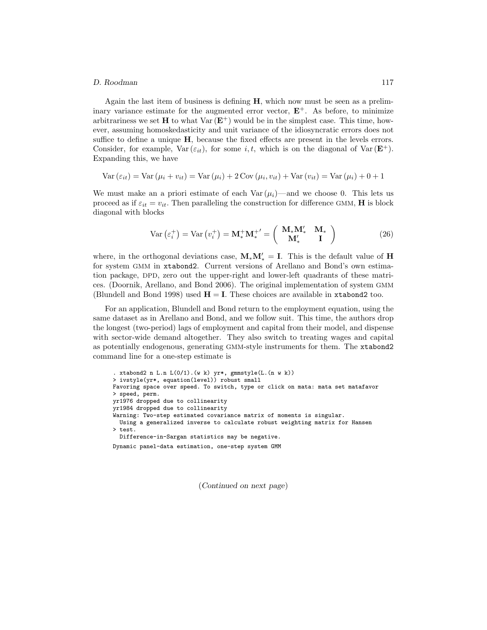#### *D. Roodman* 117

Again the last item of business is defining **H**, which now must be seen as a preliminary variance estimate for the augmented error vector,  $E^+$ . As before, to minimize arbitrariness we set **H** to what Var  $(E^+)$  would be in the simplest case. This time, however, assuming homoskedasticity and unit variance of the idiosyncratic errors does not suffice to define a unique **H**, because the fixed effects are present in the levels errors. Consider, for example,  $Var(\varepsilon_{it})$ , for some i, t, which is on the diagonal of  $Var(\mathbf{E}^+)$ . Expanding this, we have

$$
Var(\varepsilon_{it}) = Var(\mu_i + v_{it}) = Var(\mu_i) + 2 Cov(\mu_i, v_{it}) + Var(v_{it}) = Var(\mu_i) + 0 + 1
$$

We must make an a priori estimate of each  $Var(\mu_i)$ —and we choose 0. This lets us proceed as if  $\varepsilon_{it} = v_{it}$ . Then paralleling the construction for difference GMM, **H** is block diagonal with blocks

$$
\text{Var}\left(\varepsilon_i^+\right) = \text{Var}\left(v_i^+\right) = \mathbf{M}_*^+ \mathbf{M}_*^{+'} = \left(\begin{array}{cc} \mathbf{M}_* \mathbf{M}_*' & \mathbf{M}_* \\ \mathbf{M}_*' & \mathbf{I} \end{array}\right) \tag{26}
$$

where, in the orthogonal deviations case,  $\mathbf{M}_*\mathbf{M}'_* = \mathbf{I}$ . This is the default value of **H** for system GMM in xtabond2. Current versions of Arellano and Bond's own estimation package, DPD, zero out the upper-right and lower-left quadrants of these matrices. (Doornik, Arellano, and Bond 2006). The original implementation of system GMM (Blundell and Bond 1998) used  $H = I$ . These choices are available in xtabond2 too.

For an application, Blundell and Bond return to the employment equation, using the same dataset as in Arellano and Bond, and we follow suit. This time, the authors drop the longest (two-period) lags of employment and capital from their model, and dispense with sector-wide demand altogether. They also switch to treating wages and capital as potentially endogenous, generating GMM-style instruments for them. The xtabond2 command line for a one-step estimate is

```
. xtabond2 n L.n L(0/1).(w k) yr*, gmmstyle(L.(n w k))
> ivstyle(yr*, equation(level)) robust small
Favoring space over speed. To switch, type or click on mata: mata set matafavor
> speed, perm.
yr1976 dropped due to collinearity
yr1984 dropped due to collinearity
Warning: Two-step estimated covariance matrix of moments is singular.
 Using a generalized inverse to calculate robust weighting matrix for Hansen
> test.
 Difference-in-Sargan statistics may be negative.
Dynamic panel-data estimation, one-step system GMM
```
(*Continued on next page*)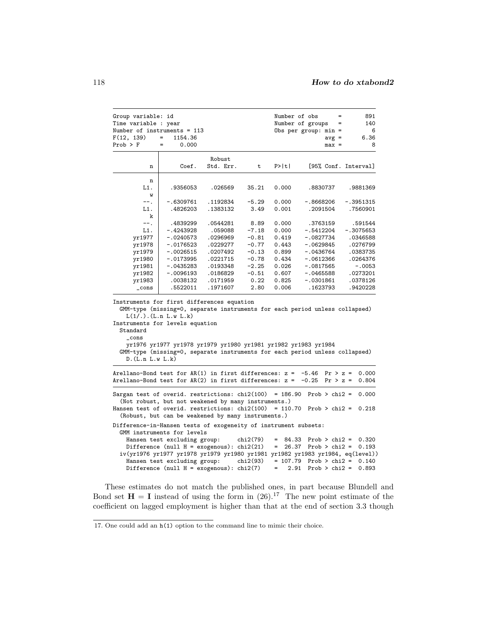| Group variable: id<br>Time variable : year<br>F(12, 139)        | Number of instruments = 113<br>$=$<br>1154.36                                                                                                                                                                                                                                                                                             |                      |                 | Number of obs                           | $=$<br>Number of groups<br>$=$<br>Obs per group: $min =$<br>$avg =$ | 891<br>140<br>6<br>6.36 |
|-----------------------------------------------------------------|-------------------------------------------------------------------------------------------------------------------------------------------------------------------------------------------------------------------------------------------------------------------------------------------------------------------------------------------|----------------------|-----------------|-----------------------------------------|---------------------------------------------------------------------|-------------------------|
| $Prob$ > $F$                                                    | 0.000<br>$=$                                                                                                                                                                                                                                                                                                                              |                      |                 |                                         | $max =$                                                             | 8                       |
| n                                                               | Coef.                                                                                                                                                                                                                                                                                                                                     | Robust<br>Std. Err.  | t               | P>  t                                   | [95% Conf. Interval]                                                |                         |
|                                                                 |                                                                                                                                                                                                                                                                                                                                           |                      |                 |                                         |                                                                     |                         |
| n                                                               |                                                                                                                                                                                                                                                                                                                                           |                      |                 |                                         |                                                                     |                         |
| L1.                                                             | .9356053                                                                                                                                                                                                                                                                                                                                  | .026569              | 35.21           | 0.000                                   | .8830737                                                            | .9881369                |
| W                                                               |                                                                                                                                                                                                                                                                                                                                           |                      |                 |                                         |                                                                     |                         |
| $--.$<br>L1.                                                    | $-.6309761$<br>.4826203                                                                                                                                                                                                                                                                                                                   | .1192834<br>.1383132 | $-5.29$<br>3.49 | 0.000<br>0.001                          | $-.8668206$<br>.2091504                                             | $-.3951315$<br>.7560901 |
| k                                                               |                                                                                                                                                                                                                                                                                                                                           |                      |                 |                                         |                                                                     |                         |
| $--.$                                                           | .4839299                                                                                                                                                                                                                                                                                                                                  | .0544281             | 8.89            | 0.000                                   | .3763159                                                            | .591544                 |
| L1.                                                             | -.4243928                                                                                                                                                                                                                                                                                                                                 | .059088              | $-7.18$         | 0.000                                   | -.5412204                                                           | -.3075653               |
| yr1977                                                          | $-.0240573$                                                                                                                                                                                                                                                                                                                               | .0296969             | $-0.81$         | 0.419                                   | $-.0827734$                                                         | .0346588                |
| yr1978                                                          | -.0176523                                                                                                                                                                                                                                                                                                                                 | .0229277             | $-0.77$         | 0.443                                   | -.0629845                                                           | .0276799                |
| yr1979                                                          | $-.0026515$                                                                                                                                                                                                                                                                                                                               | .0207492             | $-0.13$         | 0.899                                   | -.0436764                                                           | .0383735                |
| yr1980                                                          | $-.0173995$                                                                                                                                                                                                                                                                                                                               | .0221715             | $-0.78$         | 0.434                                   | $-.0612366$                                                         | .0264376                |
| yr1981                                                          | $-.0435283$                                                                                                                                                                                                                                                                                                                               | .0193348             | $-2.25$         | 0.026                                   | $-.0817565$                                                         | $-.0053$                |
| yr1982                                                          | -.0096193                                                                                                                                                                                                                                                                                                                                 | .0186829             | $-0.51$         | 0.607                                   | $-.0465588$                                                         | .0273201                |
| yr1983                                                          | .0038132                                                                                                                                                                                                                                                                                                                                  | .0171959             | 0.22            | 0.825                                   | $-.0301861$                                                         | .0378126                |
| $\_cons$                                                        | .5522011                                                                                                                                                                                                                                                                                                                                  | .1971607             | 2.80            | 0.006                                   | .1623793                                                            | .9420228                |
| Standard<br>cons<br>D.(L.n L.w L.k)                             | Instruments for first differences equation<br>GMM-type (missing=0, separate instruments for each period unless collapsed)<br>$L(1/.)$ . (L.n L.w L.k)<br>Instruments for levels equation<br>yr1976 yr1977 yr1978 yr1979 yr1980 yr1981 yr1982 yr1983 yr1984<br>GMM-type (missing=0, separate instruments for each period unless collapsed) |                      |                 |                                         |                                                                     |                         |
|                                                                 | Arellano-Bond test for $AR(1)$ in first differences: $z = -5.46$<br>Arellano-Bond test for $AR(2)$ in first differences: $z =$                                                                                                                                                                                                            |                      |                 |                                         | $Pr > z =$<br>$-0.25$<br>$Pr > z =$                                 | 0.000<br>0.804          |
|                                                                 | Sargan test of overid. restrictions: $chi(100) = 186.90$                                                                                                                                                                                                                                                                                  |                      |                 |                                         | $Prob > chi2 =$                                                     | 0.000                   |
|                                                                 | (Not robust, but not weakened by many instruments.)<br>Hansen test of overid. restrictions: $\text{chi}(100) = 110.70$ Prob > $\text{chi}(2) =$<br>(Robust, but can be weakened by many instruments.)                                                                                                                                     |                      |                 |                                         |                                                                     | 0.218                   |
| Difference-in-Hansen tests of exogeneity of instrument subsets: | GMM instruments for levels                                                                                                                                                                                                                                                                                                                |                      |                 |                                         |                                                                     |                         |
|                                                                 | Hansen test excluding group:                                                                                                                                                                                                                                                                                                              |                      | chi2(79)        | 84.33<br>$=$                            | Prob > $chi2$ =                                                     | 0.320                   |
|                                                                 | Difference (null $H = exogenous$ ): chi2(21)                                                                                                                                                                                                                                                                                              |                      |                 | $=$<br>26.37                            | Prob > $chi2$ =                                                     | 0.193                   |
|                                                                 | iv(yr1976 yr1977 yr1978 yr1979 yr1980 yr1981 yr1982 yr1983 yr1984, eq(level))                                                                                                                                                                                                                                                             |                      |                 |                                         |                                                                     |                         |
|                                                                 | Hansen test excluding group:<br>Difference (null $H = exogenous$ ): chi2(7)                                                                                                                                                                                                                                                               |                      | chi2(93)        | $= 107.79$<br>2.91<br>$\qquad \qquad =$ | Prob > $chi2$ =<br>$Prob > chi2 =$                                  | 0.140<br>0.893          |
|                                                                 |                                                                                                                                                                                                                                                                                                                                           |                      |                 |                                         |                                                                     |                         |

These estimates do not match the published ones, in part because Blundell and Bond set  $H = I$  instead of using the form in  $(26)^{17}$  The new point estimate of the coefficient on lagged employment is higher than that at the end of section 3.3 though

<sup>17.</sup> One could add an h(1) option to the command line to mimic their choice.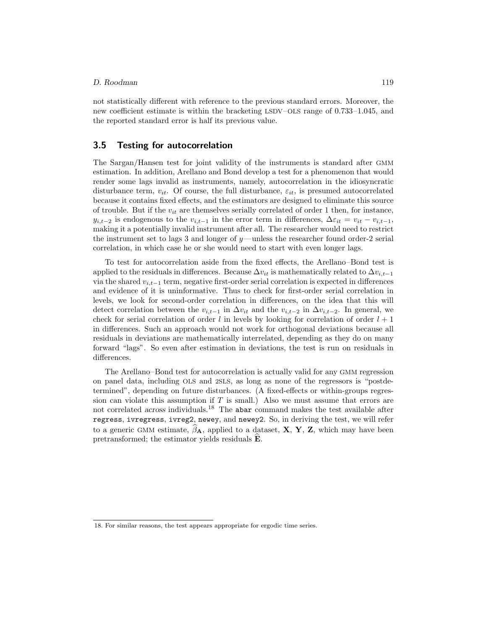not statistically different with reference to the previous standard errors. Moreover, the new coefficient estimate is within the bracketing LSDV–OLS range of 0.733–1.045, and the reported standard error is half its previous value.

### **3.5 Testing for autocorrelation**

The Sargan/Hansen test for joint validity of the instruments is standard after GMM estimation. In addition, Arellano and Bond develop a test for a phenomenon that would render some lags invalid as instruments, namely, autocorrelation in the idiosyncratic disturbance term,  $v_{it}$ . Of course, the full disturbance,  $\varepsilon_{it}$ , is presumed autocorrelated because it contains fixed effects, and the estimators are designed to eliminate this source of trouble. But if the  $v_{it}$  are themselves serially correlated of order 1 then, for instance,  $y_{i,t-2}$  is endogenous to the  $v_{i,t-1}$  in the error term in differences,  $\Delta \varepsilon_{it} = v_{it} - v_{i,t-1}$ , making it a potentially invalid instrument after all. The researcher would need to restrict the instrument set to lags 3 and longer of  $y$ —unless the researcher found order-2 serial correlation, in which case he or she would need to start with even longer lags.

To test for autocorrelation aside from the fixed effects, the Arellano–Bond test is applied to the residuals in differences. Because  $\Delta v_{it}$  is mathematically related to  $\Delta v_{i,t-1}$ via the shared  $v_{i,t-1}$  term, negative first-order serial correlation is expected in differences and evidence of it is uninformative. Thus to check for first-order serial correlation in levels, we look for second-order correlation in differences, on the idea that this will detect correlation between the  $v_{i,t-1}$  in  $\Delta v_{i,t}$  and the  $v_{i,t-2}$  in  $\Delta v_{i,t-2}$ . In general, we check for serial correlation of order l in levels by looking for correlation of order  $l + 1$ in differences. Such an approach would not work for orthogonal deviations because all residuals in deviations are mathematically interrelated, depending as they do on many forward "lags". So even after estimation in deviations, the test is run on residuals in differences.

The Arellano–Bond test for autocorrelation is actually valid for any GMM regression on panel data, including OLS and 2SLS, as long as none of the regressors is "postdetermined", depending on future disturbances. (A fixed-effects or within-groups regression can violate this assumption if  $T$  is small.) Also we must assume that errors are not correlated *across* individuals.<sup>18</sup> The abar command makes the test available after regress, ivregress, ivreg2, newey, and newey2. So, in deriving the test, we will refer to a generic GMM estimate,  $\beta_A$ , applied to a dataset, **X**, **Y**, **Z**, which may have been pretransformed; the estimator yields residuals **<sup>E</sup>**-.

<sup>18.</sup> For similar reasons, the test appears appropriate for ergodic time series.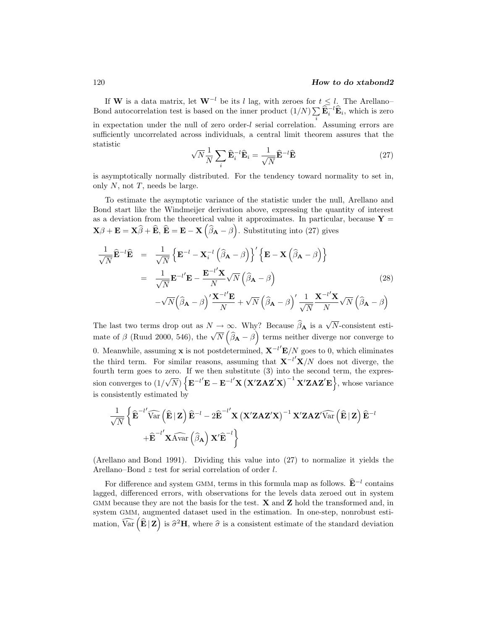If **W** is a data matrix, let  $W^{-l}$  be its l lag, with zeroes for  $t \leq l$ . The Arellano– Bond autocorrelation test is based on the inner product  $(1/N)\sum_i \widehat{\mathbf{E}}_i^{-1} \widehat{\mathbf{E}}_i$ , which is zero in expectation under the null of zero order-l serial correlation. Assuming errors are sufficiently uncorrelated across individuals, a central limit theorem assures that the statistic

$$
\sqrt{N}\frac{1}{N}\sum_{i}\widehat{\mathbf{E}}_{i}^{-l}\widehat{\mathbf{E}}_{i} = \frac{1}{\sqrt{N}}\widehat{\mathbf{E}}^{-l}\widehat{\mathbf{E}} \tag{27}
$$

is asymptotically normally distributed. For the tendency toward normality to set in, only  $N$ , not  $T$ , needs be large.

To estimate the asymptotic variance of the statistic under the null, Arellano and Bond start like the Windmeijer derivation above, expressing the quantity of interest as a deviation from the theoretical value it approximates. In particular, because  $Y =$  $\mathbf{X}\beta + \mathbf{E} = \mathbf{X}\widehat{\beta} + \widehat{\mathbf{E}}, \ \widehat{\mathbf{E}} = \mathbf{E} - \mathbf{X}\left(\widehat{\beta}_\mathbf{A} - \beta\right).$  Substituting into (27) gives

$$
\frac{1}{\sqrt{N}}\widehat{\mathbf{E}}^{-l}\widehat{\mathbf{E}} = \frac{1}{\sqrt{N}}\left\{\mathbf{E}^{-l} - \mathbf{X}_i^{-l}(\widehat{\boldsymbol{\beta}}_{\mathbf{A}} - \boldsymbol{\beta})\right\}' \left\{\mathbf{E} - \mathbf{X}(\widehat{\boldsymbol{\beta}}_{\mathbf{A}} - \boldsymbol{\beta})\right\}
$$
\n
$$
= \frac{1}{\sqrt{N}}\mathbf{E}^{-l'}\mathbf{E} - \frac{\mathbf{E}^{-l'}\mathbf{X}}{N}\sqrt{N}(\widehat{\boldsymbol{\beta}}_{\mathbf{A}} - \boldsymbol{\beta})
$$
\n
$$
-\sqrt{N}(\widehat{\boldsymbol{\beta}}_{\mathbf{A}} - \boldsymbol{\beta})'\frac{\mathbf{X}^{-l'}\mathbf{E}}{N} + \sqrt{N}(\widehat{\boldsymbol{\beta}}_{\mathbf{A}} - \boldsymbol{\beta})'\frac{1}{\sqrt{N}}\frac{\mathbf{X}^{-l'}\mathbf{X}}{N}\sqrt{N}(\widehat{\boldsymbol{\beta}}_{\mathbf{A}} - \boldsymbol{\beta})
$$
\n(28)

The last two terms drop out as  $N \to \infty$ . Why? Because  $\hat{\beta}_A$  is a  $\sqrt{N}$ -consistent estimate of  $\beta$  (Ruud 2000, 546), the  $\sqrt{N}$   $(\hat{\beta}_{\bf A} - \beta)$  terms neither diverge nor converge to 0. Meanwhile, assuming **x** is not postdetermined, **X**−l **E**/N goes to 0, which eliminates the third term. For similar reasons, assuming that  $X^{-l'}X/N$  does not diverge, the fourth term goes to zero. If we then substitute (3) into the second term, the expression converges to (1/ √  $\overline{N}$ )  $\left\{ \mathbf{E}^{-l'}\mathbf{E}-\mathbf{E}^{-l'}\mathbf{X}\left(\mathbf{X}'\mathbf{Z}\mathbf{AZ}'\mathbf{X}\right)^{-1}\mathbf{X}'\mathbf{Z}\mathbf{AZ}'\mathbf{E}\right\}$ , whose variance is consistently estimated by

$$
\begin{aligned}[t]& \frac{1}{\sqrt{N}}\left\{\widehat{\mathbf{E}}^{-l'}\widehat{\text{Var}}\left(\widehat{\mathbf{E}}\,|\,\mathbf{Z}\right)\widehat{\mathbf{E}}^{-l}-2\widehat{\mathbf{E}}^{-l'}\mathbf{X}\left(\mathbf{X}'\mathbf{Z}\mathbf{A}\mathbf{Z}'\mathbf{X}\right)^{-1}\mathbf{X}'\mathbf{Z}\mathbf{A}\mathbf{Z}'\widehat{\text{Var}}\left(\widehat{\mathbf{E}}\,|\,\mathbf{Z}\right)\widehat{\mathbf{E}}^{-l} \\& \quad+\widehat{\mathbf{E}}^{-l'}\mathbf{X}\widehat{\text{Var}}\left(\widehat{\beta}_{\mathbf{A}}\right)\mathbf{X}'\widehat{\mathbf{E}}^{-l}\right\} \end{aligned}
$$

(Arellano and Bond 1991). Dividing this value into (27) to normalize it yields the Arellano–Bond z test for serial correlation of order l.

For difference and system GMM, terms in this formula map as follows.  $\hat{\mathbf{E}}^{-l}$  contains lagged, differenced errors, with observations for the levels data zeroed out in system GMM because they are not the basis for the test. **X** and **Z** hold the transformed and, in system GMM, augmented dataset used in the estimation. In one-step, nonrobust estimation,  $\widehat{\text{Var}}\left(\widehat{\mathbf{E}}\,|\,\mathbf{Z}\right)$  is  $\widehat{\sigma}^2\mathbf{H}$ , where  $\widehat{\sigma}$  is a consistent estimate of the standard deviation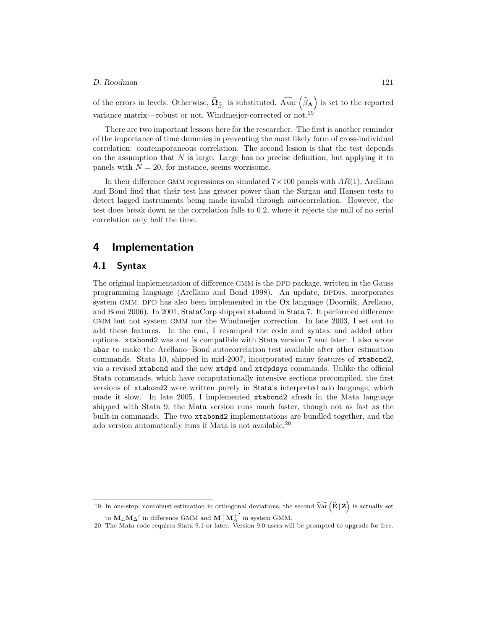of the errors in levels. Otherwise,  $\widehat{\Omega}_{\widehat{\beta}_1}$  is substituted.  $\widehat{\text{Avar}}\left(\widehat{\beta}_A\right)$  is set to the reported variance matrix—robust or not, Windmeijer-corrected or not.<sup>19</sup>

There are two important lessons here for the researcher. The first is another reminder of the importance of time dummies in preventing the most likely form of cross-individual correlation: contemporaneous correlation. The second lesson is that the test depends on the assumption that  $N$  is large. Large has no precise definition, but applying it to panels with  $N = 20$ , for instance, seems worrisome.

In their difference GMM regressions on simulated  $7 \times 100$  panels with  $AR(1)$ , Arellano and Bond find that their test has greater power than the Sargan and Hansen tests to detect lagged instruments being made invalid through autocorrelation. However, the test does break down as the correlation falls to 0.2, where it rejects the null of no serial correlation only half the time.

# **4 Implementation**

### **4.1 Syntax**

The original implementation of difference GMM is the DPD package, written in the Gauss programming language (Arellano and Bond 1998). An update, DPD98, incorporates system GMM. DPD has also been implemented in the Ox language (Doornik, Arellano, and Bond 2006). In 2001, StataCorp shipped xtabond in Stata 7. It performed difference GMM but not system GMM nor the Windmeijer correction. In late 2003, I set out to add these features. In the end, I revamped the code and syntax and added other options. xtabond2 was and is compatible with Stata version 7 and later. I also wrote abar to make the Arellano–Bond autocorrelation test available after other estimation commands. Stata 10, shipped in mid-2007, incorporated many features of xtabond2, via a revised xtabond and the new xtdpd and xtdpdsys commands. Unlike the official Stata commands, which have computationally intensive sections precompiled, the first versions of xtabond2 were written purely in Stata's interpreted ado language, which made it slow. In late 2005, I implemented xtabond2 afresh in the Mata language shipped with Stata 9; the Mata version runs much faster, though not as fast as the built-in commands. The two xtabond2 implementations are bundled together, and the ado version automatically runs if Mata is not available.<sup>20</sup>

<sup>19.</sup> In one-step, nonrobust estimation in orthogonal deviations, the second  $\widehat{\text{Var}}(\widehat{\mathbf{E}} | \mathbf{Z})$  is actually set

to  $M_{\perp}M_{\Delta}^{\prime}$  in difference GMM and  $M_{\perp}^{+}M_{\Delta}^{+}^{\prime}$  in system GMM.

<sup>20.</sup> The Mata code requires Stata 9.1 or later. Version 9.0 users will be prompted to upgrade for free.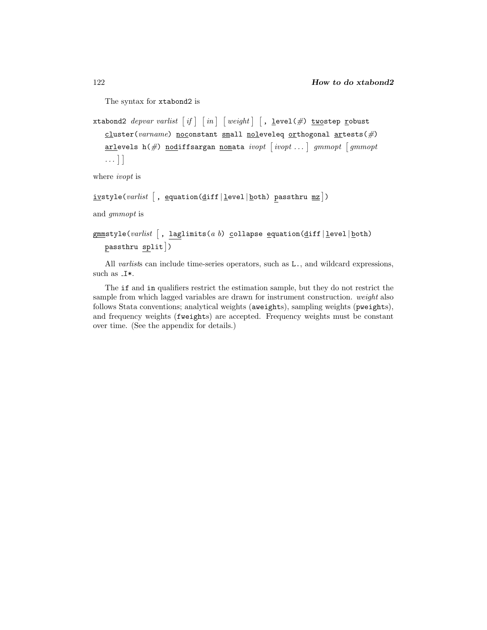The syntax for xtabond2 is

```
xtabond2 depvar varlist 
if   in   weight   , level(#) twostep robust
  cluster(varname) noconstant small noleveleq orthogonal artests(#)
  arlevels h(#) nodiffsargan nomata ivopt 
ivopt . . .  gmmopt 
gmmopt
  ...
```
where *ivopt* is

```
<u>iv</u>style(varlist \lceil , <u>e</u>quation(<u>d</u>iff|<u>l</u>evel|<u>b</u>oth) passthru <u>mz</u>])
```
and *gmmopt* is

```
gmmstyle(varlist 
, laglimits(a b) collapse equation(diff | level | both)
   passthru split 
)
```
All *varlist*s can include time-series operators, such as L., and wildcard expressions, such as  $I^*$ .

The if and in qualifiers restrict the estimation sample, but they do not restrict the sample from which lagged variables are drawn for instrument construction. *weight* also follows Stata conventions; analytical weights (aweights), sampling weights (pweights), and frequency weights (fweights) are accepted. Frequency weights must be constant over time. (See the appendix for details.)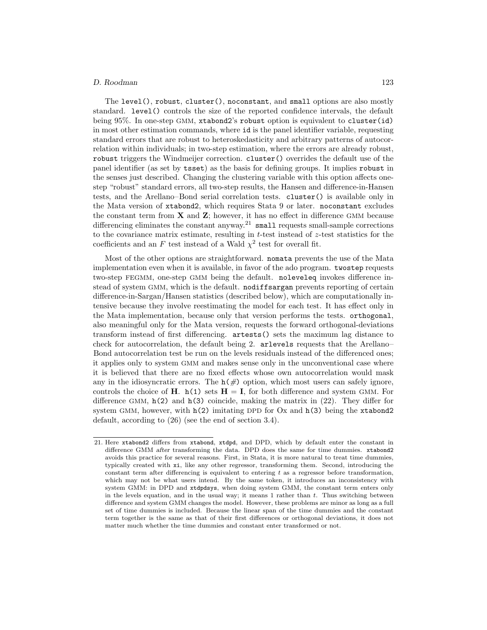The level(), robust, cluster(), noconstant, and small options are also mostly standard. level() controls the size of the reported confidence intervals, the default being 95%. In one-step GMM, xtabond2's robust option is equivalent to cluster(id) in most other estimation commands, where id is the panel identifier variable, requesting standard errors that are robust to heteroskedasticity and arbitrary patterns of autocorrelation within individuals; in two-step estimation, where the errors are already robust, robust triggers the Windmeijer correction. cluster() overrides the default use of the panel identifier (as set by tsset) as the basis for defining groups. It implies robust in the senses just described. Changing the clustering variable with this option affects onestep "robust" standard errors, all two-step results, the Hansen and difference-in-Hansen tests, and the Arellano–Bond serial correlation tests. cluster() is available only in the Mata version of xtabond2, which requires Stata 9 or later. noconstant excludes the constant term from **X** and **Z**; however, it has no effect in difference GMM because differencing eliminates the constant anyway.<sup>21</sup> small requests small-sample corrections to the covariance matrix estimate, resulting in  $t$ -test instead of  $z$ -test statistics for the coefficients and an F test instead of a Wald  $\chi^2$  test for overall fit.

Most of the other options are straightforward. nomata prevents the use of the Mata implementation even when it is available, in favor of the ado program. twostep requests two-step FEGMM, one-step GMM being the default. noleveleq invokes difference instead of system GMM, which is the default. nodiffsargan prevents reporting of certain difference-in-Sargan/Hansen statistics (described below), which are computationally intensive because they involve reestimating the model for each test. It has effect only in the Mata implementation, because only that version performs the tests. orthogonal, also meaningful only for the Mata version, requests the forward orthogonal-deviations transform instead of first differencing. artests() sets the maximum lag distance to check for autocorrelation, the default being 2. arlevels requests that the Arellano– Bond autocorrelation test be run on the levels residuals instead of the differenced ones; it applies only to system GMM and makes sense only in the unconventional case where it is believed that there are no fixed effects whose own autocorrelation would mask any in the idiosyncratic errors. The  $h(\#)$  option, which most users can safely ignore, controls the choice of **H**. h(1) sets  $H = I$ , for both difference and system GMM. For difference GMM,  $h(2)$  and  $h(3)$  coincide, making the matrix in  $(22)$ . They differ for system GMM, however, with  $h(2)$  imitating DPD for Ox and  $h(3)$  being the xtabond2 default, according to (26) (see the end of section 3.4).

<sup>21.</sup> Here xtabond2 differs from xtabond, xtdpd, and DPD, which by default enter the constant in difference GMM *after* transforming the data. DPD does the same for time dummies. xtabond2 avoids this practice for several reasons. First, in Stata, it is more natural to treat time dummies, typically created with xi, like any other regressor, transforming them. Second, introducing the constant term after differencing is equivalent to entering  $t$  as a regressor before transformation, which may not be what users intend. By the same token, it introduces an inconsistency with system GMM: in DPD and xtdpdsys, when doing system GMM, the constant term enters only in the levels equation, and in the usual way; it means  $1$  rather than  $t$ . Thus switching between difference and system GMM changes the model. However, these problems are minor as long as a full set of time dummies is included. Because the linear span of the time dummies and the constant term together is the same as that of their first differences or orthogonal deviations, it does not matter much whether the time dummies and constant enter transformed or not.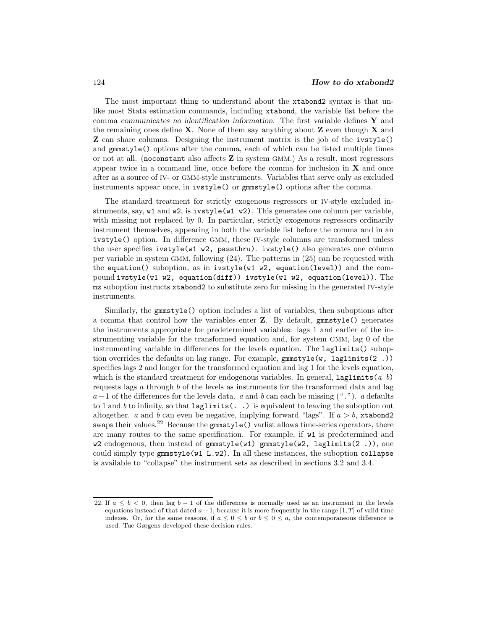The most important thing to understand about the xtabond2 syntax is that unlike most Stata estimation commands, including xtabond, the variable list before the comma *communicates no identification information*. The first variable defines **Y** and the remaining ones define **X**. None of them say anything about **Z** even though **X** and **Z** can share columns. Designing the instrument matrix is the job of the ivstyle() and gmmstyle() options after the comma, each of which can be listed multiple times or not at all. (noconstant also affects **Z** in system GMM.) As a result, most regressors appear twice in a command line, once before the comma for inclusion in **X** and once after as a source of IV- or GMM-style instruments. Variables that serve only as excluded instruments appear once, in ivstyle() or gmmstyle() options after the comma.

The standard treatment for strictly exogenous regressors or IV-style excluded instruments, say, w1 and w2, is ivstyle(w1 w2). This generates one column per variable, with missing not replaced by 0. In particular, strictly exogenous regressors ordinarily instrument themselves, appearing in both the variable list before the comma and in an ivstyle() option. In difference GMM, these IV-style columns are transformed unless the user specifies  $ivstyle(w1 w2, passtrnu)$ .  $ivstyle()$  also generates one column per variable in system GMM, following (24). The patterns in (25) can be requested with the equation() suboption, as in ivstyle(w1 w2, equation(level)) and the compound ivstyle(w1 w2, equation(diff)) ivstyle(w1 w2, equation(level)). The mz suboption instructs xtabond2 to substitute zero for missing in the generated IV-style instruments.

Similarly, the gmmstyle() option includes a list of variables, then suboptions after a comma that control how the variables enter **Z**. By default, gmmstyle() generates the instruments appropriate for predetermined variables: lags 1 and earlier of the instrumenting variable for the transformed equation and, for system GMM, lag 0 of the instrumenting variable in differences for the levels equation. The laglimits() suboption overrides the defaults on lag range. For example,  $gmmstyle(w, laglimits(2.))$ specifies lags 2 and longer for the transformed equation and lag 1 for the levels equation, which is the standard treatment for endogenous variables. In general, laglimits(*a b*) requests lags a through b of the levels as instruments for the transformed data and lag a−1 of the differences for the levels data. *a* and *b* can each be missing ("."). *a* defaults to 1 and *b* to infinity, so that laglimits(. .) is equivalent to leaving the suboption out altogether. *a* and *b* can even be negative, implying forward "lags". If  $a > b$ , xtabond2 swaps their values.<sup>22</sup> Because the  $\text{gmmstyle}$  () varlist allows time-series operators, there are many routes to the same specification. For example, if w1 is predetermined and  $w2$  endogenous, then instead of  $gmmstyle(w1)$   $gmmstyle(w2, 1aglimits(s2 .))$ , one could simply type  $\texttt{gmmstyle}(\texttt{w1 L.w2})$ . In all these instances, the suboption collapse is available to "collapse" the instrument sets as described in sections 3.2 and 3.4.

<sup>22.</sup> If  $a \leq b < 0$ , then lag  $b - 1$  of the differences is normally used as an instrument in the levels equations instead of that dated  $a - 1$ , because it is more frequently in the range [1, T] of valid time indexes. Or, for the same reasons, if  $a \leq 0 \leq b$  or  $b \leq 0 \leq a$ , the contemporaneous difference is used. Tue Gørgens developed these decision rules.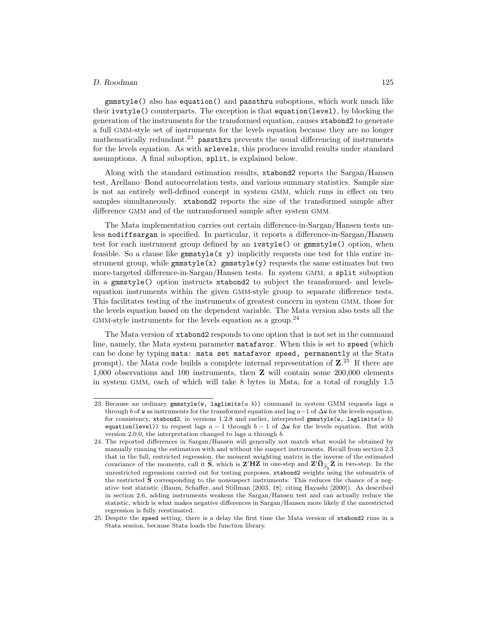gmmstyle() also has equation() and passthru suboptions, which work much like their ivstyle() counterparts. The exception is that equation(level), by blocking the generation of the instruments for the transformed equation, causes xtabond2 to generate a full GMM-style set of instruments for the levels equation because they are no longer mathematically redundant.<sup>23</sup> passthru prevents the usual differencing of instruments for the levels equation. As with arlevels, this produces invalid results under standard assumptions. A final suboption, split, is explained below.

Along with the standard estimation results, xtabond2 reports the Sargan/Hansen test, Arellano–Bond autocorrelation tests, and various summary statistics. Sample size is not an entirely well-defined concept in system GMM, which runs in effect on two samples simultaneously. xtabond2 reports the size of the transformed sample after difference GMM and of the untransformed sample after system GMM.

The Mata implementation carries out certain difference-in-Sargan/Hansen tests unless nodiffsargan is specified. In particular, it reports a difference-in-Sargan/Hansen test for each instrument group defined by an ivstyle() or gmmstyle() option, when feasible. So a clause like  $\text{gmmstyle}(\mathbf{x} \mathbf{y})$  implicitly requests one test for this entire instrument group, while  $\texttt{gmmstyle}(x)$  gmmstyle(y) requests the same estimates but two more-targeted difference-in-Sargan/Hansen tests. In system GMM, a split suboption in a gmmstyle() option instructs xtabond2 to subject the transformed- and levelsequation instruments within the given GMM-style group to separate difference tests. This facilitates testing of the instruments of greatest concern in system GMM, those for the levels equation based on the dependent variable. The Mata version also tests all the  $GMM$ -style instruments for the levels equation as a group.<sup>24</sup>

The Mata version of xtabond2 responds to one option that is not set in the command line, namely, the Mata system parameter matafavor. When this is set to speed (which can be done by typing mata: mata set matafavor speed, permanently at the Stata prompt), the Mata code builds a complete internal representation of **Z**. <sup>25</sup> If there are 1,000 observations and 100 instruments, then **Z** will contain some 200,000 elements in system GMM, each of which will take 8 bytes in Mata, for a total of roughly 1.5

<sup>23.</sup> Because an ordinary gmmstyle(w, laglimits( $a$  b)) command in system GMM requests lags  $a$ through b of w as instruments for the transformed equation and lag  $a-1$  of  $\Delta w$  for the levels equation, for consistency, xtabond2, in versions 1.2.8 and earlier, interpreted gmmstyle(w, laglimits(*a b*) equation(level)) to request lags  $a - 1$  through  $b - 1$  of  $\Delta w$  for the levels equation. But with version 2.0.0, the interpretation changed to lags a through b.

<sup>24.</sup> The reported differences in Sargan/Hansen will generally not match what would be obtained by manually running the estimation with and without the suspect instruments. Recall from section 2.3 that in the full, restricted regression, the moment weighting matrix is the inverse of the estimated covariance of the moments, call it  $\hat{\mathbf{S}}$ , which is  $\mathbf{Z}'\mathbf{H}\mathbf{Z}$  in one-step and  $\mathbf{Z}'\hat{\Omega}_{\hat{\beta}_1}\mathbf{Z}$  in two-step. In the unrestricted regressions carried out for testing purposes, xtabond2 weights using the submatrix of the restricted **S** corresponding to the nonsuspect instruments. This reduces the chance of a negative test statistic (Baum, Schaffer, and Stillman [2003, 18], citing Hayashi [2000]). As described in section 2.6, adding instruments weakens the Sargan/Hansen test and can actually reduce the statistic, which is what makes negative differences in Sargan/Hansen more likely if the unrestricted regression is fully reestimated.

<sup>25.</sup> Despite the speed setting, there is a delay the first time the Mata version of xtabond2 runs in a Stata session, because Stata loads the function library.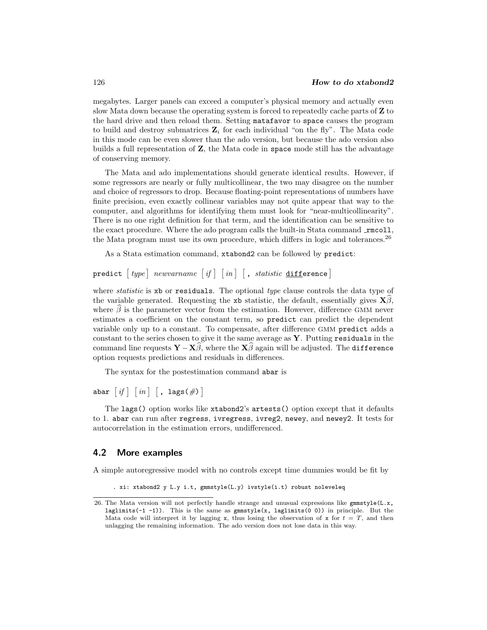megabytes. Larger panels can exceed a computer's physical memory and actually even slow Mata down because the operating system is forced to repeatedly cache parts of **Z** to the hard drive and then reload them. Setting matafavor to space causes the program to build and destroy submatrices  $\mathbf{Z}_i$  for each individual "on the fly". The Mata code in this mode can be even slower than the ado version, but because the ado version also builds a full representation of **Z**, the Mata code in space mode still has the advantage of conserving memory.

The Mata and ado implementations should generate identical results. However, if some regressors are nearly or fully multicollinear, the two may disagree on the number and choice of regressors to drop. Because floating-point representations of numbers have finite precision, even exactly collinear variables may not quite appear that way to the computer, and algorithms for identifying them must look for "near-multicollinearity". There is no one right definition for that term, and the identification can be sensitive to the exact procedure. Where the ado program calls the built-in Stata command  $\text{rmcoll}$ , the Mata program must use its own procedure, which differs in logic and tolerances.<sup>26</sup>

As a Stata estimation command, xtabond2 can be followed by predict:

### predict  $\lceil\mathit{type}\rceil$   $\mathit{newvarname}$   $\lceil\mathit{if}\rceil$   $\lceil\mathit{in}\rceil$   $\lceil\mathit{, static}\rceil$   $\texttt{difference}\rceil$

where *statistic* is xb or residuals. The optional *type* clause controls the data type of the variable generated. Requesting the xb statistic, the default, essentially gives  $\mathbf{X}\beta$ , where  $\beta$  is the parameter vector from the estimation. However, difference GMM never estimates a coefficient on the constant term, so predict can predict the dependent variable only up to a constant. To compensate, after difference GMM predict adds a constant to the series chosen to give it the same average as **Y**. Putting residuals in the command line requests  $\mathbf{Y} - \mathbf{X}\beta$ , where the  $\mathbf{X}\beta$  again will be adjusted. The difference option requests predictions and residuals in differences.

The syntax for the postestimation command abar is

abar  $\lceil \textit{if} \rceil \: \lceil \textit{in} \rceil \: \lceil \, , \; \texttt{lags}(\#) \, \rceil$ 

The lags() option works like xtabond2's artests() option except that it defaults to 1. abar can run after regress, ivregress, ivreg2, newey, and newey2. It tests for autocorrelation in the estimation errors, undifferenced.

### **4.2 More examples**

A simple autoregressive model with no controls except time dummies would be fit by

. xi: xtabond2 y L.y i.t, gmmstyle(L.y) ivstyle(i.t) robust noleveleq

<sup>26.</sup> The Mata version will not perfectly handle strange and unusual expressions like  $\text{gmmstyle}$ (L.x, laglimits(-1 -1)). This is the same as gmmstyle(x, laglimits(0 0)) in principle. But the Mata code will interpret it by lagging x, thus losing the observation of x for  $t = T$ , and then unlagging the remaining information. The ado version does not lose data in this way.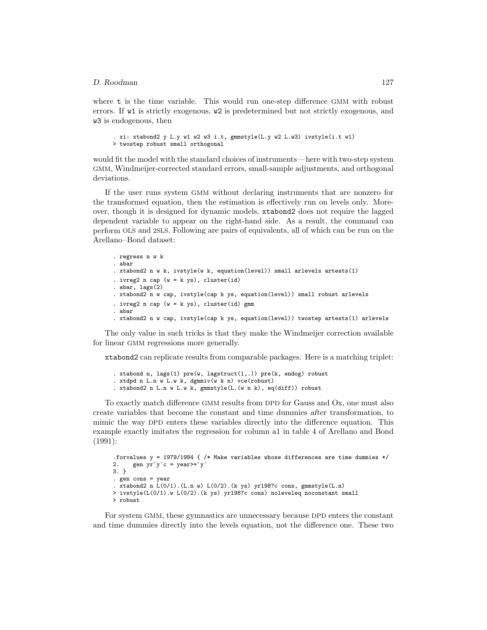where **t** is the time variable. This would run one-step difference GMM with robust errors. If w1 is strictly exogenous, w2 is predetermined but not strictly exogenous, and w3 is endogenous, then

```
. xi: xtabond2 y L.y w1 w2 w3 i.t, gmmstyle(L.y w2 L.w3) ivstyle(i.t w1)
> twostep robust small orthogonal
```
would fit the model with the standard choices of instruments—here with two-step system GMM, Windmeijer-corrected standard errors, small-sample adjustments, and orthogonal deviations.

If the user runs system GMM without declaring instruments that are nonzero for the transformed equation, then the estimation is effectively run on levels only. Moreover, though it is designed for dynamic models, xtabond2 does not require the lagged dependent variable to appear on the right-hand side. As a result, the command can perform OLS and 2SLS. Following are pairs of equivalents, all of which can be run on the Arellano–Bond dataset:

```
. regress n w k
. abar
. xtabond2 n w k, ivstyle(w k, equation(level)) small arlevels artests(1)
. ivreg2 n cap (w = k \text{ ys}), cluster(id)
. abar, lags(2)
. xtabond2 n w cap, ivstyle(cap k ys, equation(level)) small robust arlevels
. ivreg2 n cap (w = k ys), cluster(id) gmm
. abar
. xtabond2 n w cap, ivstyle(cap k ys, equation(level)) twostep artests(1) arlevels
```
The only value in such tricks is that they make the Windmeijer correction available for linear GMM regressions more generally.

xtabond2 can replicate results from comparable packages. Here is a matching triplet:

```
. xtabond n, lags(1) pre(w, lagstruct(1,.)) pre(k, endog) robust
. xtdpd n L.n w L.w k, dgmmiv(w k n) vce(robust)
. xtabond2 n L.n w L.w k, gmmstyle(L.(w n k), eq(diff)) robust
```
To exactly match difference GMM results from DPD for Gauss and Ox, one must also create variables that become the constant and time dummies *after* transformation, to mimic the way DPD enters these variables directly into the difference equation. This example exactly imitates the regression for column a1 in table 4 of Arellano and Bond (1991):

```
.forvalues y = 1979/1984 { /* Make variables whose differences are time dummies */
2. gen yr \dot{y} c = year \dot{y}3. }
. gen cons = year
. xtabond2 n L(0/1).(L.n w) L(0/2).(k ys) yr198?c cons, gmmstyle(L.n)
> ivstyle(L(0/1).w L(0/2).(k ys) yr198?c cons) noleveleq noconstant small
> robust
```
For system GMM, these gymnastics are unnecessary because DPD enters the constant and time dummies directly into the levels equation, not the difference one. These two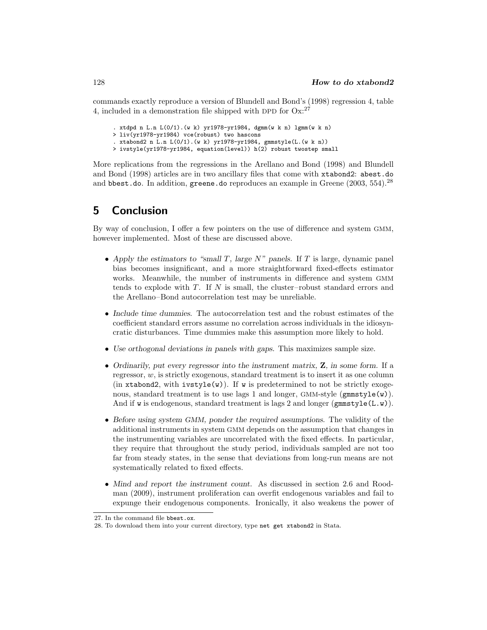commands exactly reproduce a version of Blundell and Bond's (1998) regression 4, table 4, included in a demonstration file shipped with DPD for  $Ox$ :<sup>27</sup>

- . xtdpd n L.n L(0/1).(w k) yr1978-yr1984, dgmm(w k n) lgmm(w k n)
- > liv(yr1978-yr1984) vce(robust) two hascons
- . xtabond2 n L.n L(0/1).(w k) yr1978-yr1984, gmmstyle(L.(w k n))
- > ivstyle(yr1978-yr1984, equation(level)) h(2) robust twostep small

More replications from the regressions in the Arellano and Bond (1998) and Blundell and Bond (1998) articles are in two ancillary files that come with xtabond2: abest.do and bbest.do. In addition, greene.do reproduces an example in Greene  $(2003, 554)$ .<sup>28</sup>

# **5 Conclusion**

By way of conclusion, I offer a few pointers on the use of difference and system GMM, however implemented. Most of these are discussed above.

- *Apply the estimators to "small* T*, large* N*" panels.* If T is large, dynamic panel bias becomes insignificant, and a more straightforward fixed-effects estimator works. Meanwhile, the number of instruments in difference and system GMM tends to explode with  $T$ . If  $N$  is small, the cluster-robust standard errors and the Arellano–Bond autocorrelation test may be unreliable.
- *Include time dummies.* The autocorrelation test and the robust estimates of the coefficient standard errors assume no correlation across individuals in the idiosyncratic disturbances. Time dummies make this assumption more likely to hold.
- *Use orthogonal deviations in panels with gaps.* This maximizes sample size.
- *Ordinarily, put every regressor into the instrument matrix,* **Z***, in some form.* If a regressor, w, is strictly exogenous, standard treatment is to insert it as one column (in xtabond2, with ivstyle(w)). If w is predetermined to not be strictly exogenous, standard treatment is to use lags 1 and longer, GMM-style (gmmstyle(w)). And if w is endogenous, standard treatment is lags 2 and longer ( $\texttt{gmmstyle}(L.w)$ ).
- *Before using system GMM, ponder the required assumptions.* The validity of the additional instruments in system GMM depends on the assumption that changes in the instrumenting variables are uncorrelated with the fixed effects. In particular, they require that throughout the study period, individuals sampled are not too far from steady states, in the sense that deviations from long-run means are not systematically related to fixed effects.
- *Mind and report the instrument count.* As discussed in section 2.6 and Roodman (2009), instrument proliferation can overfit endogenous variables and fail to expunge their endogenous components. Ironically, it also weakens the power of

<sup>27.</sup> In the command file bbest.ox.

<sup>28.</sup> To download them into your current directory, type net get xtabond2 in Stata.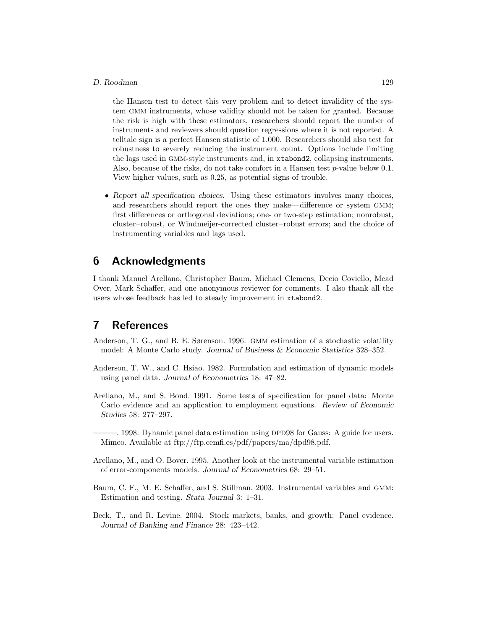the Hansen test to detect this very problem and to detect invalidity of the system GMM instruments, whose validity should not be taken for granted. Because the risk is high with these estimators, researchers should report the number of instruments and reviewers should question regressions where it is not reported. A telltale sign is a perfect Hansen statistic of 1.000. Researchers should also test for robustness to severely reducing the instrument count. Options include limiting the lags used in GMM-style instruments and, in xtabond2, collapsing instruments. Also, because of the risks, do not take comfort in a Hansen test  $p$ -value below 0.1. View higher values, such as 0.25, as potential signs of trouble.

• *Report all specification choices.* Using these estimators involves many choices, and researchers should report the ones they make—difference or system GMM; first differences or orthogonal deviations; one- or two-step estimation; nonrobust, cluster–robust, or Windmeijer-corrected cluster–robust errors; and the choice of instrumenting variables and lags used.

# **6 Acknowledgments**

I thank Manuel Arellano, Christopher Baum, Michael Clemens, Decio Coviello, Mead Over, Mark Schaffer, and one anonymous reviewer for comments. I also thank all the users whose feedback has led to steady improvement in xtabond2.

# **7 References**

- Anderson, T. G., and B. E. Sørenson. 1996. GMM estimation of a stochastic volatility model: A Monte Carlo study. *Journal of Business & Economic Statistics* 328–352.
- Anderson, T. W., and C. Hsiao. 1982. Formulation and estimation of dynamic models using panel data. *Journal of Econometrics* 18: 47–82.
- Arellano, M., and S. Bond. 1991. Some tests of specification for panel data: Monte Carlo evidence and an application to employment equations. *Review of Economic Studies* 58: 277–297.

———. 1998. Dynamic panel data estimation using DPD98 for Gauss: A guide for users. Mimeo. Available at ftp://ftp.cemfi.es/pdf/papers/ma/dpd98.pdf.

- Arellano, M., and O. Bover. 1995. Another look at the instrumental variable estimation of error-components models. *Journal of Econometrics* 68: 29–51.
- Baum, C. F., M. E. Schaffer, and S. Stillman. 2003. Instrumental variables and GMM: Estimation and testing. *Stata Journal* 3: 1–31.
- Beck, T., and R. Levine. 2004. Stock markets, banks, and growth: Panel evidence. *Journal of Banking and Finance* 28: 423–442.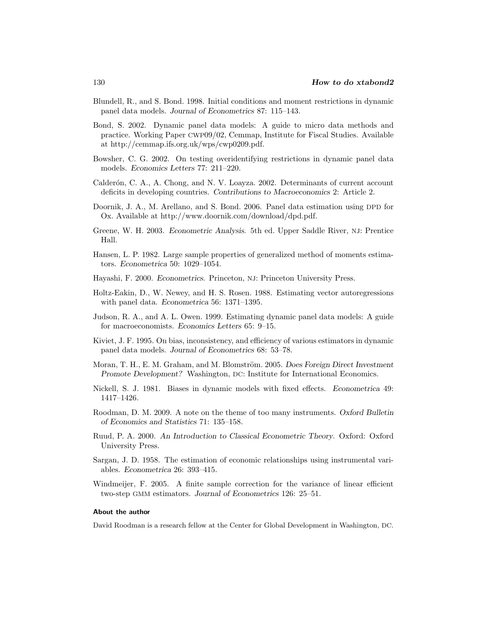- Blundell, R., and S. Bond. 1998. Initial conditions and moment restrictions in dynamic panel data models. *Journal of Econometrics* 87: 115–143.
- Bond, S. 2002. Dynamic panel data models: A guide to micro data methods and practice. Working Paper CWP09/02, Cemmap, Institute for Fiscal Studies. Available at http://cemmap.ifs.org.uk/wps/cwp0209.pdf.
- Bowsher, C. G. 2002. On testing overidentifying restrictions in dynamic panel data models. *Economics Letters* 77: 211–220.
- Calderón, C. A., A. Chong, and N. V. Loayza. 2002. Determinants of current account deficits in developing countries. *Contributions to Macroeconomics* 2: Article 2.
- Doornik, J. A., M. Arellano, and S. Bond. 2006. Panel data estimation using DPD for Ox. Available at http://www.doornik.com/download/dpd.pdf.
- Greene, W. H. 2003. *Econometric Analysis*. 5th ed. Upper Saddle River, NJ: Prentice Hall.
- Hansen, L. P. 1982. Large sample properties of generalized method of moments estimators. *Econometrica* 50: 1029–1054.
- Hayashi, F. 2000. *Econometrics*. Princeton, NJ: Princeton University Press.
- Holtz-Eakin, D., W. Newey, and H. S. Rosen. 1988. Estimating vector autoregressions with panel data. *Econometrica* 56: 1371–1395.
- Judson, R. A., and A. L. Owen. 1999. Estimating dynamic panel data models: A guide for macroeconomists. *Economics Letters* 65: 9–15.
- Kiviet, J. F. 1995. On bias, inconsistency, and efficiency of various estimators in dynamic panel data models. *Journal of Econometrics* 68: 53–78.
- Moran, T. H., E. M. Graham, and M. Blomström. 2005. *Does Foreign Direct Investment Promote Development?* Washington, DC: Institute for International Economics.
- Nickell, S. J. 1981. Biases in dynamic models with fixed effects. *Econometrica* 49: 1417–1426.
- Roodman, D. M. 2009. A note on the theme of too many instruments. *Oxford Bulletin of Economics and Statistics* 71: 135–158.
- Ruud, P. A. 2000. *An Introduction to Classical Econometric Theory*. Oxford: Oxford University Press.
- Sargan, J. D. 1958. The estimation of economic relationships using instrumental variables. *Econometrica* 26: 393–415.
- Windmeijer, F. 2005. A finite sample correction for the variance of linear efficient two-step GMM estimators. *Journal of Econometrics* 126: 25–51.

#### **About the author**

David Roodman is a research fellow at the Center for Global Development in Washington, DC.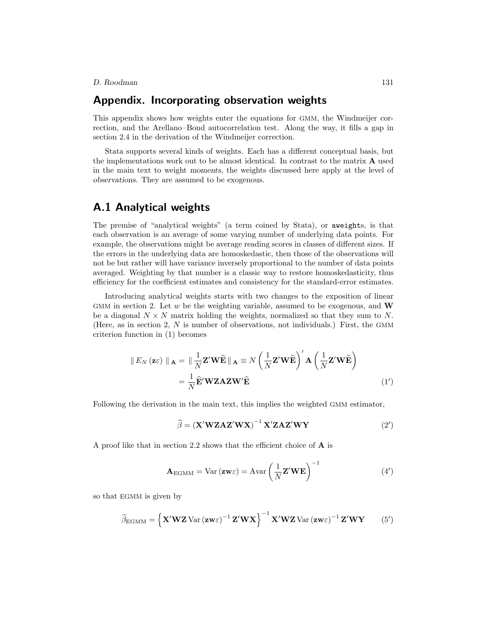# **Appendix. Incorporating observation weights**

This appendix shows how weights enter the equations for GMM, the Windmeijer correction, and the Arellano–Bond autocorrelation test. Along the way, it fills a gap in section 2.4 in the derivation of the Windmeijer correction.

Stata supports several kinds of weights. Each has a different conceptual basis, but the implementations work out to be almost identical. In contrast to the matrix **A** used in the main text to weight *moments*, the weights discussed here apply at the level of *observations*. They are assumed to be exogenous.

# **A.1 Analytical weights**

The premise of "analytical weights" (a term coined by Stata), or aweights, is that each observation is an average of some varying number of underlying data points. For example, the observations might be average reading scores in classes of different sizes. If the errors in the underlying data are homoskedastic, then those of the observations will not be but rather will have variance inversely proportional to the number of data points averaged. Weighting by that number is a classic way to restore homoskedasticity, thus efficiency for the coefficient estimates and consistency for the standard-error estimates.

Introducing analytical weights starts with two changes to the exposition of linear GMM in section 2. Let w be the weighting variable, assumed to be exogenous, and **W** be a diagonal  $N \times N$  matrix holding the weights, normalized so that they sum to N. (Here, as in section 2, N is number of observations, not individuals.) First, the GMM criterion function in (1) becomes

$$
\| E_N (\mathbf{z} \varepsilon) \|_{\mathbf{A}} = \| \frac{1}{N} \mathbf{Z}' \mathbf{W} \widehat{\mathbf{E}} \|_{\mathbf{A}} \equiv N \left( \frac{1}{N} \mathbf{Z}' \mathbf{W} \widehat{\mathbf{E}} \right)' \mathbf{A} \left( \frac{1}{N} \mathbf{Z}' \mathbf{W} \widehat{\mathbf{E}} \right)
$$
  
=  $\frac{1}{N} \widehat{\mathbf{E}}' \mathbf{W} \mathbf{Z} \mathbf{A} \mathbf{Z} \mathbf{W}' \widehat{\mathbf{E}}$  (1')

Following the derivation in the main text, this implies the weighted GMM estimator,

$$
\widehat{\beta} = (\mathbf{X}' \mathbf{W} \mathbf{Z} \mathbf{A} \mathbf{Z}' \mathbf{W} \mathbf{X})^{-1} \mathbf{X}' \mathbf{Z} \mathbf{A} \mathbf{Z}' \mathbf{W} \mathbf{Y}
$$
(2')

A proof like that in section 2.2 shows that the efficient choice of **A** is

$$
\mathbf{A}_{\text{EGMM}} = \text{Var}(\mathbf{z}\mathbf{w}\varepsilon) = \text{Avar}\left(\frac{1}{N}\mathbf{Z}'\mathbf{W}\mathbf{E}\right)^{-1} \tag{4'}
$$

so that EGMM is given by

$$
\widehat{\beta}_{\text{EGMM}} = \left\{ \mathbf{X}' \mathbf{W} \mathbf{Z} \text{Var} \left( \mathbf{z} \mathbf{w} \varepsilon \right)^{-1} \mathbf{Z}' \mathbf{W} \mathbf{X} \right\}^{-1} \mathbf{X}' \mathbf{W} \mathbf{Z} \text{Var} \left( \mathbf{z} \mathbf{w} \varepsilon \right)^{-1} \mathbf{Z}' \mathbf{W} \mathbf{Y} \tag{5'}
$$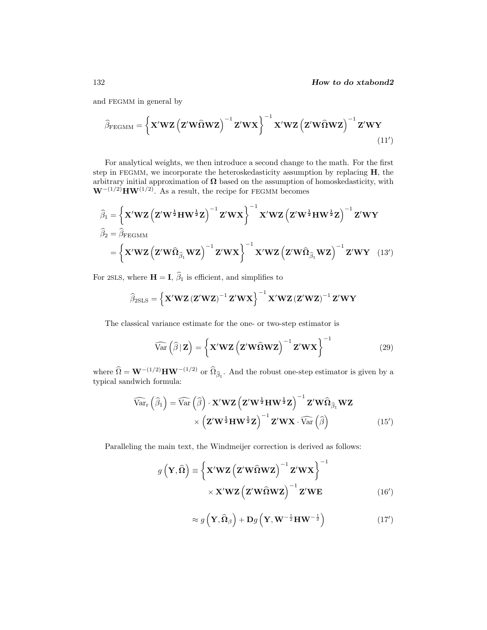and FEGMM in general by

$$
\widehat{\beta}_{\text{FEGMM}} = \left\{ \mathbf{X}' \mathbf{W} \mathbf{Z} \left( \mathbf{Z}' \mathbf{W} \widehat{\mathbf{\Omega}} \mathbf{W} \mathbf{Z} \right)^{-1} \mathbf{Z}' \mathbf{W} \mathbf{X} \right\}^{-1} \mathbf{X}' \mathbf{W} \mathbf{Z} \left( \mathbf{Z}' \mathbf{W} \widehat{\mathbf{\Omega}} \mathbf{W} \mathbf{Z} \right)^{-1} \mathbf{Z}' \mathbf{W} \mathbf{Y} \tag{11'}
$$

For analytical weights, we then introduce a second change to the math. For the first step in FEGMM, we incorporate the heteroskedasticity assumption by replacing **H**, the arbitrary initial approximation of  $\Omega$  based on the assumption of homoskedasticity, with  $\mathbf{W}^{-\left(1/2\right)}$ **HW**<sup>(1/2)</sup>. As a result, the recipe for FEGMM becomes

$$
\widehat{\beta}_1 = \left\{ \mathbf{X}' \mathbf{W} \mathbf{Z} \left( \mathbf{Z}' \mathbf{W}^{\frac{1}{2}} \mathbf{H} \mathbf{W}^{\frac{1}{2}} \mathbf{Z} \right)^{-1} \mathbf{Z}' \mathbf{W} \mathbf{X} \right\}^{-1} \mathbf{X}' \mathbf{W} \mathbf{Z} \left( \mathbf{Z}' \mathbf{W}^{\frac{1}{2}} \mathbf{H} \mathbf{W}^{\frac{1}{2}} \mathbf{Z} \right)^{-1} \mathbf{Z}' \mathbf{W} \mathbf{Y}
$$
\n
$$
\widehat{\beta}_2 = \widehat{\beta}_{\text{FEGMM}} \tag{2'W\widehat{\Omega}_{\widehat{\beta}_1} \mathbf{W} \mathbf{Z} \right\}^{-1} \mathbf{Z}' \mathbf{W} \mathbf{X} \left( \mathbf{Z}' \mathbf{W} \widehat{\Omega}_{\widehat{\beta}_1} \mathbf{W} \mathbf{Z} \right)^{-1} \mathbf{Z}' \mathbf{W} \mathbf{Y} \quad (13')
$$

For 2SLS, where  $H = I$ ,  $\beta_1$  is efficient, and simplifies to

$$
\widehat{\beta}_{2SLS}=\left\{\mathbf{X}^{\prime}\mathbf{W}\mathbf{Z}\left(\mathbf{Z}^{\prime}\mathbf{W}\mathbf{Z}\right)^{-1}\mathbf{Z}^{\prime}\mathbf{W}\mathbf{X}\right\}^{-1}\mathbf{X}^{\prime}\mathbf{W}\mathbf{Z}\left(\mathbf{Z}^{\prime}\mathbf{W}\mathbf{Z}\right)^{-1}\mathbf{Z}^{\prime}\mathbf{W}\mathbf{Y}
$$

The classical variance estimate for the one- or two-step estimator is

$$
\widehat{\text{Var}}\left(\widehat{\beta} \,|\, \mathbf{Z}\right) = \left\{ \mathbf{X}' \mathbf{W} \mathbf{Z} \left( \mathbf{Z}' \mathbf{W} \widehat{\mathbf{\Omega}} \mathbf{W} \mathbf{Z} \right)^{-1} \mathbf{Z}' \mathbf{W} \mathbf{X} \right\}^{-1}
$$
(29)

where  $\hat{\Omega} = \mathbf{W}^{-(1/2)} \mathbf{H} \mathbf{W}^{-(1/2)}$  or  $\hat{\Omega}_{\hat{\beta}_1}$ . And the robust one-step estimator is given by a typical sandwich formula:

$$
\widehat{\text{Var}}_{\text{r}}\left(\widehat{\beta}_{1}\right) = \widehat{\text{Var}}\left(\widehat{\beta}\right) \cdot \mathbf{X}' \mathbf{W} \mathbf{Z} \left(\mathbf{Z}' \mathbf{W}^{\frac{1}{2}} \mathbf{H} \mathbf{W}^{\frac{1}{2}} \mathbf{Z}\right)^{-1} \mathbf{Z}' \mathbf{W} \widehat{\Omega}_{\widehat{\beta}_{1}} \mathbf{W} \mathbf{Z} \times \left(\mathbf{Z}' \mathbf{W}^{\frac{1}{2}} \mathbf{H} \mathbf{W}^{\frac{1}{2}} \mathbf{Z}\right)^{-1} \mathbf{Z}' \mathbf{W} \mathbf{X} \cdot \widehat{\text{Var}}\left(\widehat{\beta}\right)
$$
\n(15')

Paralleling the main text, the Windmeijer correction is derived as follows:

$$
g\left(\mathbf{Y},\widehat{\mathbf{\Omega}}\right) \equiv \left\{\mathbf{X}'\mathbf{W}\mathbf{Z}\left(\mathbf{Z}'\mathbf{W}\widehat{\mathbf{\Omega}}\mathbf{W}\mathbf{Z}\right)^{-1}\mathbf{Z}'\mathbf{W}\mathbf{X}\right\}^{-1} \times \mathbf{X}'\mathbf{W}\mathbf{Z}\left(\mathbf{Z}'\mathbf{W}\widehat{\mathbf{\Omega}}\mathbf{W}\mathbf{Z}\right)^{-1}\mathbf{Z}'\mathbf{W}\mathbf{E}
$$
\n(16')

$$
\approx g\left(\mathbf{Y},\widehat{\mathbf{\Omega}}_{\beta}\right)+\mathbf{D}g\left(\mathbf{Y},\mathbf{W}^{-\frac{1}{2}}\mathbf{H}\mathbf{W}^{-\frac{1}{2}}\right) \tag{17'}
$$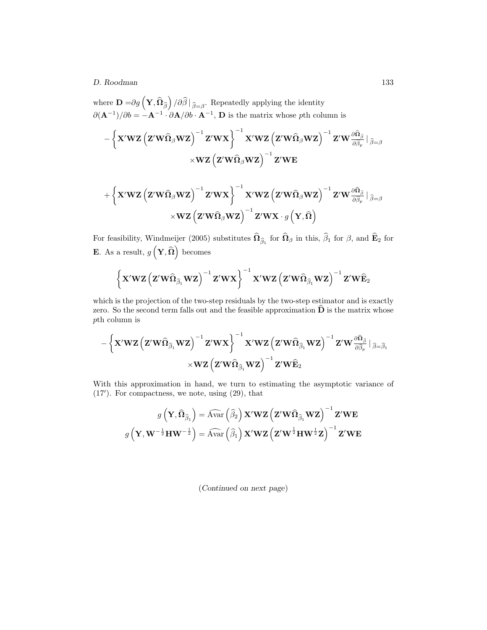where  $\mathbf{D} = \partial g\left(\mathbf{Y}, \widehat{\mathbf{\Omega}}_{\widehat{\beta}}\right) / \partial \widehat{\beta} \mid_{\widehat{\beta} = \beta}$ . Repeatedly applying the identity  $\partial(\mathbf{A}^{-1})/\partial b = -\mathbf{A}^{-1} \cdot \partial \mathbf{A}/\partial b \cdot \mathbf{A}^{-1}$ , **D** is the matrix whose pth column is

$$
-\left\{\mathbf{X}^\prime\mathbf{W}\mathbf{Z}\left(\mathbf{Z}^\prime\mathbf{W}\widehat{\boldsymbol{\Omega}}_\beta\mathbf{W}\mathbf{Z}\right)^{-1}\mathbf{Z}^\prime\mathbf{W}\mathbf{X}\right\}^{-1}\mathbf{X}^\prime\mathbf{W}\mathbf{Z}\left(\mathbf{Z}^\prime\mathbf{W}\widehat{\boldsymbol{\Omega}}_\beta\mathbf{W}\mathbf{Z}\right)^{-1}\mathbf{Z}^\prime\mathbf{W}\frac{\partial \widehat{\boldsymbol{\Omega}}_\beta}{\partial \widehat{\beta}_p}\bigm|_{\widehat{\beta}=\beta}\\ \times\mathbf{W}\mathbf{Z}\left(\mathbf{Z}^\prime\mathbf{W}\widehat{\boldsymbol{\Omega}}_\beta\mathbf{W}\mathbf{Z}\right)^{-1}\mathbf{Z}^\prime\mathbf{W}\mathbf{E}
$$

$$
+ \left\{\mathbf{X}^\prime\mathbf{W}\mathbf{Z} \left( \mathbf{Z}^\prime\mathbf{W}\widehat{\boldsymbol{\Omega}}_\beta\mathbf{W}\mathbf{Z} \right)^{-1} \mathbf{Z}^\prime\mathbf{W}\mathbf{X} \right\}^{-1}\mathbf{X}^\prime\mathbf{W}\mathbf{Z} \left( \mathbf{Z}^\prime\mathbf{W}\widehat{\boldsymbol{\Omega}}_\beta\mathbf{W}\mathbf{Z} \right)^{-1} \mathbf{Z}^\prime\mathbf{W} \frac{\partial \widehat{\boldsymbol{\Omega}}_\beta}{\partial \widehat{\beta}_p} \vert_{\widehat{\beta}=\beta} \\ \times\mathbf{W}\mathbf{Z} \left( \mathbf{Z}^\prime\mathbf{W}\widehat{\boldsymbol{\Omega}}_\beta\mathbf{W}\mathbf{Z} \right)^{-1} \mathbf{Z}^\prime\mathbf{W}\mathbf{X} \cdot g\left( \mathbf{Y},\widehat{\boldsymbol{\Omega}} \right)
$$

For feasibility, Windmeijer (2005) substitutes  $\Omega_{\hat{\beta}_1}$  for  $\Omega_{\beta}$  in this,  $\beta_1$  for  $\beta$ , and  $\mathbf{E}_2$  for **E**. As a result,  $g\left(\mathbf{Y}, \widehat{\boldsymbol{\Omega}}\right)$  becomes

$$
\left\{\mathbf{X}'\mathbf{W}\mathbf{Z}\left(\mathbf{Z}'\mathbf{W}\widehat{\bm{\Omega}}_{\widehat{\beta}_{1}}\mathbf{W}\mathbf{Z}\right)^{-1}\mathbf{Z}'\mathbf{W}\mathbf{X}\right\}^{-1}\mathbf{X}'\mathbf{W}\mathbf{Z}\left(\mathbf{Z}'\mathbf{W}\widehat{\bm{\Omega}}_{\widehat{\beta}_{1}}\mathbf{W}\mathbf{Z}\right)^{-1}\mathbf{Z}'\mathbf{W}\widehat{\mathbf{E}}_{2}
$$

which is the projection of the two-step residuals by the two-step estimator and is exactly zero. So the second term falls out and the feasible approximation  $\mathbf{D}$  is the matrix whose pth column is

$$
-\left\{\mathbf{X}'\mathbf{W}\mathbf{Z}\left(\mathbf{Z}'\mathbf{W}\widehat{\boldsymbol{\Omega}}_{\widehat{\boldsymbol{\beta}}_1}\mathbf{W}\mathbf{Z}\right)^{-1}\mathbf{Z}'\mathbf{W}\mathbf{X}\right\}^{-1}\mathbf{X}'\mathbf{W}\mathbf{Z}\left(\mathbf{Z}'\mathbf{W}\widehat{\boldsymbol{\Omega}}_{\widehat{\boldsymbol{\beta}}_1}\mathbf{W}\mathbf{Z}\right)^{-1}\mathbf{Z}'\mathbf{W}\frac{\partial \widehat{\boldsymbol{\Omega}}_{\widehat{\boldsymbol{\beta}}}}{\partial \widehat{\boldsymbol{\beta}}_p}\mid_{\widehat{\boldsymbol{\beta}}=\widehat{\boldsymbol{\beta}}_1}\\ \times\mathbf{W}\mathbf{Z}\left(\mathbf{Z}'\mathbf{W}\widehat{\boldsymbol{\Omega}}_{\widehat{\boldsymbol{\beta}}_1}\mathbf{W}\mathbf{Z}\right)^{-1}\mathbf{Z}'\mathbf{W}\widehat{\mathbf{E}}_2\\
$$

With this approximation in hand, we turn to estimating the asymptotic variance of (17 ). For compactness, we note, using (29), that

$$
g\left(\mathbf{Y}, \widehat{\mathbf{\Omega}}_{\widehat{\beta}_{1}}\right)=\widehat{\mathrm{Avar}}\left(\widehat{\beta}_{2}\right) \mathbf{X}'\mathbf{WZ}\left(\mathbf{Z}'\mathbf{W}\widehat{\mathbf{\Omega}}_{\widehat{\beta}_{1}}\mathbf{WZ}\right)^{-1} \mathbf{Z}'\mathbf{WE}
$$

$$
g\left(\mathbf{Y}, \mathbf{W}^{-\frac{1}{2}}\mathbf{H}\mathbf{W}^{-\frac{1}{2}}\right)=\widehat{\mathrm{Avar}}\left(\widehat{\beta}_{1}\right) \mathbf{X}'\mathbf{WZ}\left(\mathbf{Z}'\mathbf{W}^{\frac{1}{2}}\mathbf{H}\mathbf{W}^{\frac{1}{2}}\mathbf{Z}\right)^{-1} \mathbf{Z}'\mathbf{WE}
$$

(*Continued on next page*)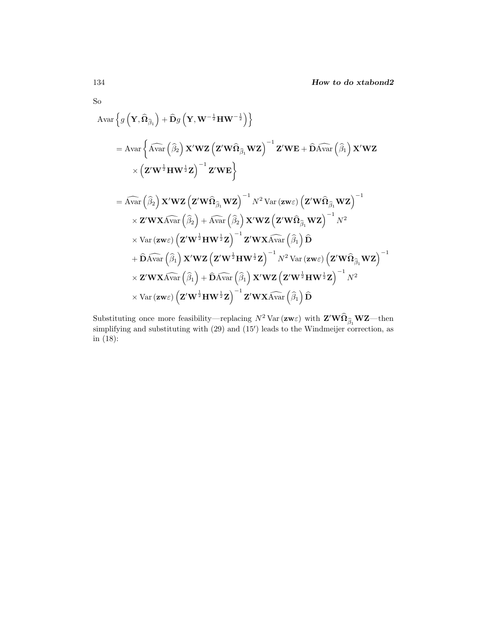So

$$
\begin{aligned}\n&\text{Avar}\left\{g\left(\mathbf{Y},\widehat{\mathbf{\Omega}}_{\widehat{\beta}_{1}}\right)+\widehat{\mathbf{D}}g\left(\mathbf{Y},\mathbf{W}^{-\frac{1}{2}}\mathbf{H}\mathbf{W}^{-\frac{1}{2}}\right)\right\} \\
&= \text{Avar}\left\{\widehat{\text{Avar}}\left(\widehat{\beta}_{2}\right)\mathbf{X}'\mathbf{W}\mathbf{Z}\left(\mathbf{Z}'\mathbf{W}\widehat{\mathbf{\Omega}}_{\widehat{\beta}_{1}}\mathbf{W}\mathbf{Z}\right)^{-1}\mathbf{Z}'\mathbf{W}\mathbf{E}+\widehat{\mathbf{D}}\widehat{\text{Avar}}\left(\widehat{\beta}_{1}\right)\mathbf{X}'\mathbf{W}\mathbf{Z} \\
&\times\left(\mathbf{Z}'\mathbf{W}^{\frac{1}{2}}\mathbf{H}\mathbf{W}^{\frac{1}{2}}\mathbf{Z}\right)^{-1}\mathbf{Z}'\mathbf{W}\mathbf{E}\right\} \\
&= \widehat{\text{Avar}}\left(\widehat{\beta}_{2}\right)\mathbf{X}'\mathbf{W}\mathbf{Z}\left(\mathbf{Z}'\mathbf{W}\widehat{\mathbf{\Omega}}_{\widehat{\beta}_{1}}\mathbf{W}\mathbf{Z}\right)^{-1}N^{2}\text{Var}\left(\mathbf{z}\mathbf{w}\varepsilon\right)\left(\mathbf{Z}'\mathbf{W}\widehat{\mathbf{\Omega}}_{\widehat{\beta}_{1}}\mathbf{W}\mathbf{Z}\right)^{-1} \\
&\times \mathbf{Z}'\mathbf{W}\mathbf{X}\widehat{\text{Var}}\left(\widehat{\beta}_{2}\right)+\widehat{\text{Avar}}\left(\widehat{\beta}_{2}\right)\mathbf{X}'\mathbf{W}\mathbf{Z}\left(\mathbf{Z}'\mathbf{W}\widehat{\mathbf{\Omega}}_{\widehat{\beta}_{1}}\mathbf{W}\mathbf{Z}\right)^{-1}N^{2} \\
&\times \text{Var}\left(\mathbf{z}\mathbf{w}\varepsilon\right)\left(\mathbf{Z}'\mathbf{W}^{\frac{1}{2}}\mathbf{H}\mathbf{W}^{\frac{1}{2}}\mathbf{Z}\right)^{-1}\mathbf{Z}'\mathbf{W}\mathbf{X}\widehat{\text{Var}}\left(\widehat{\beta}_{1}\right)\widehat{\mathbf{D}} \\
&+ \widehat{\mathbf{D}}\widehat{\text{Var}}
$$

Substituting once more feasibility—replacing  $N^2$  Var ( $z \mathbf{w} \varepsilon$ ) with  $\mathbf{Z}' \mathbf{W} \hat{\mathbf{\Omega}}_{\hat{\beta}_1} \mathbf{W} \mathbf{Z}$ —then simplifying and substituting with  $(29)$  and  $(15')$  leads to the Windmeijer correction, as in (18):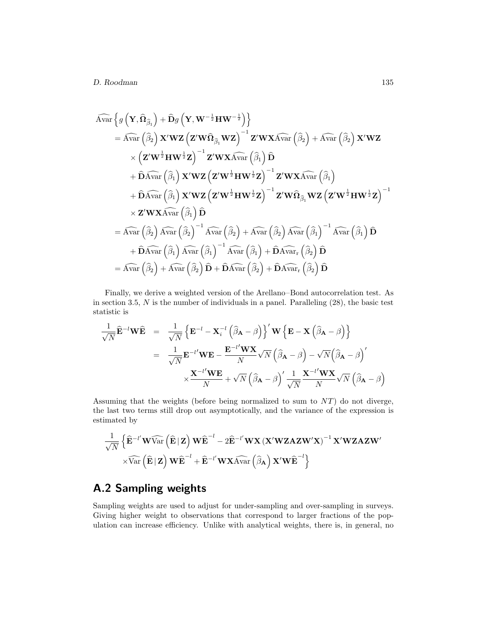$$
\widehat{\mathrm{Avar}} \left\{ g \left( \mathbf{Y}, \widehat{\mathbf{\Omega}}_{\widehat{\beta}_1} \right) + \widehat{\mathbf{D}} g \left( \mathbf{Y}, \mathbf{W}^{-\frac{1}{2}} \mathbf{H} \mathbf{W}^{-\frac{1}{2}} \right) \right\} \n= \widehat{\mathrm{Avar}} \left( \widehat{\beta}_2 \right) \mathbf{X}' \mathbf{W} \mathbf{Z} \left( \mathbf{Z}' \mathbf{W} \widehat{\mathbf{\Omega}}_{\widehat{\beta}_1} \mathbf{W} \mathbf{Z} \right)^{-1} \mathbf{Z}' \mathbf{W} \mathbf{X} \widehat{\mathrm{Var}} \left( \widehat{\beta}_2 \right) + \widehat{\mathrm{Avar}} \left( \widehat{\beta}_2 \right) \mathbf{X}' \mathbf{W} \mathbf{Z} \n\times \left( \mathbf{Z}' \mathbf{W}^{\frac{1}{2}} \mathbf{H} \mathbf{W}^{\frac{1}{2}} \mathbf{Z} \right)^{-1} \mathbf{Z}' \mathbf{W} \mathbf{X} \widehat{\mathrm{Var}} \left( \widehat{\beta}_1 \right) \widehat{\mathbf{D}} \n+ \widehat{\mathrm{D}} \widehat{\mathrm{Avar}} \left( \widehat{\beta}_1 \right) \mathbf{X}' \mathbf{W} \mathbf{Z} \left( \mathbf{Z}' \mathbf{W}^{\frac{1}{2}} \mathbf{H} \mathbf{W}^{\frac{1}{2}} \mathbf{Z} \right)^{-1} \mathbf{Z}' \mathbf{W} \mathbf{X} \widehat{\mathrm{Var}} \left( \widehat{\beta}_1 \right) \n+ \widehat{\mathrm{D}} \widehat{\mathrm{Avar}} \left( \widehat{\beta}_1 \right) \mathbf{X}' \mathbf{W} \mathbf{Z} \left( \mathbf{Z}' \mathbf{W}^{\frac{1}{2}} \mathbf{H} \mathbf{W}^{\frac{1}{2}} \mathbf{Z} \right)^{-1} \mathbf{Z}' \mathbf{W} \widehat{\mathrm{Omega}}_{\widehat{\beta}_1} \mathbf{W} \mathbf{Z} \left( \mathbf{Z}' \mathbf{W}^{\frac{1}{2}} \mathbf{H} \mathbf{W}^{\frac{1}{2}} \mathbf{Z} \right)^{-1} \n\times \mathbf{Z}' \mathbf{W} \
$$

Finally, we derive a weighted version of the Arellano–Bond autocorrelation test. As in section 3.5,  $N$  is the number of individuals in a panel. Paralleling  $(28)$ , the basic test statistic is

$$
\frac{1}{\sqrt{N}}\widehat{\mathbf{E}}^{-l}\mathbf{W}\widehat{\mathbf{E}} = \frac{1}{\sqrt{N}}\left\{\mathbf{E}^{-l} - \mathbf{X}_i^{-l}(\widehat{\boldsymbol{\beta}}_{\mathbf{A}} - \boldsymbol{\beta})\right\}'\mathbf{W}\left\{\mathbf{E} - \mathbf{X}(\widehat{\boldsymbol{\beta}}_{\mathbf{A}} - \boldsymbol{\beta})\right\}
$$
\n
$$
= \frac{1}{\sqrt{N}}\mathbf{E}^{-l'}\mathbf{W}\mathbf{E} - \frac{\mathbf{E}^{-l'}\mathbf{W}\mathbf{X}}{N}\sqrt{N}(\widehat{\boldsymbol{\beta}}_{\mathbf{A}} - \boldsymbol{\beta}) - \sqrt{N}(\widehat{\boldsymbol{\beta}}_{\mathbf{A}} - \boldsymbol{\beta})'
$$
\n
$$
\times \frac{\mathbf{X}^{-l'}\mathbf{W}\mathbf{E}}{N} + \sqrt{N}(\widehat{\boldsymbol{\beta}}_{\mathbf{A}} - \boldsymbol{\beta})'\frac{1}{\sqrt{N}}\frac{\mathbf{X}^{-l'}\mathbf{W}\mathbf{X}}{N}\sqrt{N}(\widehat{\boldsymbol{\beta}}_{\mathbf{A}} - \boldsymbol{\beta})
$$

Assuming that the weights (before being normalized to sum to  $NT$ ) do not diverge, the last two terms still drop out asymptotically, and the variance of the expression is estimated by

$$
\begin{aligned}[t]& \frac{1}{\sqrt{N}}\left\{\widehat{\mathbf{E}}^{-l'}\mathbf{W}\widehat{\text{Var}}\left(\widehat{\mathbf{E}}\,|\,\mathbf{Z}\right)\mathbf{W}\widehat{\mathbf{E}}^{-l}-2\widehat{\mathbf{E}}^{-l'}\mathbf{W}\mathbf{X}\left(\mathbf{X}'\mathbf{W}\mathbf{Z}\mathbf{A}\mathbf{Z}\mathbf{W}'\mathbf{X}\right)^{-1}\mathbf{X}'\mathbf{W}\mathbf{Z}\mathbf{A}\mathbf{Z}\mathbf{W}'\\ &\times\widehat{\text{Var}}\left(\widehat{\mathbf{E}}\,|\,\mathbf{Z}\right)\mathbf{W}\widehat{\mathbf{E}}^{-l}+\widehat{\mathbf{E}}^{-l'}\mathbf{W}\mathbf{X}\widehat{\text{Var}}\left(\widehat{\boldsymbol{\beta}}_{\mathbf{A}}\right)\mathbf{X}'\mathbf{W}\widehat{\mathbf{E}}^{-l}\right\} \end{aligned}
$$

# **A.2 Sampling weights**

Sampling weights are used to adjust for under-sampling and over-sampling in surveys. Giving higher weight to observations that correspond to larger fractions of the population can increase efficiency. Unlike with analytical weights, there is, in general, no